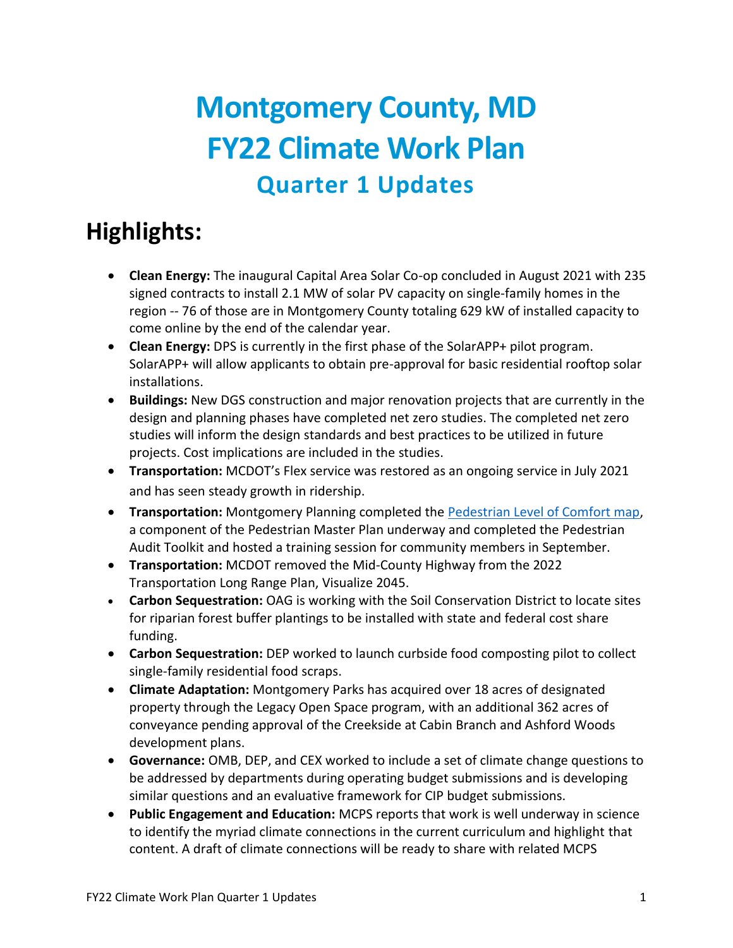### **Montgomery County, MD FY22 Climate Work Plan Quarter 1 Updates**

### **Highlights:**

- **Clean Energy:** The inaugural Capital Area Solar Co-op concluded in August 2021 with 235 signed contracts to install 2.1 MW of solar PV capacity on single-family homes in the region -- 76 of those are in Montgomery County totaling 629 kW of installed capacity to come online by the end of the calendar year.
- **Clean Energy:** DPS is currently in the first phase of the SolarAPP+ pilot program. SolarAPP+ will allow applicants to obtain pre-approval for basic residential rooftop solar installations.
- **Buildings:** New DGS construction and major renovation projects that are currently in the design and planning phases have completed net zero studies. The completed net zero studies will inform the design standards and best practices to be utilized in future projects. Cost implications are included in the studies.
- **Transportation:** MCDOT's Flex service was restored as an ongoing service in July 2021 and has seen steady growth in ridership.
- **Transportation:** Montgomery Planning completed the [Pedestrian Level of Comfort map,](https://mcatlas.org/pedplan/) a component of the Pedestrian Master Plan underway and completed the Pedestrian Audit Toolkit and hosted a training session for community members in September.
- **Transportation:** MCDOT removed the Mid-County Highway from the 2022 Transportation Long Range Plan, Visualize 2045.
- **Carbon Sequestration:** OAG is working with the Soil Conservation District to locate sites for riparian forest buffer plantings to be installed with state and federal cost share funding.
- **Carbon Sequestration:** DEP worked to launch curbside food composting pilot to collect single-family residential food scraps.
- **Climate Adaptation:** Montgomery Parks has acquired over 18 acres of designated property through the Legacy Open Space program, with an additional 362 acres of conveyance pending approval of the Creekside at Cabin Branch and Ashford Woods development plans.
- **Governance:** OMB, DEP, and CEX worked to include a set of climate change questions to be addressed by departments during operating budget submissions and is developing similar questions and an evaluative framework for CIP budget submissions.
- **Public Engagement and Education:** MCPS reports that work is well underway in science to identify the myriad climate connections in the current curriculum and highlight that content. A draft of climate connections will be ready to share with related MCPS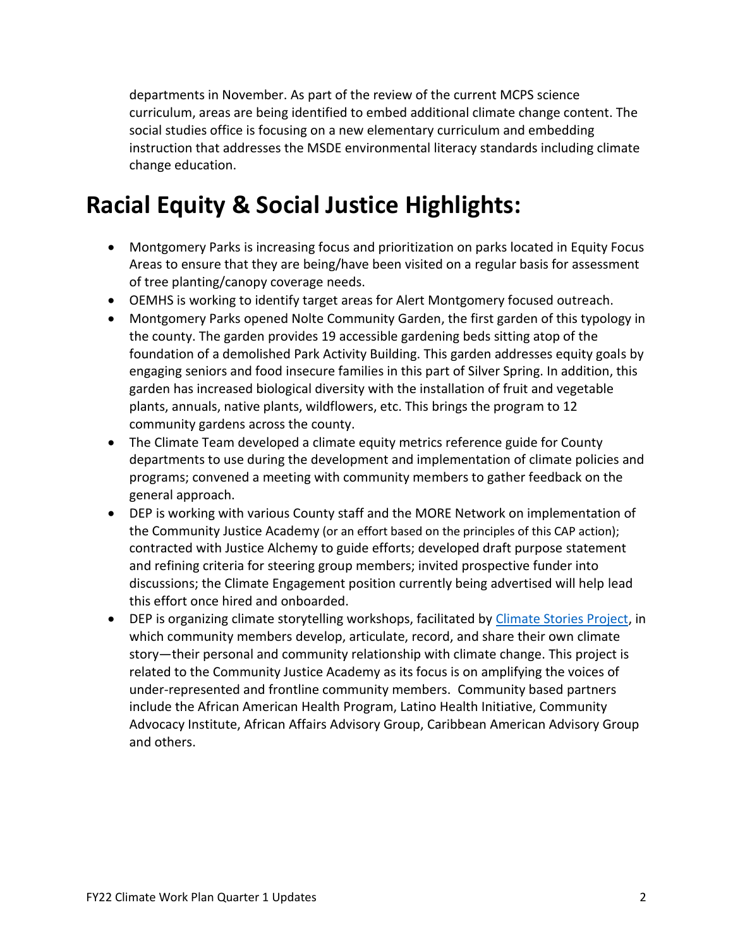departments in November. As part of the review of the current MCPS science curriculum, areas are being identified to embed additional climate change content. The social studies office is focusing on a new elementary curriculum and embedding instruction that addresses the MSDE environmental literacy standards including climate change education.

### **Racial Equity & Social Justice Highlights:**

- Montgomery Parks is increasing focus and prioritization on parks located in Equity Focus Areas to ensure that they are being/have been visited on a regular basis for assessment of tree planting/canopy coverage needs.
- OEMHS is working to identify target areas for Alert Montgomery focused outreach.
- Montgomery Parks opened Nolte Community Garden, the first garden of this typology in the county. The garden provides 19 accessible gardening beds sitting atop of the foundation of a demolished Park Activity Building. This garden addresses equity goals by engaging seniors and food insecure families in this part of Silver Spring. In addition, this garden has increased biological diversity with the installation of fruit and vegetable plants, annuals, native plants, wildflowers, etc. This brings the program to 12 community gardens across the county.
- The Climate Team developed a climate equity metrics reference guide for County departments to use during the development and implementation of climate policies and programs; convened a meeting with community members to gather feedback on the general approach.
- DEP is working with various County staff and the MORE Network on implementation of the Community Justice Academy (or an effort based on the principles of this CAP action); contracted with Justice Alchemy to guide efforts; developed draft purpose statement and refining criteria for steering group members; invited prospective funder into discussions; the Climate Engagement position currently being advertised will help lead this effort once hired and onboarded.
- DEP is organizing climate storytelling workshops, facilitated by [Climate Stories Project,](https://www.climatestoriesproject.org/) in which community members develop, articulate, record, and share their own climate story—their personal and community relationship with climate change. This project is related to the Community Justice Academy as its focus is on amplifying the voices of under-represented and frontline community members. Community based partners include the African American Health Program, Latino Health Initiative, Community Advocacy Institute, African Affairs Advisory Group, Caribbean American Advisory Group and others.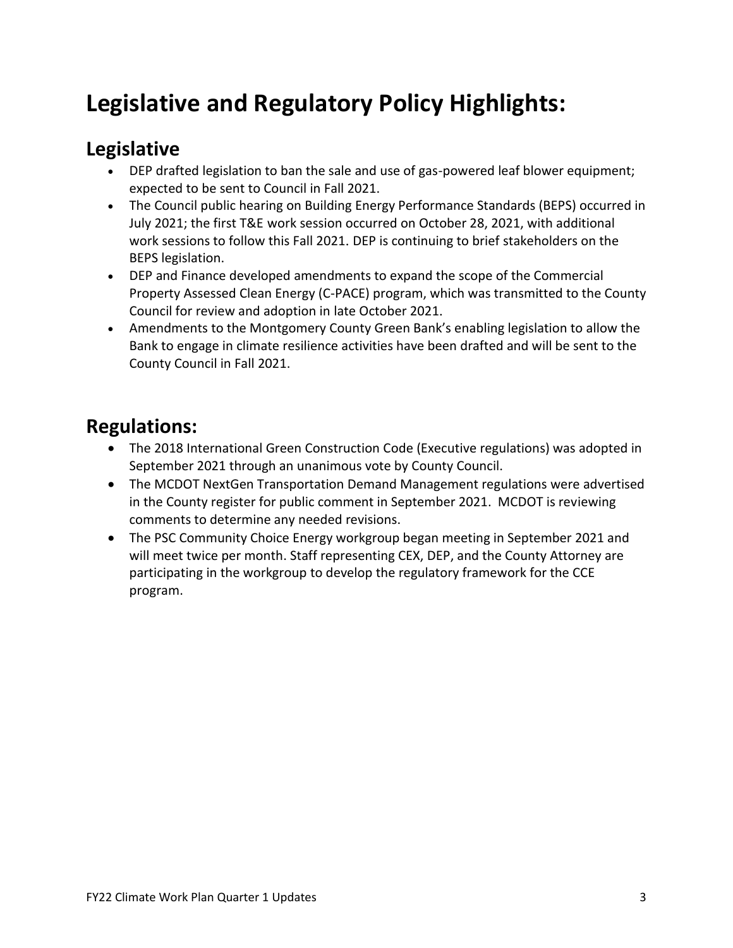### **Legislative and Regulatory Policy Highlights:**

#### **Legislative**

- DEP drafted legislation to ban the sale and use of gas-powered leaf blower equipment; expected to be sent to Council in Fall 2021.
- The Council public hearing on Building Energy Performance Standards (BEPS) occurred in July 2021; the first T&E work session occurred on October 28, 2021, with additional work sessions to follow this Fall 2021. DEP is continuing to brief stakeholders on the BEPS legislation.
- DEP and Finance developed amendments to expand the scope of the Commercial Property Assessed Clean Energy (C-PACE) program, which was transmitted to the County Council for review and adoption in late October 2021.
- Amendments to the Montgomery County Green Bank's enabling legislation to allow the Bank to engage in climate resilience activities have been drafted and will be sent to the County Council in Fall 2021.

#### **Regulations:**

- The 2018 International Green Construction Code (Executive regulations) was adopted in September 2021 through an unanimous vote by County Council.
- The MCDOT NextGen Transportation Demand Management regulations were advertised in the County register for public comment in September 2021. MCDOT is reviewing comments to determine any needed revisions.
- The PSC Community Choice Energy workgroup began meeting in September 2021 and will meet twice per month. Staff representing CEX, DEP, and the County Attorney are participating in the workgroup to develop the regulatory framework for the CCE program.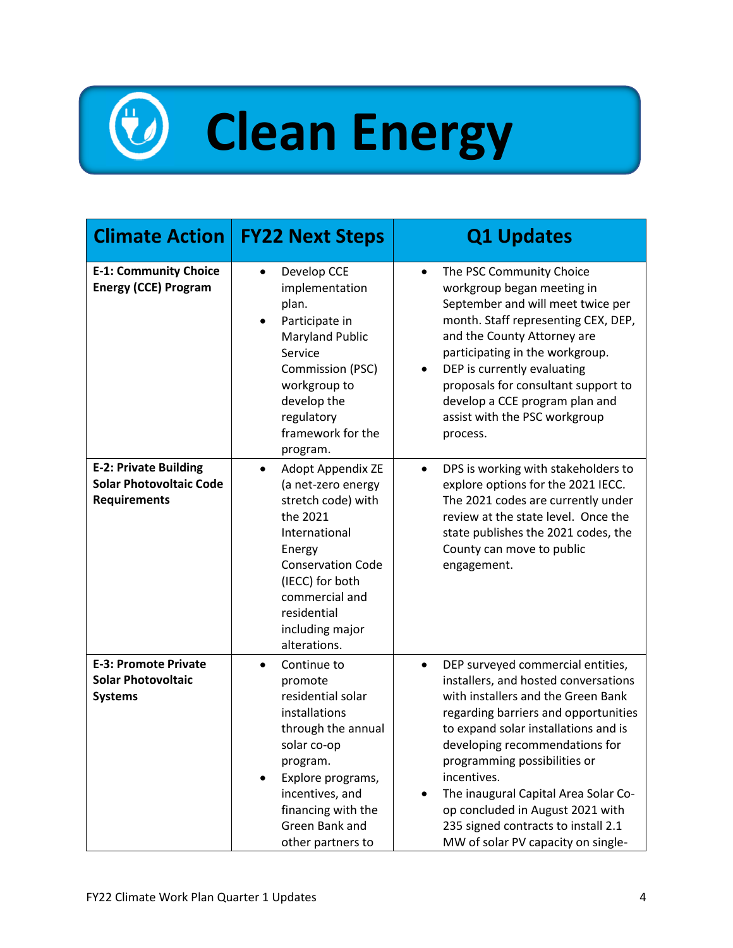# **Clean Energy**

| <b>Climate Action</b>                                                                 | <b>FY22 Next Steps</b>                                                                                                                                                                                                                      | <b>Q1 Updates</b>                                                                                                                                                                                                                                                                                                                                                                                                                                      |
|---------------------------------------------------------------------------------------|---------------------------------------------------------------------------------------------------------------------------------------------------------------------------------------------------------------------------------------------|--------------------------------------------------------------------------------------------------------------------------------------------------------------------------------------------------------------------------------------------------------------------------------------------------------------------------------------------------------------------------------------------------------------------------------------------------------|
| <b>E-1: Community Choice</b><br><b>Energy (CCE) Program</b>                           | Develop CCE<br>implementation<br>plan.<br>Participate in<br><b>Maryland Public</b><br>Service<br>Commission (PSC)<br>workgroup to<br>develop the<br>regulatory<br>framework for the<br>program.                                             | The PSC Community Choice<br>workgroup began meeting in<br>September and will meet twice per<br>month. Staff representing CEX, DEP,<br>and the County Attorney are<br>participating in the workgroup.<br>DEP is currently evaluating<br>٠<br>proposals for consultant support to<br>develop a CCE program plan and<br>assist with the PSC workgroup<br>process.                                                                                         |
| <b>E-2: Private Building</b><br><b>Solar Photovoltaic Code</b><br><b>Requirements</b> | <b>Adopt Appendix ZE</b><br>$\bullet$<br>(a net-zero energy<br>stretch code) with<br>the 2021<br>International<br>Energy<br><b>Conservation Code</b><br>(IECC) for both<br>commercial and<br>residential<br>including major<br>alterations. | DPS is working with stakeholders to<br>$\bullet$<br>explore options for the 2021 IECC.<br>The 2021 codes are currently under<br>review at the state level. Once the<br>state publishes the 2021 codes, the<br>County can move to public<br>engagement.                                                                                                                                                                                                 |
| <b>E-3: Promote Private</b><br><b>Solar Photovoltaic</b><br><b>Systems</b>            | Continue to<br>$\bullet$<br>promote<br>residential solar<br>installations<br>through the annual<br>solar co-op<br>program.<br>Explore programs,<br>incentives, and<br>financing with the<br>Green Bank and<br>other partners to             | DEP surveyed commercial entities,<br>$\bullet$<br>installers, and hosted conversations<br>with installers and the Green Bank<br>regarding barriers and opportunities<br>to expand solar installations and is<br>developing recommendations for<br>programming possibilities or<br>incentives.<br>The inaugural Capital Area Solar Co-<br>op concluded in August 2021 with<br>235 signed contracts to install 2.1<br>MW of solar PV capacity on single- |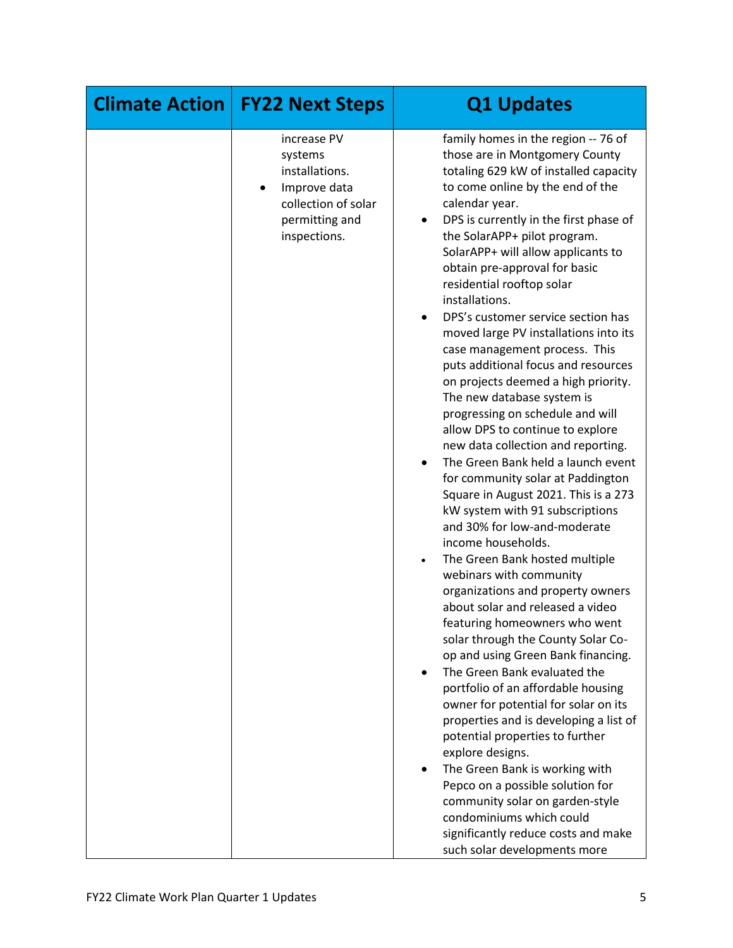| <b>Climate Action</b> | <b>FY22 Next Steps</b>                                                                                            | <b>Q1 Updates</b>                                                                                                                                                                                                                                                                                                                                                                                                                                                                                                                                                                                                                                                                                                                                                                                                                                                                                                                                                                                                                                                                                                                                                                                                                                                                                                                                                                                                                                                                                                                                                                                                     |
|-----------------------|-------------------------------------------------------------------------------------------------------------------|-----------------------------------------------------------------------------------------------------------------------------------------------------------------------------------------------------------------------------------------------------------------------------------------------------------------------------------------------------------------------------------------------------------------------------------------------------------------------------------------------------------------------------------------------------------------------------------------------------------------------------------------------------------------------------------------------------------------------------------------------------------------------------------------------------------------------------------------------------------------------------------------------------------------------------------------------------------------------------------------------------------------------------------------------------------------------------------------------------------------------------------------------------------------------------------------------------------------------------------------------------------------------------------------------------------------------------------------------------------------------------------------------------------------------------------------------------------------------------------------------------------------------------------------------------------------------------------------------------------------------|
|                       | increase PV<br>systems<br>installations.<br>Improve data<br>collection of solar<br>permitting and<br>inspections. | family homes in the region -- 76 of<br>those are in Montgomery County<br>totaling 629 kW of installed capacity<br>to come online by the end of the<br>calendar year.<br>DPS is currently in the first phase of<br>the SolarAPP+ pilot program.<br>SolarAPP+ will allow applicants to<br>obtain pre-approval for basic<br>residential rooftop solar<br>installations.<br>DPS's customer service section has<br>moved large PV installations into its<br>case management process. This<br>puts additional focus and resources<br>on projects deemed a high priority.<br>The new database system is<br>progressing on schedule and will<br>allow DPS to continue to explore<br>new data collection and reporting.<br>The Green Bank held a launch event<br>for community solar at Paddington<br>Square in August 2021. This is a 273<br>kW system with 91 subscriptions<br>and 30% for low-and-moderate<br>income households.<br>The Green Bank hosted multiple<br>webinars with community<br>organizations and property owners<br>about solar and released a video<br>featuring homeowners who went<br>solar through the County Solar Co-<br>op and using Green Bank financing.<br>The Green Bank evaluated the<br>$\bullet$<br>portfolio of an affordable housing<br>owner for potential for solar on its<br>properties and is developing a list of<br>potential properties to further<br>explore designs.<br>The Green Bank is working with<br>Pepco on a possible solution for<br>community solar on garden-style<br>condominiums which could<br>significantly reduce costs and make<br>such solar developments more |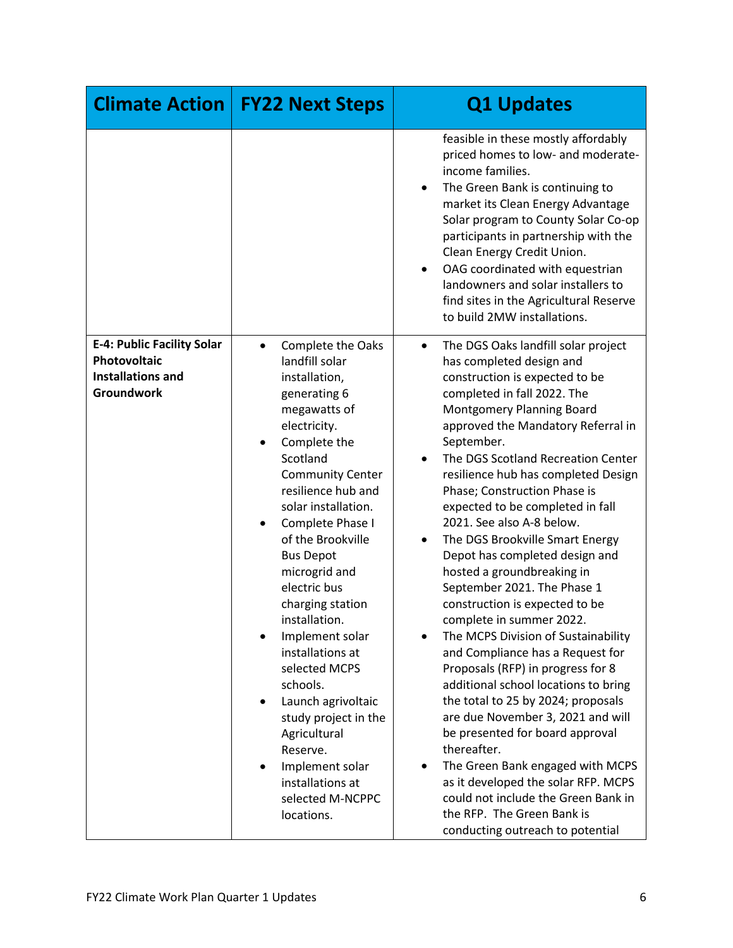| <b>Climate Action</b>                                                                                     | <b>FY22 Next Steps</b>                                                                                                                                                                                                                                                                                                                                                                                                                                                                                                                                                    | <b>Q1 Updates</b>                                                                                                                                                                                                                                                                                                                                                                                                                                                                                                                                                                                                                                                                                                                                                                                                                                                                                                                                                                                                                                                            |
|-----------------------------------------------------------------------------------------------------------|---------------------------------------------------------------------------------------------------------------------------------------------------------------------------------------------------------------------------------------------------------------------------------------------------------------------------------------------------------------------------------------------------------------------------------------------------------------------------------------------------------------------------------------------------------------------------|------------------------------------------------------------------------------------------------------------------------------------------------------------------------------------------------------------------------------------------------------------------------------------------------------------------------------------------------------------------------------------------------------------------------------------------------------------------------------------------------------------------------------------------------------------------------------------------------------------------------------------------------------------------------------------------------------------------------------------------------------------------------------------------------------------------------------------------------------------------------------------------------------------------------------------------------------------------------------------------------------------------------------------------------------------------------------|
|                                                                                                           |                                                                                                                                                                                                                                                                                                                                                                                                                                                                                                                                                                           | feasible in these mostly affordably<br>priced homes to low- and moderate-<br>income families.<br>The Green Bank is continuing to<br>market its Clean Energy Advantage<br>Solar program to County Solar Co-op<br>participants in partnership with the<br>Clean Energy Credit Union.<br>OAG coordinated with equestrian<br>$\bullet$<br>landowners and solar installers to<br>find sites in the Agricultural Reserve<br>to build 2MW installations.                                                                                                                                                                                                                                                                                                                                                                                                                                                                                                                                                                                                                            |
| <b>E-4: Public Facility Solar</b><br><b>Photovoltaic</b><br><b>Installations and</b><br><b>Groundwork</b> | <b>Complete the Oaks</b><br>landfill solar<br>installation,<br>generating 6<br>megawatts of<br>electricity.<br>Complete the<br>Scotland<br><b>Community Center</b><br>resilience hub and<br>solar installation.<br>Complete Phase I<br>of the Brookville<br><b>Bus Depot</b><br>microgrid and<br>electric bus<br>charging station<br>installation.<br>Implement solar<br>installations at<br>selected MCPS<br>schools.<br>Launch agrivoltaic<br>study project in the<br>Agricultural<br>Reserve.<br>Implement solar<br>installations at<br>selected M-NCPPC<br>locations. | The DGS Oaks landfill solar project<br>٠<br>has completed design and<br>construction is expected to be<br>completed in fall 2022. The<br>Montgomery Planning Board<br>approved the Mandatory Referral in<br>September.<br>The DGS Scotland Recreation Center<br>resilience hub has completed Design<br>Phase; Construction Phase is<br>expected to be completed in fall<br>2021. See also A-8 below.<br>The DGS Brookville Smart Energy<br>Depot has completed design and<br>hosted a groundbreaking in<br>September 2021. The Phase 1<br>construction is expected to be<br>complete in summer 2022<br>The MCPS Division of Sustainability<br>and Compliance has a Request for<br>Proposals (RFP) in progress for 8<br>additional school locations to bring<br>the total to 25 by 2024; proposals<br>are due November 3, 2021 and will<br>be presented for board approval<br>thereafter.<br>The Green Bank engaged with MCPS<br>as it developed the solar RFP. MCPS<br>could not include the Green Bank in<br>the RFP. The Green Bank is<br>conducting outreach to potential |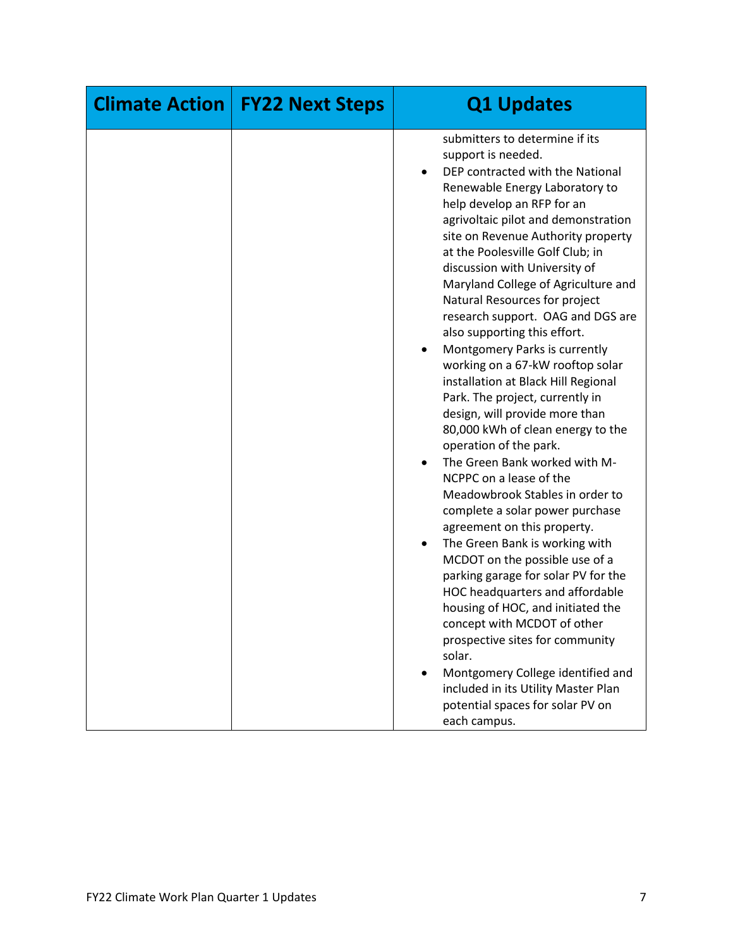| <b>Climate Action</b> | <b>FY22 Next Steps</b> | <b>Q1 Updates</b>                                                                                                                                                                                                                                                                                                                                                                                                                                                                                                                                                                                                                                                                                                                                                                                                                                                                                                                                                                                                                                                                                                                                                                                                                                                                                      |
|-----------------------|------------------------|--------------------------------------------------------------------------------------------------------------------------------------------------------------------------------------------------------------------------------------------------------------------------------------------------------------------------------------------------------------------------------------------------------------------------------------------------------------------------------------------------------------------------------------------------------------------------------------------------------------------------------------------------------------------------------------------------------------------------------------------------------------------------------------------------------------------------------------------------------------------------------------------------------------------------------------------------------------------------------------------------------------------------------------------------------------------------------------------------------------------------------------------------------------------------------------------------------------------------------------------------------------------------------------------------------|
|                       |                        | submitters to determine if its<br>support is needed.<br>DEP contracted with the National<br>Renewable Energy Laboratory to<br>help develop an RFP for an<br>agrivoltaic pilot and demonstration<br>site on Revenue Authority property<br>at the Poolesville Golf Club; in<br>discussion with University of<br>Maryland College of Agriculture and<br>Natural Resources for project<br>research support. OAG and DGS are<br>also supporting this effort.<br>Montgomery Parks is currently<br>٠<br>working on a 67-kW rooftop solar<br>installation at Black Hill Regional<br>Park. The project, currently in<br>design, will provide more than<br>80,000 kWh of clean energy to the<br>operation of the park.<br>The Green Bank worked with M-<br>$\bullet$<br>NCPPC on a lease of the<br>Meadowbrook Stables in order to<br>complete a solar power purchase<br>agreement on this property.<br>The Green Bank is working with<br>$\bullet$<br>MCDOT on the possible use of a<br>parking garage for solar PV for the<br>HOC headquarters and affordable<br>housing of HOC, and initiated the<br>concept with MCDOT of other<br>prospective sites for community<br>solar.<br>Montgomery College identified and<br>included in its Utility Master Plan<br>potential spaces for solar PV on<br>each campus. |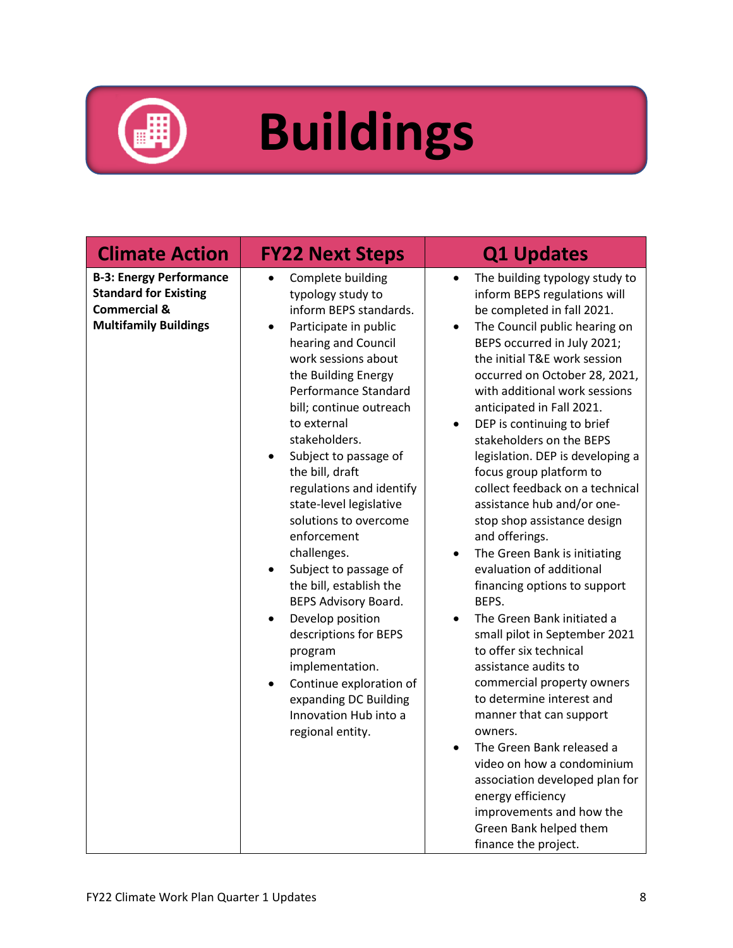

## **Buildings**

| <b>Climate Action</b>                                                                                                     | <b>FY22 Next Steps</b>                                                                                                                                                                                                                                                                                                                                                                                                                                                                                                                                                                                                                                                                        | <b>Q1 Updates</b>                                                                                                                                                                                                                                                                                                                                                                                                                                                                                                                                                                                                                                                                                                                                                                                                                                                                                                                                                                                                                                                                                                              |
|---------------------------------------------------------------------------------------------------------------------------|-----------------------------------------------------------------------------------------------------------------------------------------------------------------------------------------------------------------------------------------------------------------------------------------------------------------------------------------------------------------------------------------------------------------------------------------------------------------------------------------------------------------------------------------------------------------------------------------------------------------------------------------------------------------------------------------------|--------------------------------------------------------------------------------------------------------------------------------------------------------------------------------------------------------------------------------------------------------------------------------------------------------------------------------------------------------------------------------------------------------------------------------------------------------------------------------------------------------------------------------------------------------------------------------------------------------------------------------------------------------------------------------------------------------------------------------------------------------------------------------------------------------------------------------------------------------------------------------------------------------------------------------------------------------------------------------------------------------------------------------------------------------------------------------------------------------------------------------|
| <b>B-3: Energy Performance</b><br><b>Standard for Existing</b><br><b>Commercial &amp;</b><br><b>Multifamily Buildings</b> | Complete building<br>typology study to<br>inform BEPS standards.<br>Participate in public<br>$\bullet$<br>hearing and Council<br>work sessions about<br>the Building Energy<br>Performance Standard<br>bill; continue outreach<br>to external<br>stakeholders.<br>Subject to passage of<br>$\bullet$<br>the bill, draft<br>regulations and identify<br>state-level legislative<br>solutions to overcome<br>enforcement<br>challenges.<br>Subject to passage of<br>the bill, establish the<br>BEPS Advisory Board.<br>Develop position<br>descriptions for BEPS<br>program<br>implementation.<br>Continue exploration of<br>expanding DC Building<br>Innovation Hub into a<br>regional entity. | The building typology study to<br>$\bullet$<br>inform BEPS regulations will<br>be completed in fall 2021.<br>The Council public hearing on<br>$\bullet$<br>BEPS occurred in July 2021;<br>the initial T&E work session<br>occurred on October 28, 2021,<br>with additional work sessions<br>anticipated in Fall 2021.<br>DEP is continuing to brief<br>$\bullet$<br>stakeholders on the BEPS<br>legislation. DEP is developing a<br>focus group platform to<br>collect feedback on a technical<br>assistance hub and/or one-<br>stop shop assistance design<br>and offerings.<br>The Green Bank is initiating<br>$\bullet$<br>evaluation of additional<br>financing options to support<br>BEPS.<br>The Green Bank initiated a<br>small pilot in September 2021<br>to offer six technical<br>assistance audits to<br>commercial property owners<br>to determine interest and<br>manner that can support<br>owners.<br>The Green Bank released a<br>$\bullet$<br>video on how a condominium<br>association developed plan for<br>energy efficiency<br>improvements and how the<br>Green Bank helped them<br>finance the project. |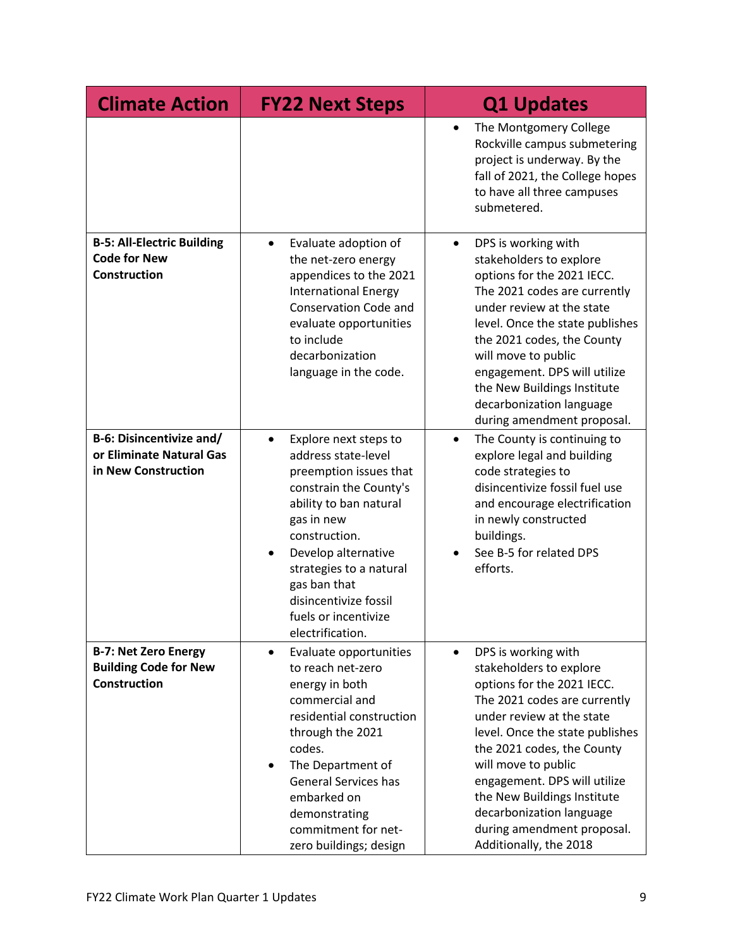| <b>Climate Action</b>                                                              | <b>FY22 Next Steps</b>                                                                                                                                                                                                                                                                                        | <b>Q1 Updates</b>                                                                                                                                                                                                                                                                                                                                                                                 |
|------------------------------------------------------------------------------------|---------------------------------------------------------------------------------------------------------------------------------------------------------------------------------------------------------------------------------------------------------------------------------------------------------------|---------------------------------------------------------------------------------------------------------------------------------------------------------------------------------------------------------------------------------------------------------------------------------------------------------------------------------------------------------------------------------------------------|
|                                                                                    |                                                                                                                                                                                                                                                                                                               | The Montgomery College<br>$\bullet$<br>Rockville campus submetering<br>project is underway. By the<br>fall of 2021, the College hopes<br>to have all three campuses<br>submetered.                                                                                                                                                                                                                |
| <b>B-5: All-Electric Building</b><br><b>Code for New</b><br><b>Construction</b>    | Evaluate adoption of<br>$\bullet$<br>the net-zero energy<br>appendices to the 2021<br><b>International Energy</b><br><b>Conservation Code and</b><br>evaluate opportunities<br>to include<br>decarbonization<br>language in the code.                                                                         | DPS is working with<br>$\bullet$<br>stakeholders to explore<br>options for the 2021 IECC.<br>The 2021 codes are currently<br>under review at the state<br>level. Once the state publishes<br>the 2021 codes, the County<br>will move to public<br>engagement. DPS will utilize<br>the New Buildings Institute<br>decarbonization language<br>during amendment proposal.                           |
| <b>B-6: Disincentivize and/</b><br>or Eliminate Natural Gas<br>in New Construction | Explore next steps to<br>$\bullet$<br>address state-level<br>preemption issues that<br>constrain the County's<br>ability to ban natural<br>gas in new<br>construction.<br>Develop alternative<br>strategies to a natural<br>gas ban that<br>disincentivize fossil<br>fuels or incentivize<br>electrification. | The County is continuing to<br>$\bullet$<br>explore legal and building<br>code strategies to<br>disincentivize fossil fuel use<br>and encourage electrification<br>in newly constructed<br>buildings.<br>See B-5 for related DPS<br>efforts.                                                                                                                                                      |
| <b>B-7: Net Zero Energy</b><br><b>Building Code for New</b><br><b>Construction</b> | Evaluate opportunities<br>$\bullet$<br>to reach net-zero<br>energy in both<br>commercial and<br>residential construction<br>through the 2021<br>codes.<br>The Department of<br>$\bullet$<br><b>General Services has</b><br>embarked on<br>demonstrating<br>commitment for net-<br>zero buildings; design      | DPS is working with<br>$\bullet$<br>stakeholders to explore<br>options for the 2021 IECC.<br>The 2021 codes are currently<br>under review at the state<br>level. Once the state publishes<br>the 2021 codes, the County<br>will move to public<br>engagement. DPS will utilize<br>the New Buildings Institute<br>decarbonization language<br>during amendment proposal.<br>Additionally, the 2018 |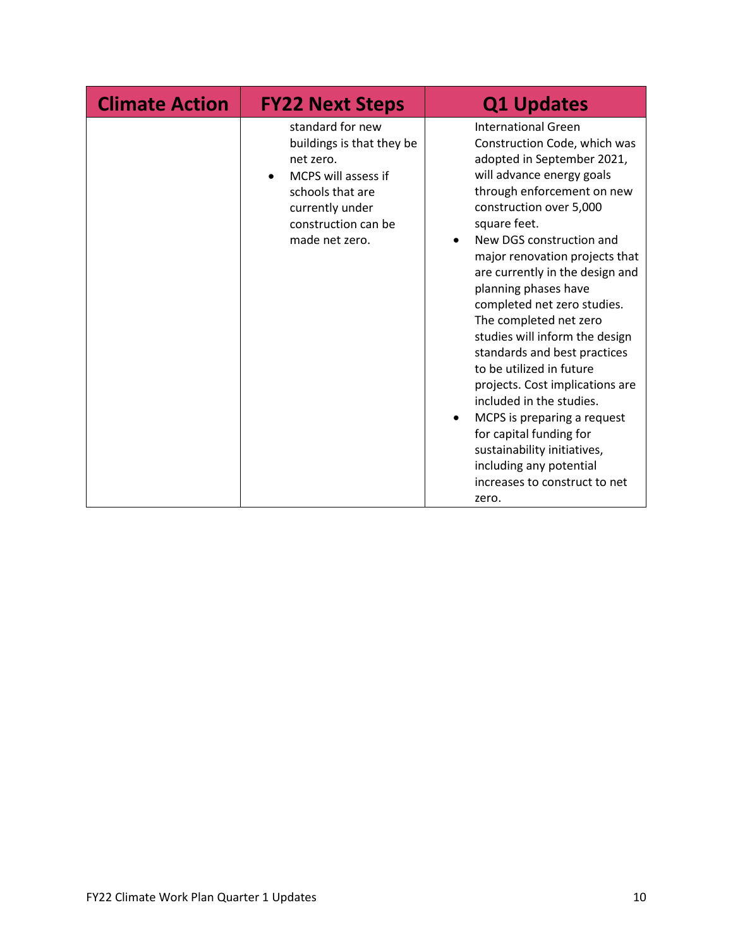| <b>Climate Action</b> | <b>FY22 Next Steps</b>                                                                                                                                            | <b>Q1 Updates</b>                                                                                                                                                                                                                                                                                                                                                                                                                                                                                                                                                                                                                                                                                           |
|-----------------------|-------------------------------------------------------------------------------------------------------------------------------------------------------------------|-------------------------------------------------------------------------------------------------------------------------------------------------------------------------------------------------------------------------------------------------------------------------------------------------------------------------------------------------------------------------------------------------------------------------------------------------------------------------------------------------------------------------------------------------------------------------------------------------------------------------------------------------------------------------------------------------------------|
|                       | standard for new<br>buildings is that they be<br>net zero.<br>MCPS will assess if<br>schools that are<br>currently under<br>construction can be<br>made net zero. | <b>International Green</b><br>Construction Code, which was<br>adopted in September 2021,<br>will advance energy goals<br>through enforcement on new<br>construction over 5,000<br>square feet.<br>New DGS construction and<br>major renovation projects that<br>are currently in the design and<br>planning phases have<br>completed net zero studies.<br>The completed net zero<br>studies will inform the design<br>standards and best practices<br>to be utilized in future<br>projects. Cost implications are<br>included in the studies.<br>MCPS is preparing a request<br>for capital funding for<br>sustainability initiatives,<br>including any potential<br>increases to construct to net<br>zero. |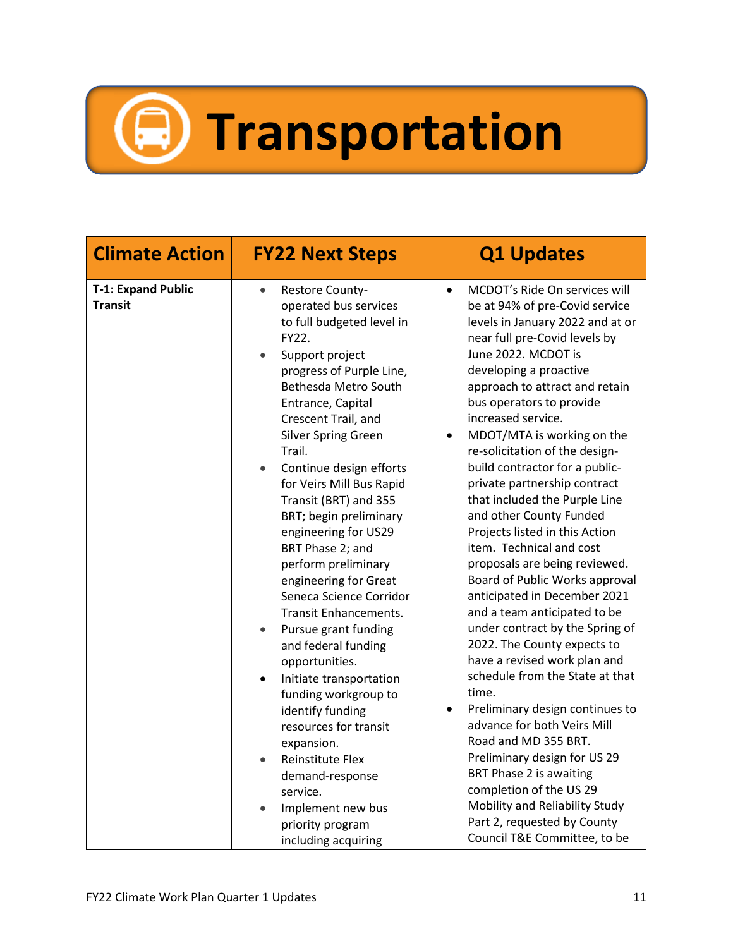## **Transportation**

| <b>Climate Action</b><br><b>FY22 Next Steps</b>                                                                                                                                                                                                                                                                                                                                                                                                                                                                                                                                                                                                                                                                                                                                                                                                                                                                                                         |                                                                                                                                                                                                                                                                                                                                                                                                                                                                                                                                                                                                                                                                                                                                                                                                                                                                                                                                                                                                                                                                                                                                                |
|---------------------------------------------------------------------------------------------------------------------------------------------------------------------------------------------------------------------------------------------------------------------------------------------------------------------------------------------------------------------------------------------------------------------------------------------------------------------------------------------------------------------------------------------------------------------------------------------------------------------------------------------------------------------------------------------------------------------------------------------------------------------------------------------------------------------------------------------------------------------------------------------------------------------------------------------------------|------------------------------------------------------------------------------------------------------------------------------------------------------------------------------------------------------------------------------------------------------------------------------------------------------------------------------------------------------------------------------------------------------------------------------------------------------------------------------------------------------------------------------------------------------------------------------------------------------------------------------------------------------------------------------------------------------------------------------------------------------------------------------------------------------------------------------------------------------------------------------------------------------------------------------------------------------------------------------------------------------------------------------------------------------------------------------------------------------------------------------------------------|
| <b>T-1: Expand Public</b><br><b>Restore County-</b><br>$\bullet$<br><b>Transit</b><br>operated bus services<br>to full budgeted level in<br>FY22.<br>Support project<br>progress of Purple Line,<br>Bethesda Metro South<br>Entrance, Capital<br>Crescent Trail, and<br><b>Silver Spring Green</b><br>Trail.<br>Continue design efforts<br>$\bullet$<br>for Veirs Mill Bus Rapid<br>Transit (BRT) and 355<br>BRT; begin preliminary<br>engineering for US29<br>BRT Phase 2; and<br>perform preliminary<br>engineering for Great<br>Seneca Science Corridor<br><b>Transit Enhancements.</b><br>Pursue grant funding<br>$\bullet$<br>and federal funding<br>opportunities.<br>Initiate transportation<br>$\bullet$<br>funding workgroup to<br>identify funding<br>resources for transit<br>expansion.<br><b>Reinstitute Flex</b><br>$\bullet$<br>demand-response<br>service.<br>Implement new bus<br>$\bullet$<br>priority program<br>including acquiring | MCDOT's Ride On services will<br>$\bullet$<br>be at 94% of pre-Covid service<br>levels in January 2022 and at or<br>near full pre-Covid levels by<br>June 2022. MCDOT is<br>developing a proactive<br>approach to attract and retain<br>bus operators to provide<br>increased service.<br>MDOT/MTA is working on the<br>$\bullet$<br>re-solicitation of the design-<br>build contractor for a public-<br>private partnership contract<br>that included the Purple Line<br>and other County Funded<br>Projects listed in this Action<br>item. Technical and cost<br>proposals are being reviewed.<br>Board of Public Works approval<br>anticipated in December 2021<br>and a team anticipated to be<br>under contract by the Spring of<br>2022. The County expects to<br>have a revised work plan and<br>schedule from the State at that<br>time.<br>Preliminary design continues to<br>$\bullet$<br>advance for both Veirs Mill<br>Road and MD 355 BRT.<br>Preliminary design for US 29<br>BRT Phase 2 is awaiting<br>completion of the US 29<br>Mobility and Reliability Study<br>Part 2, requested by County<br>Council T&E Committee, to be |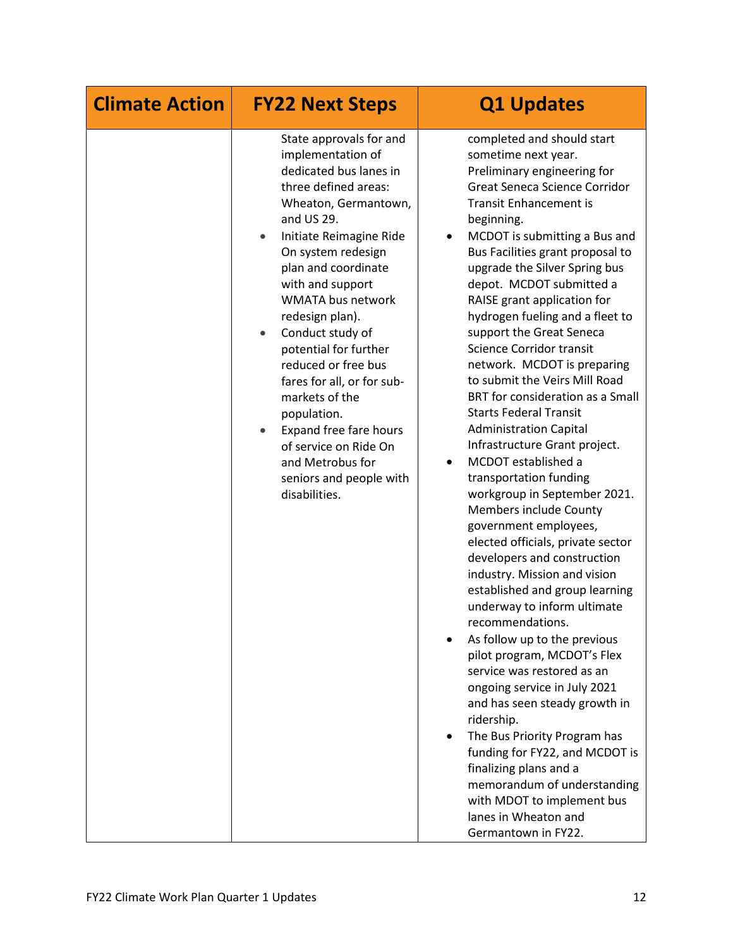| <b>Climate Action</b> | <b>FY22 Next Steps</b>                                                                                                                                                                                                                                                                                                                                                                                                                                                                                                                                               | <b>Q1 Updates</b>                                                                                                                                                                                                                                                                                                                                                                                                                                                                                                                                                                                                                                                                                                                                                                                                                                                                                                                                                                                                                                                                                                                                                                                                                                                                                                                                                 |
|-----------------------|----------------------------------------------------------------------------------------------------------------------------------------------------------------------------------------------------------------------------------------------------------------------------------------------------------------------------------------------------------------------------------------------------------------------------------------------------------------------------------------------------------------------------------------------------------------------|-------------------------------------------------------------------------------------------------------------------------------------------------------------------------------------------------------------------------------------------------------------------------------------------------------------------------------------------------------------------------------------------------------------------------------------------------------------------------------------------------------------------------------------------------------------------------------------------------------------------------------------------------------------------------------------------------------------------------------------------------------------------------------------------------------------------------------------------------------------------------------------------------------------------------------------------------------------------------------------------------------------------------------------------------------------------------------------------------------------------------------------------------------------------------------------------------------------------------------------------------------------------------------------------------------------------------------------------------------------------|
|                       | State approvals for and<br>implementation of<br>dedicated bus lanes in<br>three defined areas:<br>Wheaton, Germantown,<br>and US 29.<br>Initiate Reimagine Ride<br>٠<br>On system redesign<br>plan and coordinate<br>with and support<br><b>WMATA bus network</b><br>redesign plan).<br>Conduct study of<br>$\bullet$<br>potential for further<br>reduced or free bus<br>fares for all, or for sub-<br>markets of the<br>population.<br>Expand free fare hours<br>$\bullet$<br>of service on Ride On<br>and Metrobus for<br>seniors and people with<br>disabilities. | completed and should start<br>sometime next year.<br>Preliminary engineering for<br>Great Seneca Science Corridor<br><b>Transit Enhancement is</b><br>beginning.<br>MCDOT is submitting a Bus and<br>$\bullet$<br>Bus Facilities grant proposal to<br>upgrade the Silver Spring bus<br>depot. MCDOT submitted a<br>RAISE grant application for<br>hydrogen fueling and a fleet to<br>support the Great Seneca<br>Science Corridor transit<br>network. MCDOT is preparing<br>to submit the Veirs Mill Road<br>BRT for consideration as a Small<br><b>Starts Federal Transit</b><br><b>Administration Capital</b><br>Infrastructure Grant project.<br>MCDOT established a<br>transportation funding<br>workgroup in September 2021.<br>Members include County<br>government employees,<br>elected officials, private sector<br>developers and construction<br>industry. Mission and vision<br>established and group learning<br>underway to inform ultimate<br>recommendations.<br>As follow up to the previous<br>pilot program, MCDOT's Flex<br>service was restored as an<br>ongoing service in July 2021<br>and has seen steady growth in<br>ridership.<br>The Bus Priority Program has<br>funding for FY22, and MCDOT is<br>finalizing plans and a<br>memorandum of understanding<br>with MDOT to implement bus<br>lanes in Wheaton and<br>Germantown in FY22. |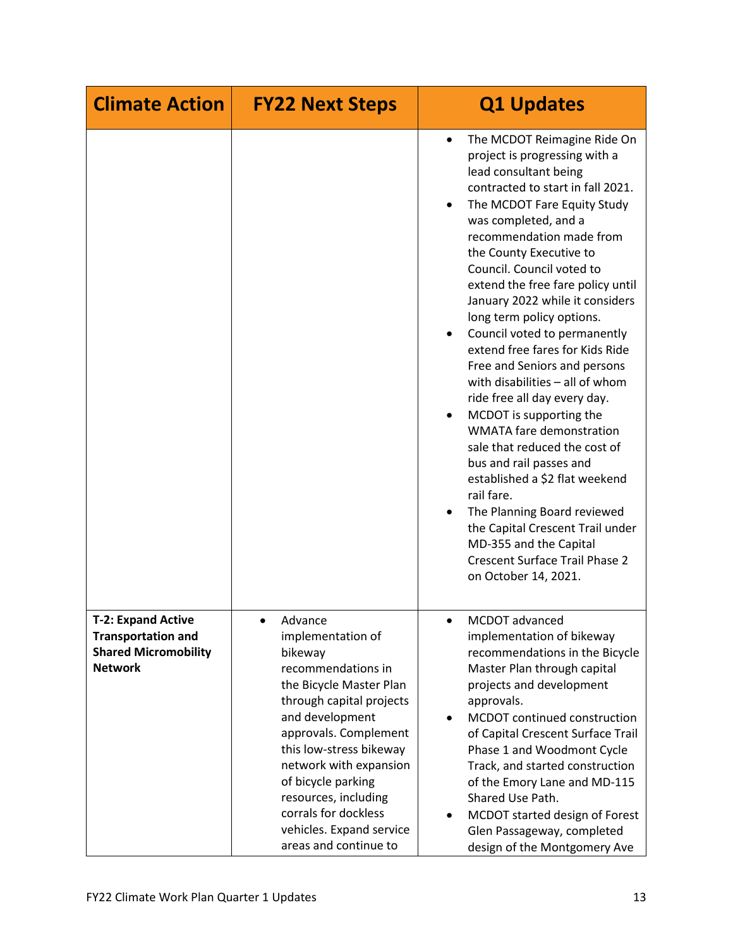| <b>Climate Action</b>                                                                                   | <b>FY22 Next Steps</b>                                                                                                                                                                                                                                                                                                                           | <b>Q1 Updates</b>                                                                                                                                                                                                                                                                                                                                                                                                                                                                                                                                                                                                                                                                                                                                                                                                                                                                                          |
|---------------------------------------------------------------------------------------------------------|--------------------------------------------------------------------------------------------------------------------------------------------------------------------------------------------------------------------------------------------------------------------------------------------------------------------------------------------------|------------------------------------------------------------------------------------------------------------------------------------------------------------------------------------------------------------------------------------------------------------------------------------------------------------------------------------------------------------------------------------------------------------------------------------------------------------------------------------------------------------------------------------------------------------------------------------------------------------------------------------------------------------------------------------------------------------------------------------------------------------------------------------------------------------------------------------------------------------------------------------------------------------|
|                                                                                                         |                                                                                                                                                                                                                                                                                                                                                  | The MCDOT Reimagine Ride On<br>$\bullet$<br>project is progressing with a<br>lead consultant being<br>contracted to start in fall 2021.<br>The MCDOT Fare Equity Study<br>٠<br>was completed, and a<br>recommendation made from<br>the County Executive to<br>Council. Council voted to<br>extend the free fare policy until<br>January 2022 while it considers<br>long term policy options.<br>Council voted to permanently<br>extend free fares for Kids Ride<br>Free and Seniors and persons<br>with disabilities - all of whom<br>ride free all day every day.<br>MCDOT is supporting the<br><b>WMATA fare demonstration</b><br>sale that reduced the cost of<br>bus and rail passes and<br>established a \$2 flat weekend<br>rail fare.<br>The Planning Board reviewed<br>the Capital Crescent Trail under<br>MD-355 and the Capital<br><b>Crescent Surface Trail Phase 2</b><br>on October 14, 2021. |
| <b>T-2: Expand Active</b><br><b>Transportation and</b><br><b>Shared Micromobility</b><br><b>Network</b> | Advance<br>implementation of<br>bikeway<br>recommendations in<br>the Bicycle Master Plan<br>through capital projects<br>and development<br>approvals. Complement<br>this low-stress bikeway<br>network with expansion<br>of bicycle parking<br>resources, including<br>corrals for dockless<br>vehicles. Expand service<br>areas and continue to | MCDOT advanced<br>implementation of bikeway<br>recommendations in the Bicycle<br>Master Plan through capital<br>projects and development<br>approvals.<br>MCDOT continued construction<br>$\bullet$<br>of Capital Crescent Surface Trail<br>Phase 1 and Woodmont Cycle<br>Track, and started construction<br>of the Emory Lane and MD-115<br>Shared Use Path.<br>MCDOT started design of Forest<br>Glen Passageway, completed<br>design of the Montgomery Ave                                                                                                                                                                                                                                                                                                                                                                                                                                              |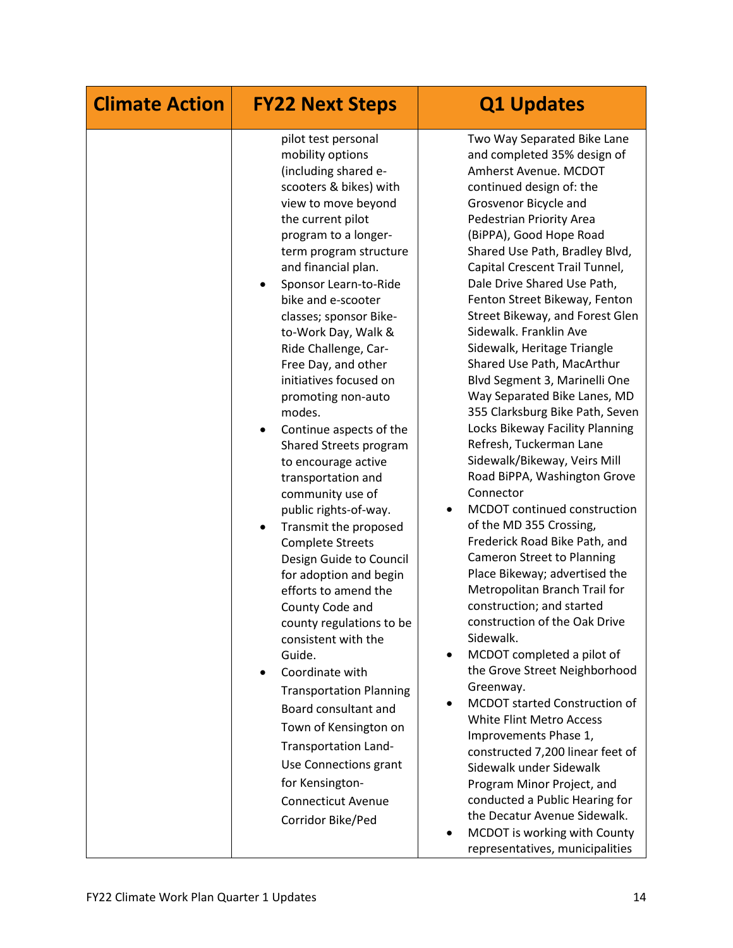| <b>Climate Action</b> | <b>FY22 Next Steps</b>                                                                                                                                                                                                                                                                                                                                                                                                                                                                                                                                                                                                                                                                                                                                                                                                                                                                                                                                                                                                                     | <b>Q1 Updates</b>                                                                                                                                                                                                                                                                                                                                                                                                                                                                                                                                                                                                                                                                                                                                                                                                                                                                                                                                                                                                                                                                                                                                                                                                                                                                                                                                                                                                                                  |
|-----------------------|--------------------------------------------------------------------------------------------------------------------------------------------------------------------------------------------------------------------------------------------------------------------------------------------------------------------------------------------------------------------------------------------------------------------------------------------------------------------------------------------------------------------------------------------------------------------------------------------------------------------------------------------------------------------------------------------------------------------------------------------------------------------------------------------------------------------------------------------------------------------------------------------------------------------------------------------------------------------------------------------------------------------------------------------|----------------------------------------------------------------------------------------------------------------------------------------------------------------------------------------------------------------------------------------------------------------------------------------------------------------------------------------------------------------------------------------------------------------------------------------------------------------------------------------------------------------------------------------------------------------------------------------------------------------------------------------------------------------------------------------------------------------------------------------------------------------------------------------------------------------------------------------------------------------------------------------------------------------------------------------------------------------------------------------------------------------------------------------------------------------------------------------------------------------------------------------------------------------------------------------------------------------------------------------------------------------------------------------------------------------------------------------------------------------------------------------------------------------------------------------------------|
|                       | pilot test personal<br>mobility options<br>(including shared e-<br>scooters & bikes) with<br>view to move beyond<br>the current pilot<br>program to a longer-<br>term program structure<br>and financial plan.<br>Sponsor Learn-to-Ride<br>٠<br>bike and e-scooter<br>classes; sponsor Bike-<br>to-Work Day, Walk &<br>Ride Challenge, Car-<br>Free Day, and other<br>initiatives focused on<br>promoting non-auto<br>modes.<br>Continue aspects of the<br>$\bullet$<br>Shared Streets program<br>to encourage active<br>transportation and<br>community use of<br>public rights-of-way.<br>Transmit the proposed<br>٠<br><b>Complete Streets</b><br>Design Guide to Council<br>for adoption and begin<br>efforts to amend the<br>County Code and<br>county regulations to be<br>consistent with the<br>Guide.<br>Coordinate with<br><b>Transportation Planning</b><br>Board consultant and<br>Town of Kensington on<br>Transportation Land-<br>Use Connections grant<br>for Kensington-<br><b>Connecticut Avenue</b><br>Corridor Bike/Ped | Two Way Separated Bike Lane<br>and completed 35% design of<br>Amherst Avenue. MCDOT<br>continued design of: the<br>Grosvenor Bicycle and<br>Pedestrian Priority Area<br>(BiPPA), Good Hope Road<br>Shared Use Path, Bradley Blvd,<br>Capital Crescent Trail Tunnel,<br>Dale Drive Shared Use Path,<br>Fenton Street Bikeway, Fenton<br>Street Bikeway, and Forest Glen<br>Sidewalk, Franklin Ave<br>Sidewalk, Heritage Triangle<br>Shared Use Path, MacArthur<br>Blvd Segment 3, Marinelli One<br>Way Separated Bike Lanes, MD<br>355 Clarksburg Bike Path, Seven<br>Locks Bikeway Facility Planning<br>Refresh, Tuckerman Lane<br>Sidewalk/Bikeway, Veirs Mill<br>Road BiPPA, Washington Grove<br>Connector<br>MCDOT continued construction<br>$\bullet$<br>of the MD 355 Crossing,<br>Frederick Road Bike Path, and<br><b>Cameron Street to Planning</b><br>Place Bikeway; advertised the<br>Metropolitan Branch Trail for<br>construction; and started<br>construction of the Oak Drive<br>Sidewalk.<br>MCDOT completed a pilot of<br>$\bullet$<br>the Grove Street Neighborhood<br>Greenway.<br>MCDOT started Construction of<br>$\bullet$<br>White Flint Metro Access<br>Improvements Phase 1,<br>constructed 7,200 linear feet of<br>Sidewalk under Sidewalk<br>Program Minor Project, and<br>conducted a Public Hearing for<br>the Decatur Avenue Sidewalk.<br>MCDOT is working with County<br>$\bullet$<br>representatives, municipalities |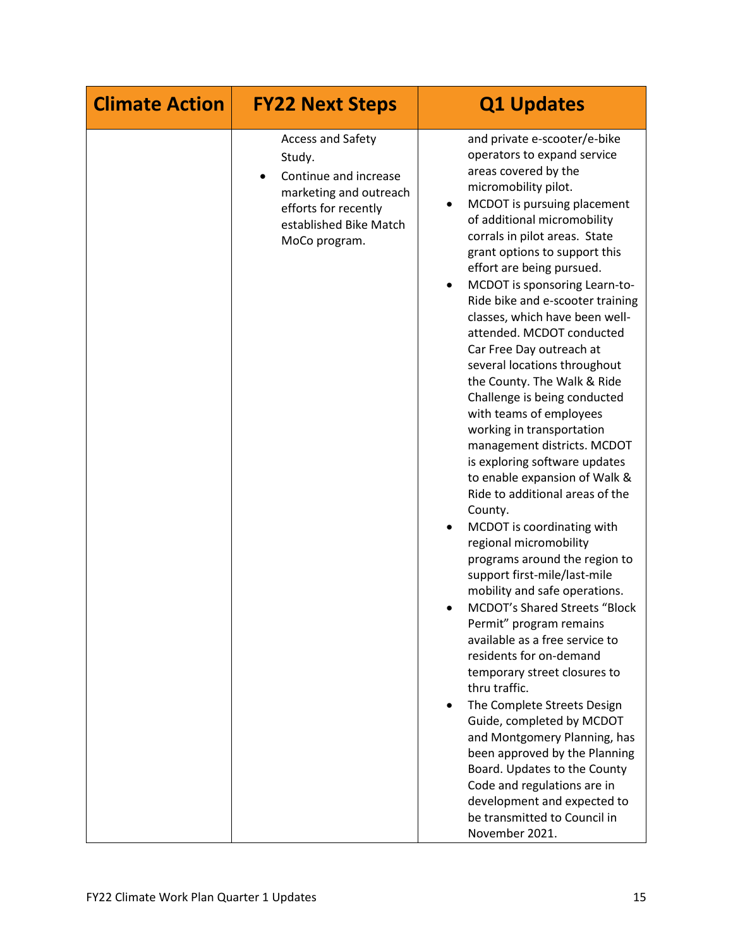| <b>Climate Action</b> | <b>FY22 Next Steps</b>                                                                                                                                   | <b>Q1 Updates</b>                                                                                                                                                                                                                                                                                                                                                                                                                                                                                                                                                                                                                                                                                                                                                                                                                                                                                                                                                                                                                                                                                                                                                                                                                                                                                                                                                           |
|-----------------------|----------------------------------------------------------------------------------------------------------------------------------------------------------|-----------------------------------------------------------------------------------------------------------------------------------------------------------------------------------------------------------------------------------------------------------------------------------------------------------------------------------------------------------------------------------------------------------------------------------------------------------------------------------------------------------------------------------------------------------------------------------------------------------------------------------------------------------------------------------------------------------------------------------------------------------------------------------------------------------------------------------------------------------------------------------------------------------------------------------------------------------------------------------------------------------------------------------------------------------------------------------------------------------------------------------------------------------------------------------------------------------------------------------------------------------------------------------------------------------------------------------------------------------------------------|
|                       | <b>Access and Safety</b><br>Study.<br>Continue and increase<br>marketing and outreach<br>efforts for recently<br>established Bike Match<br>MoCo program. | and private e-scooter/e-bike<br>operators to expand service<br>areas covered by the<br>micromobility pilot.<br>MCDOT is pursuing placement<br>of additional micromobility<br>corrals in pilot areas. State<br>grant options to support this<br>effort are being pursued.<br>MCDOT is sponsoring Learn-to-<br>٠<br>Ride bike and e-scooter training<br>classes, which have been well-<br>attended. MCDOT conducted<br>Car Free Day outreach at<br>several locations throughout<br>the County. The Walk & Ride<br>Challenge is being conducted<br>with teams of employees<br>working in transportation<br>management districts. MCDOT<br>is exploring software updates<br>to enable expansion of Walk &<br>Ride to additional areas of the<br>County.<br>MCDOT is coordinating with<br>regional micromobility<br>programs around the region to<br>support first-mile/last-mile<br>mobility and safe operations.<br><b>MCDOT's Shared Streets "Block</b><br>Permit" program remains<br>available as a free service to<br>residents for on-demand<br>temporary street closures to<br>thru traffic.<br>The Complete Streets Design<br>Guide, completed by MCDOT<br>and Montgomery Planning, has<br>been approved by the Planning<br>Board. Updates to the County<br>Code and regulations are in<br>development and expected to<br>be transmitted to Council in<br>November 2021. |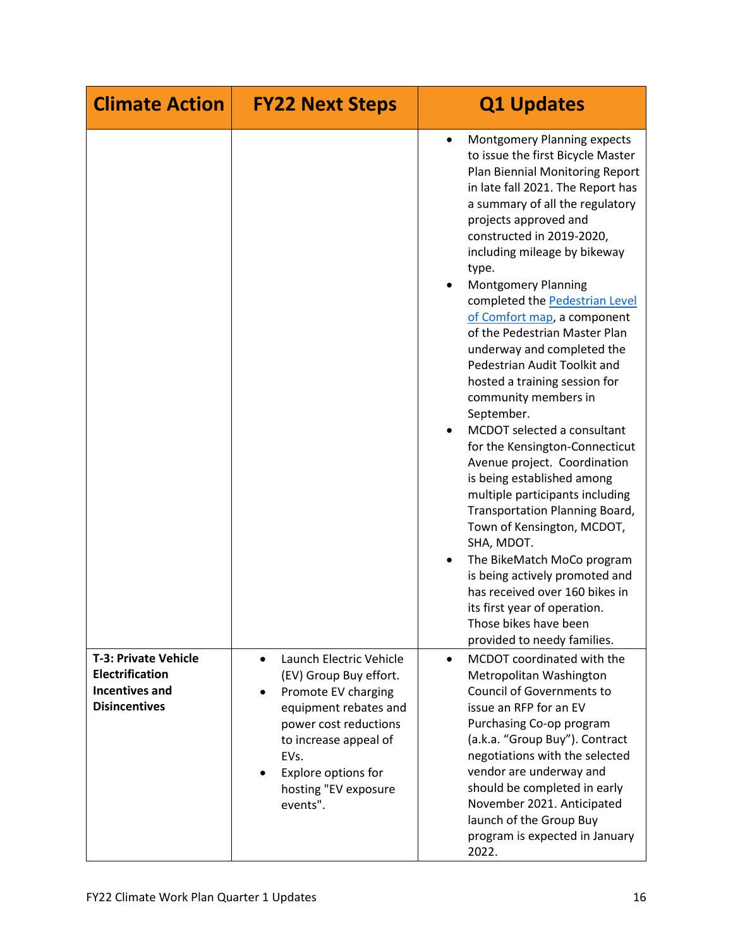| <b>Climate Action</b>                                                                                  | <b>FY22 Next Steps</b>                                                                                                                                                                                                                                        | <b>Q1 Updates</b>                                                                                                                                                                                                                                                                                                                                                                                                                                                                                                                                                                                                                                                                                                                                                                                                                                                                                                                                                                                                          |
|--------------------------------------------------------------------------------------------------------|---------------------------------------------------------------------------------------------------------------------------------------------------------------------------------------------------------------------------------------------------------------|----------------------------------------------------------------------------------------------------------------------------------------------------------------------------------------------------------------------------------------------------------------------------------------------------------------------------------------------------------------------------------------------------------------------------------------------------------------------------------------------------------------------------------------------------------------------------------------------------------------------------------------------------------------------------------------------------------------------------------------------------------------------------------------------------------------------------------------------------------------------------------------------------------------------------------------------------------------------------------------------------------------------------|
|                                                                                                        |                                                                                                                                                                                                                                                               | <b>Montgomery Planning expects</b><br>$\bullet$<br>to issue the first Bicycle Master<br>Plan Biennial Monitoring Report<br>in late fall 2021. The Report has<br>a summary of all the regulatory<br>projects approved and<br>constructed in 2019-2020,<br>including mileage by bikeway<br>type.<br><b>Montgomery Planning</b><br>$\bullet$<br>completed the Pedestrian Level<br>of Comfort map, a component<br>of the Pedestrian Master Plan<br>underway and completed the<br>Pedestrian Audit Toolkit and<br>hosted a training session for<br>community members in<br>September.<br>MCDOT selected a consultant<br>for the Kensington-Connecticut<br>Avenue project. Coordination<br>is being established among<br>multiple participants including<br>Transportation Planning Board,<br>Town of Kensington, MCDOT,<br>SHA, MDOT.<br>The BikeMatch MoCo program<br>is being actively promoted and<br>has received over 160 bikes in<br>its first year of operation.<br>Those bikes have been<br>provided to needy families. |
| <b>T-3: Private Vehicle</b><br><b>Electrification</b><br><b>Incentives and</b><br><b>Disincentives</b> | Launch Electric Vehicle<br>$\bullet$<br>(EV) Group Buy effort.<br>Promote EV charging<br>$\bullet$<br>equipment rebates and<br>power cost reductions<br>to increase appeal of<br>EVs.<br>Explore options for<br>$\bullet$<br>hosting "EV exposure<br>events". | MCDOT coordinated with the<br>$\bullet$<br>Metropolitan Washington<br>Council of Governments to<br>issue an RFP for an EV<br>Purchasing Co-op program<br>(a.k.a. "Group Buy"). Contract<br>negotiations with the selected<br>vendor are underway and<br>should be completed in early<br>November 2021. Anticipated<br>launch of the Group Buy<br>program is expected in January<br>2022.                                                                                                                                                                                                                                                                                                                                                                                                                                                                                                                                                                                                                                   |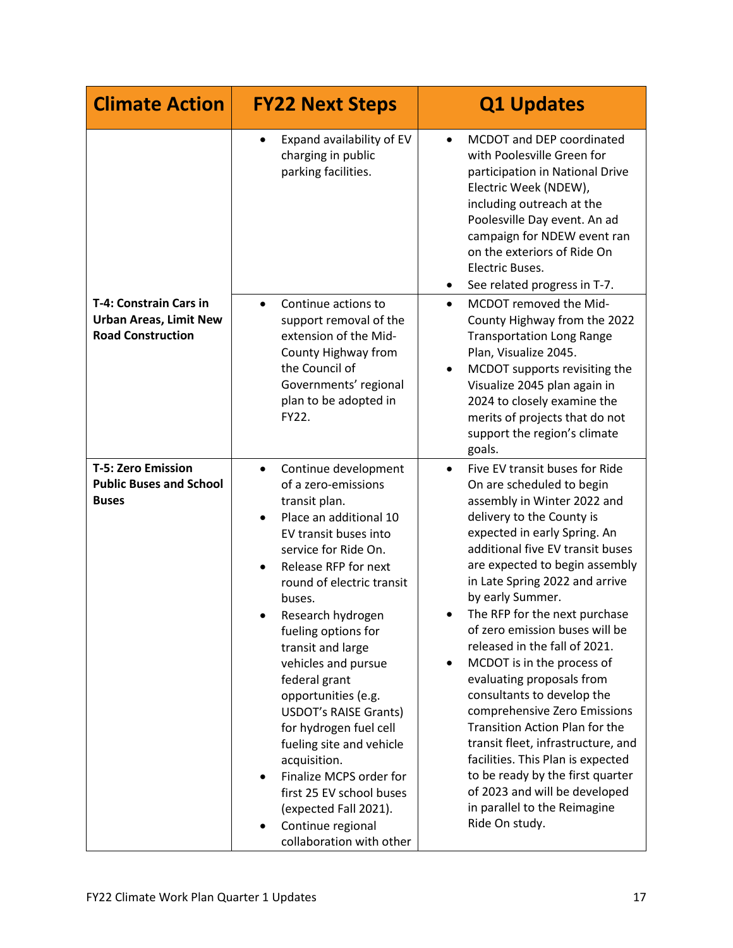| <b>Climate Action</b>                                                               | <b>FY22 Next Steps</b>                                                                                                                                                                                                                                                                                                                                                                                                                                                                                                                                                                                  | <b>Q1 Updates</b>                                                                                                                                                                                                                                                                                                                                                                                                                                                                                                                                                                                                                                                                                                                                                                                  |
|-------------------------------------------------------------------------------------|---------------------------------------------------------------------------------------------------------------------------------------------------------------------------------------------------------------------------------------------------------------------------------------------------------------------------------------------------------------------------------------------------------------------------------------------------------------------------------------------------------------------------------------------------------------------------------------------------------|----------------------------------------------------------------------------------------------------------------------------------------------------------------------------------------------------------------------------------------------------------------------------------------------------------------------------------------------------------------------------------------------------------------------------------------------------------------------------------------------------------------------------------------------------------------------------------------------------------------------------------------------------------------------------------------------------------------------------------------------------------------------------------------------------|
|                                                                                     | Expand availability of EV<br>$\bullet$<br>charging in public<br>parking facilities.                                                                                                                                                                                                                                                                                                                                                                                                                                                                                                                     | MCDOT and DEP coordinated<br>$\bullet$<br>with Poolesville Green for<br>participation in National Drive<br>Electric Week (NDEW),<br>including outreach at the<br>Poolesville Day event. An ad<br>campaign for NDEW event ran<br>on the exteriors of Ride On<br>Electric Buses.<br>See related progress in T-7.<br>$\bullet$                                                                                                                                                                                                                                                                                                                                                                                                                                                                        |
| T-4: Constrain Cars in<br><b>Urban Areas, Limit New</b><br><b>Road Construction</b> | Continue actions to<br>$\bullet$<br>support removal of the<br>extension of the Mid-<br>County Highway from<br>the Council of<br>Governments' regional<br>plan to be adopted in<br>FY22.                                                                                                                                                                                                                                                                                                                                                                                                                 | MCDOT removed the Mid-<br>$\bullet$<br>County Highway from the 2022<br><b>Transportation Long Range</b><br>Plan, Visualize 2045.<br>MCDOT supports revisiting the<br>$\bullet$<br>Visualize 2045 plan again in<br>2024 to closely examine the<br>merits of projects that do not<br>support the region's climate<br>goals.                                                                                                                                                                                                                                                                                                                                                                                                                                                                          |
| <b>T-5: Zero Emission</b><br><b>Public Buses and School</b><br><b>Buses</b>         | Continue development<br>$\bullet$<br>of a zero-emissions<br>transit plan.<br>Place an additional 10<br>EV transit buses into<br>service for Ride On.<br>Release RFP for next<br>round of electric transit<br>buses.<br>Research hydrogen<br>fueling options for<br>transit and large<br>vehicles and pursue<br>federal grant<br>opportunities (e.g.<br><b>USDOT's RAISE Grants)</b><br>for hydrogen fuel cell<br>fueling site and vehicle<br>acquisition.<br>Finalize MCPS order for<br>$\bullet$<br>first 25 EV school buses<br>(expected Fall 2021).<br>Continue regional<br>collaboration with other | Five EV transit buses for Ride<br>$\bullet$<br>On are scheduled to begin<br>assembly in Winter 2022 and<br>delivery to the County is<br>expected in early Spring. An<br>additional five EV transit buses<br>are expected to begin assembly<br>in Late Spring 2022 and arrive<br>by early Summer.<br>The RFP for the next purchase<br>$\bullet$<br>of zero emission buses will be<br>released in the fall of 2021.<br>MCDOT is in the process of<br>$\bullet$<br>evaluating proposals from<br>consultants to develop the<br>comprehensive Zero Emissions<br><b>Transition Action Plan for the</b><br>transit fleet, infrastructure, and<br>facilities. This Plan is expected<br>to be ready by the first quarter<br>of 2023 and will be developed<br>in parallel to the Reimagine<br>Ride On study. |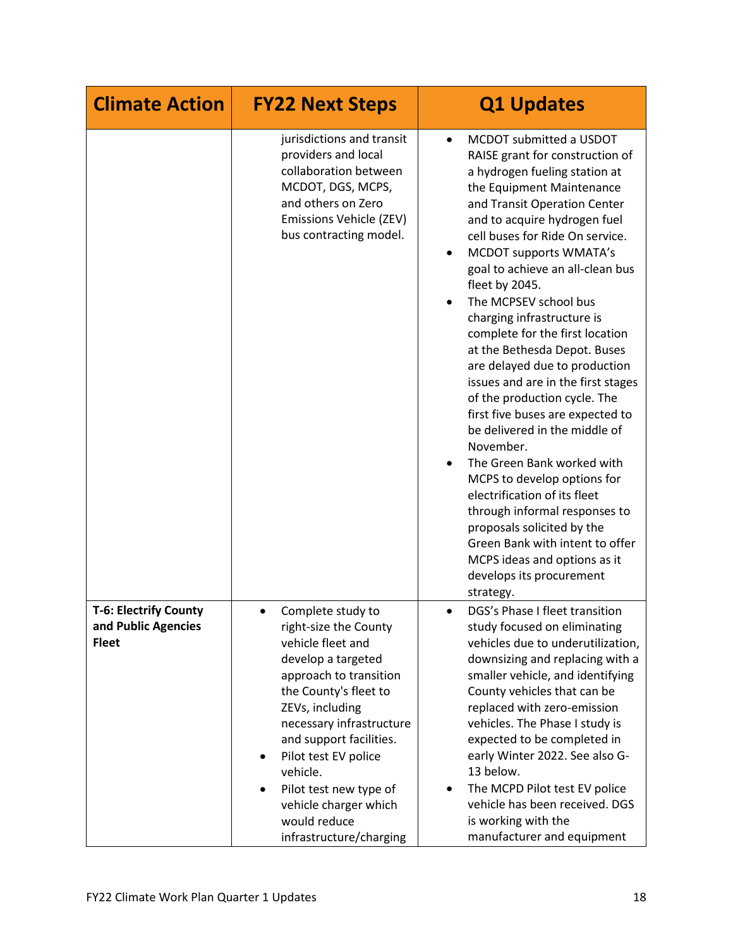| <b>Climate Action</b>                                               | <b>FY22 Next Steps</b>                                                                                                                                                                                                                                                                                                                                                 | <b>Q1 Updates</b>                                                                                                                                                                                                                                                                                                                                                                                                                                                                                                                                                                                                                                                                                                                                                                                                                                                                                                                       |
|---------------------------------------------------------------------|------------------------------------------------------------------------------------------------------------------------------------------------------------------------------------------------------------------------------------------------------------------------------------------------------------------------------------------------------------------------|-----------------------------------------------------------------------------------------------------------------------------------------------------------------------------------------------------------------------------------------------------------------------------------------------------------------------------------------------------------------------------------------------------------------------------------------------------------------------------------------------------------------------------------------------------------------------------------------------------------------------------------------------------------------------------------------------------------------------------------------------------------------------------------------------------------------------------------------------------------------------------------------------------------------------------------------|
|                                                                     | jurisdictions and transit<br>providers and local<br>collaboration between<br>MCDOT, DGS, MCPS,<br>and others on Zero<br>Emissions Vehicle (ZEV)<br>bus contracting model.                                                                                                                                                                                              | MCDOT submitted a USDOT<br>$\bullet$<br>RAISE grant for construction of<br>a hydrogen fueling station at<br>the Equipment Maintenance<br>and Transit Operation Center<br>and to acquire hydrogen fuel<br>cell buses for Ride On service.<br><b>MCDOT supports WMATA's</b><br>$\bullet$<br>goal to achieve an all-clean bus<br>fleet by 2045.<br>The MCPSEV school bus<br>charging infrastructure is<br>complete for the first location<br>at the Bethesda Depot. Buses<br>are delayed due to production<br>issues and are in the first stages<br>of the production cycle. The<br>first five buses are expected to<br>be delivered in the middle of<br>November.<br>The Green Bank worked with<br>MCPS to develop options for<br>electrification of its fleet<br>through informal responses to<br>proposals solicited by the<br>Green Bank with intent to offer<br>MCPS ideas and options as it<br>develops its procurement<br>strategy. |
| <b>T-6: Electrify County</b><br>and Public Agencies<br><b>Fleet</b> | Complete study to<br>right-size the County<br>vehicle fleet and<br>develop a targeted<br>approach to transition<br>the County's fleet to<br>ZEVs, including<br>necessary infrastructure<br>and support facilities.<br>Pilot test EV police<br>٠<br>vehicle.<br>Pilot test new type of<br>$\bullet$<br>vehicle charger which<br>would reduce<br>infrastructure/charging | DGS's Phase I fleet transition<br>study focused on eliminating<br>vehicles due to underutilization,<br>downsizing and replacing with a<br>smaller vehicle, and identifying<br>County vehicles that can be<br>replaced with zero-emission<br>vehicles. The Phase I study is<br>expected to be completed in<br>early Winter 2022. See also G-<br>13 below.<br>The MCPD Pilot test EV police<br>$\bullet$<br>vehicle has been received. DGS<br>is working with the<br>manufacturer and equipment                                                                                                                                                                                                                                                                                                                                                                                                                                           |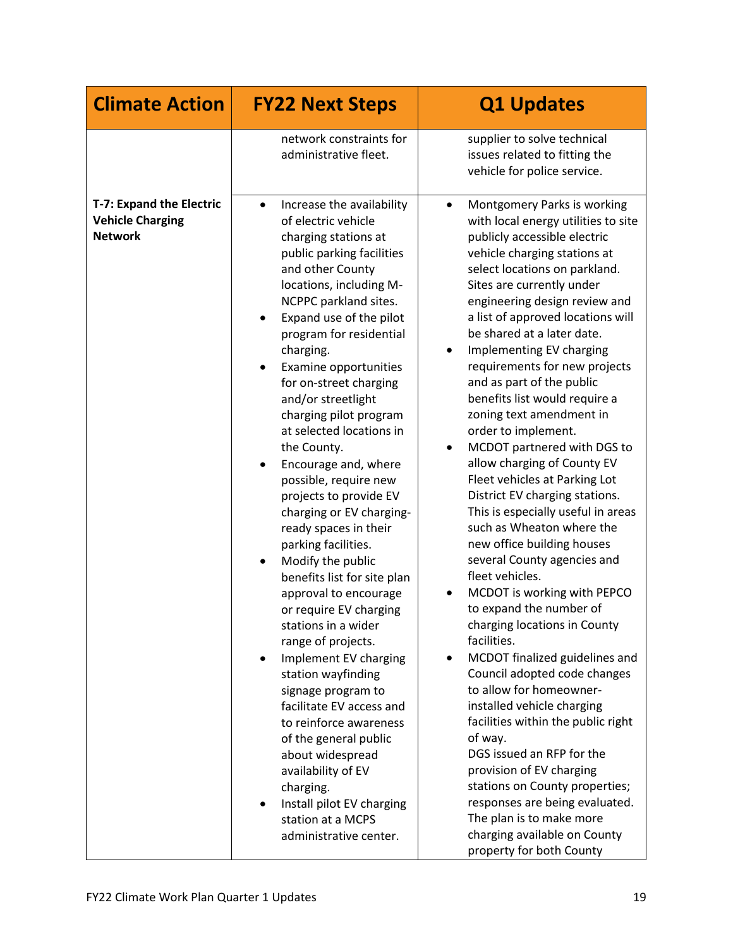| <b>Climate Action</b>                                                 | <b>FY22 Next Steps</b>                                                                                                                                                                                                                                                                                                                                                                                                                                                                                                                                                                                                                                                                                                                                                                                                                                                                                                                                                                                        | <b>Q1 Updates</b>                                                                                                                                                                                                                                                                                                                                                                                                                                                                                                                                                                                                                                                                                                                                                                                                                                                                                                                                                                                                                                                                                                                                                                                                                                                                             |
|-----------------------------------------------------------------------|---------------------------------------------------------------------------------------------------------------------------------------------------------------------------------------------------------------------------------------------------------------------------------------------------------------------------------------------------------------------------------------------------------------------------------------------------------------------------------------------------------------------------------------------------------------------------------------------------------------------------------------------------------------------------------------------------------------------------------------------------------------------------------------------------------------------------------------------------------------------------------------------------------------------------------------------------------------------------------------------------------------|-----------------------------------------------------------------------------------------------------------------------------------------------------------------------------------------------------------------------------------------------------------------------------------------------------------------------------------------------------------------------------------------------------------------------------------------------------------------------------------------------------------------------------------------------------------------------------------------------------------------------------------------------------------------------------------------------------------------------------------------------------------------------------------------------------------------------------------------------------------------------------------------------------------------------------------------------------------------------------------------------------------------------------------------------------------------------------------------------------------------------------------------------------------------------------------------------------------------------------------------------------------------------------------------------|
|                                                                       | network constraints for<br>administrative fleet.                                                                                                                                                                                                                                                                                                                                                                                                                                                                                                                                                                                                                                                                                                                                                                                                                                                                                                                                                              | supplier to solve technical<br>issues related to fitting the<br>vehicle for police service.                                                                                                                                                                                                                                                                                                                                                                                                                                                                                                                                                                                                                                                                                                                                                                                                                                                                                                                                                                                                                                                                                                                                                                                                   |
| T-7: Expand the Electric<br><b>Vehicle Charging</b><br><b>Network</b> | Increase the availability<br>$\bullet$<br>of electric vehicle<br>charging stations at<br>public parking facilities<br>and other County<br>locations, including M-<br>NCPPC parkland sites.<br>Expand use of the pilot<br>program for residential<br>charging.<br>Examine opportunities<br>for on-street charging<br>and/or streetlight<br>charging pilot program<br>at selected locations in<br>the County.<br>Encourage and, where<br>possible, require new<br>projects to provide EV<br>charging or EV charging-<br>ready spaces in their<br>parking facilities.<br>Modify the public<br>benefits list for site plan<br>approval to encourage<br>or require EV charging<br>stations in a wider<br>range of projects.<br>Implement EV charging<br>station wayfinding<br>signage program to<br>facilitate EV access and<br>to reinforce awareness<br>of the general public<br>about widespread<br>availability of EV<br>charging.<br>Install pilot EV charging<br>station at a MCPS<br>administrative center. | Montgomery Parks is working<br>$\bullet$<br>with local energy utilities to site<br>publicly accessible electric<br>vehicle charging stations at<br>select locations on parkland.<br>Sites are currently under<br>engineering design review and<br>a list of approved locations will<br>be shared at a later date.<br>Implementing EV charging<br>requirements for new projects<br>and as part of the public<br>benefits list would require a<br>zoning text amendment in<br>order to implement.<br>MCDOT partnered with DGS to<br>allow charging of County EV<br>Fleet vehicles at Parking Lot<br>District EV charging stations.<br>This is especially useful in areas<br>such as Wheaton where the<br>new office building houses<br>several County agencies and<br>fleet vehicles.<br>MCDOT is working with PEPCO<br>to expand the number of<br>charging locations in County<br>facilities.<br>MCDOT finalized guidelines and<br>Council adopted code changes<br>to allow for homeowner-<br>installed vehicle charging<br>facilities within the public right<br>of way.<br>DGS issued an RFP for the<br>provision of EV charging<br>stations on County properties;<br>responses are being evaluated.<br>The plan is to make more<br>charging available on County<br>property for both County |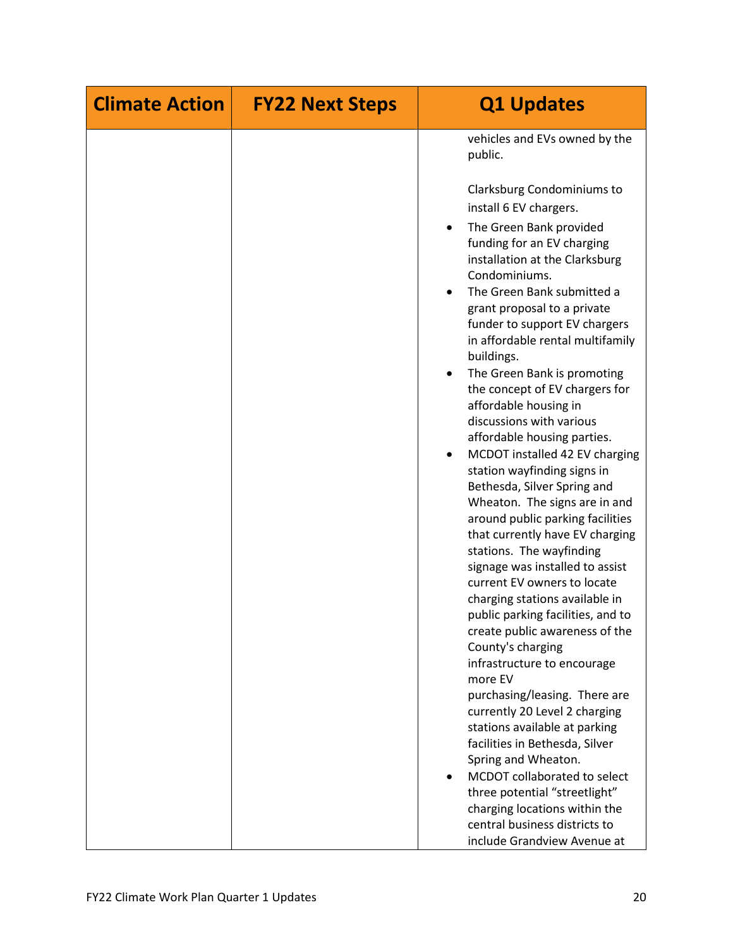| <b>Climate Action</b> | <b>FY22 Next Steps</b> | <b>Q1 Updates</b>                                                                                                                                                                                                                                                                                                                                                                                                                                                                                                                                                                                                                                                                                        |
|-----------------------|------------------------|----------------------------------------------------------------------------------------------------------------------------------------------------------------------------------------------------------------------------------------------------------------------------------------------------------------------------------------------------------------------------------------------------------------------------------------------------------------------------------------------------------------------------------------------------------------------------------------------------------------------------------------------------------------------------------------------------------|
|                       |                        | vehicles and EVs owned by the<br>public.<br>Clarksburg Condominiums to<br>install 6 EV chargers.<br>The Green Bank provided<br>funding for an EV charging<br>installation at the Clarksburg<br>Condominiums.<br>The Green Bank submitted a<br>grant proposal to a private<br>funder to support EV chargers<br>in affordable rental multifamily<br>buildings.<br>The Green Bank is promoting<br>the concept of EV chargers for<br>affordable housing in<br>discussions with various<br>affordable housing parties.<br>MCDOT installed 42 EV charging<br>$\bullet$<br>station wayfinding signs in<br>Bethesda, Silver Spring and                                                                           |
|                       |                        | Wheaton. The signs are in and<br>around public parking facilities<br>that currently have EV charging<br>stations. The wayfinding<br>signage was installed to assist<br>current EV owners to locate<br>charging stations available in<br>public parking facilities, and to<br>create public awareness of the<br>County's charging<br>infrastructure to encourage<br>more EV<br>purchasing/leasing. There are<br>currently 20 Level 2 charging<br>stations available at parking<br>facilities in Bethesda, Silver<br>Spring and Wheaton.<br>MCDOT collaborated to select<br>three potential "streetlight"<br>charging locations within the<br>central business districts to<br>include Grandview Avenue at |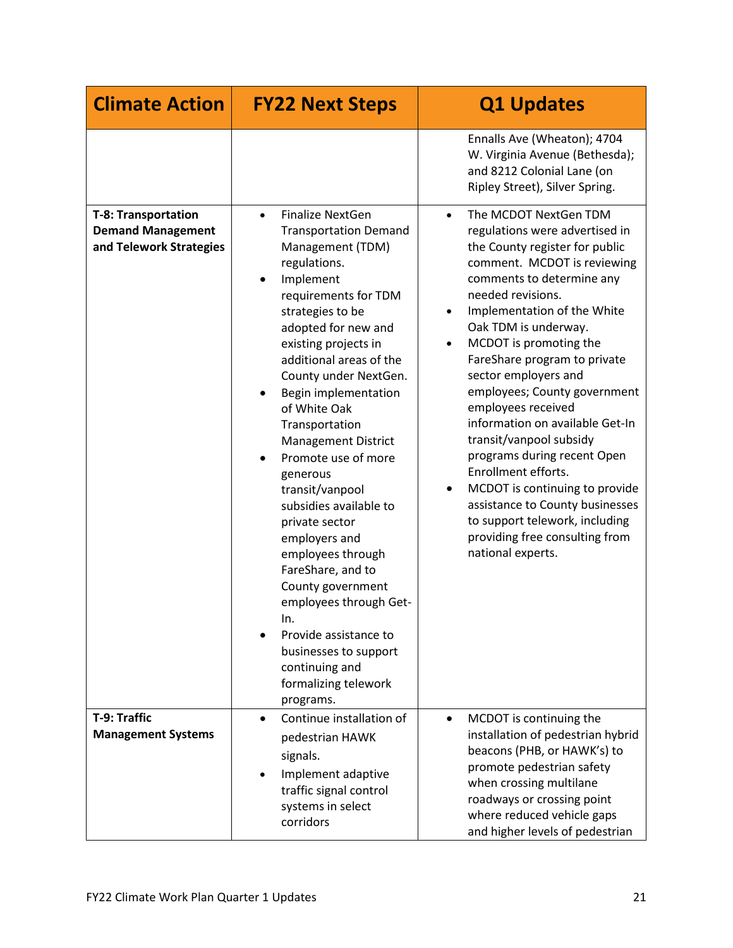| <b>Climate Action</b>                                                             | <b>FY22 Next Steps</b>                                                                                                                                                                                                                                                                                                                                                                                                                                                                                                                                                                                                                                                                   | <b>Q1 Updates</b>                                                                                                                                                                                                                                                                                                                                                                                                                                                                                                                                                                                                                                                                                  |
|-----------------------------------------------------------------------------------|------------------------------------------------------------------------------------------------------------------------------------------------------------------------------------------------------------------------------------------------------------------------------------------------------------------------------------------------------------------------------------------------------------------------------------------------------------------------------------------------------------------------------------------------------------------------------------------------------------------------------------------------------------------------------------------|----------------------------------------------------------------------------------------------------------------------------------------------------------------------------------------------------------------------------------------------------------------------------------------------------------------------------------------------------------------------------------------------------------------------------------------------------------------------------------------------------------------------------------------------------------------------------------------------------------------------------------------------------------------------------------------------------|
|                                                                                   |                                                                                                                                                                                                                                                                                                                                                                                                                                                                                                                                                                                                                                                                                          | Ennalls Ave (Wheaton); 4704<br>W. Virginia Avenue (Bethesda);<br>and 8212 Colonial Lane (on<br>Ripley Street), Silver Spring.                                                                                                                                                                                                                                                                                                                                                                                                                                                                                                                                                                      |
| <b>T-8: Transportation</b><br><b>Demand Management</b><br>and Telework Strategies | <b>Finalize NextGen</b><br>$\bullet$<br><b>Transportation Demand</b><br>Management (TDM)<br>regulations.<br>Implement<br>requirements for TDM<br>strategies to be<br>adopted for new and<br>existing projects in<br>additional areas of the<br>County under NextGen.<br>Begin implementation<br>of White Oak<br>Transportation<br><b>Management District</b><br>Promote use of more<br>generous<br>transit/vanpool<br>subsidies available to<br>private sector<br>employers and<br>employees through<br>FareShare, and to<br>County government<br>employees through Get-<br>In.<br>Provide assistance to<br>businesses to support<br>continuing and<br>formalizing telework<br>programs. | The MCDOT NextGen TDM<br>$\bullet$<br>regulations were advertised in<br>the County register for public<br>comment. MCDOT is reviewing<br>comments to determine any<br>needed revisions.<br>Implementation of the White<br>$\bullet$<br>Oak TDM is underway.<br>MCDOT is promoting the<br>$\bullet$<br>FareShare program to private<br>sector employers and<br>employees; County government<br>employees received<br>information on available Get-In<br>transit/vanpool subsidy<br>programs during recent Open<br>Enrollment efforts.<br>MCDOT is continuing to provide<br>assistance to County businesses<br>to support telework, including<br>providing free consulting from<br>national experts. |
| T-9: Traffic<br><b>Management Systems</b>                                         | Continue installation of<br>$\bullet$<br>pedestrian HAWK<br>signals.<br>Implement adaptive<br>traffic signal control<br>systems in select<br>corridors                                                                                                                                                                                                                                                                                                                                                                                                                                                                                                                                   | MCDOT is continuing the<br>$\bullet$<br>installation of pedestrian hybrid<br>beacons (PHB, or HAWK's) to<br>promote pedestrian safety<br>when crossing multilane<br>roadways or crossing point<br>where reduced vehicle gaps<br>and higher levels of pedestrian                                                                                                                                                                                                                                                                                                                                                                                                                                    |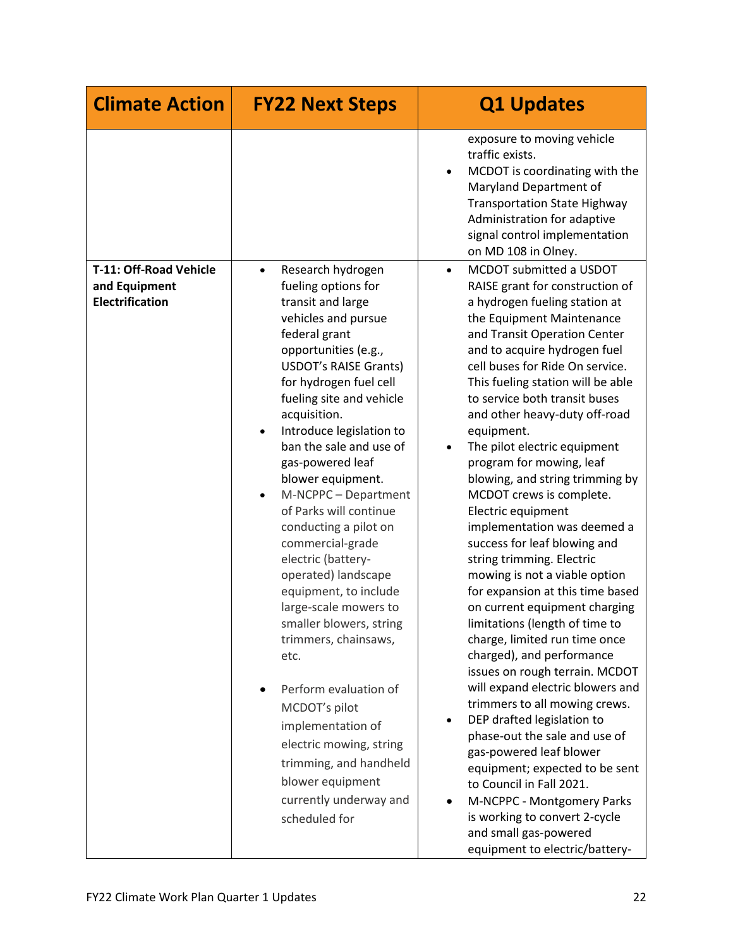| <b>Climate Action</b>                                             | <b>FY22 Next Steps</b>                                                                                                                                                                                                                                                                                                                                                                                                                                                                                                                                                                                                                                                                                                                                                                                    | <b>Q1 Updates</b>                                                                                                                                                                                                                                                                                                                                                                                                                                                                                                                                                                                                                                                                                                                                                                                                                                                                                                                                                                                                                                                                                                                                                                                                                   |
|-------------------------------------------------------------------|-----------------------------------------------------------------------------------------------------------------------------------------------------------------------------------------------------------------------------------------------------------------------------------------------------------------------------------------------------------------------------------------------------------------------------------------------------------------------------------------------------------------------------------------------------------------------------------------------------------------------------------------------------------------------------------------------------------------------------------------------------------------------------------------------------------|-------------------------------------------------------------------------------------------------------------------------------------------------------------------------------------------------------------------------------------------------------------------------------------------------------------------------------------------------------------------------------------------------------------------------------------------------------------------------------------------------------------------------------------------------------------------------------------------------------------------------------------------------------------------------------------------------------------------------------------------------------------------------------------------------------------------------------------------------------------------------------------------------------------------------------------------------------------------------------------------------------------------------------------------------------------------------------------------------------------------------------------------------------------------------------------------------------------------------------------|
|                                                                   |                                                                                                                                                                                                                                                                                                                                                                                                                                                                                                                                                                                                                                                                                                                                                                                                           | exposure to moving vehicle<br>traffic exists.<br>MCDOT is coordinating with the<br>Maryland Department of<br><b>Transportation State Highway</b><br>Administration for adaptive<br>signal control implementation<br>on MD 108 in Olney.                                                                                                                                                                                                                                                                                                                                                                                                                                                                                                                                                                                                                                                                                                                                                                                                                                                                                                                                                                                             |
| T-11: Off-Road Vehicle<br>and Equipment<br><b>Electrification</b> | Research hydrogen<br>$\bullet$<br>fueling options for<br>transit and large<br>vehicles and pursue<br>federal grant<br>opportunities (e.g.,<br><b>USDOT's RAISE Grants)</b><br>for hydrogen fuel cell<br>fueling site and vehicle<br>acquisition.<br>Introduce legislation to<br>ban the sale and use of<br>gas-powered leaf<br>blower equipment.<br>M-NCPPC - Department<br>$\bullet$<br>of Parks will continue<br>conducting a pilot on<br>commercial-grade<br>electric (battery-<br>operated) landscape<br>equipment, to include<br>large-scale mowers to<br>smaller blowers, string<br>trimmers, chainsaws,<br>etc.<br>Perform evaluation of<br>MCDOT's pilot<br>implementation of<br>electric mowing, string<br>trimming, and handheld<br>blower equipment<br>currently underway and<br>scheduled for | MCDOT submitted a USDOT<br>$\bullet$<br>RAISE grant for construction of<br>a hydrogen fueling station at<br>the Equipment Maintenance<br>and Transit Operation Center<br>and to acquire hydrogen fuel<br>cell buses for Ride On service.<br>This fueling station will be able<br>to service both transit buses<br>and other heavy-duty off-road<br>equipment.<br>The pilot electric equipment<br>$\bullet$<br>program for mowing, leaf<br>blowing, and string trimming by<br>MCDOT crews is complete.<br>Electric equipment<br>implementation was deemed a<br>success for leaf blowing and<br>string trimming. Electric<br>mowing is not a viable option<br>for expansion at this time based<br>on current equipment charging<br>limitations (length of time to<br>charge, limited run time once<br>charged), and performance<br>issues on rough terrain. MCDOT<br>will expand electric blowers and<br>trimmers to all mowing crews.<br>DEP drafted legislation to<br>$\bullet$<br>phase-out the sale and use of<br>gas-powered leaf blower<br>equipment; expected to be sent<br>to Council in Fall 2021.<br>M-NCPPC - Montgomery Parks<br>is working to convert 2-cycle<br>and small gas-powered<br>equipment to electric/battery- |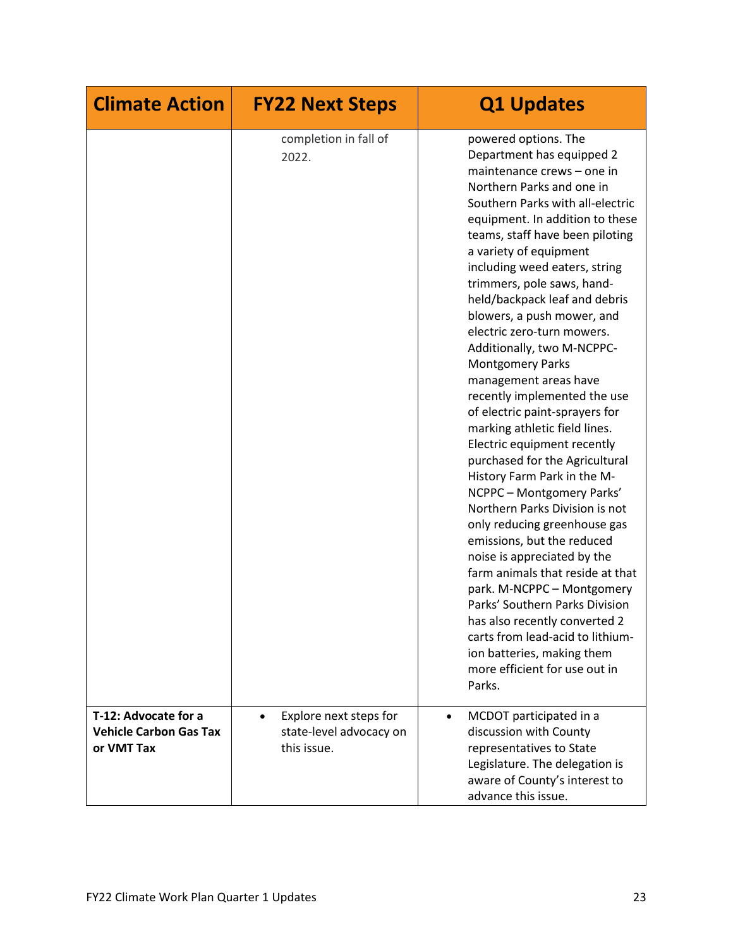| <b>Climate Action</b>                                               | <b>FY22 Next Steps</b>                                                        | <b>Q1 Updates</b>                                                                                                                                                                                                                                                                                                                                                                                                                                                                                                                                                                                                                                                                                                                                                                                                                                                                                                                                                                                                                                                                                               |
|---------------------------------------------------------------------|-------------------------------------------------------------------------------|-----------------------------------------------------------------------------------------------------------------------------------------------------------------------------------------------------------------------------------------------------------------------------------------------------------------------------------------------------------------------------------------------------------------------------------------------------------------------------------------------------------------------------------------------------------------------------------------------------------------------------------------------------------------------------------------------------------------------------------------------------------------------------------------------------------------------------------------------------------------------------------------------------------------------------------------------------------------------------------------------------------------------------------------------------------------------------------------------------------------|
|                                                                     | completion in fall of<br>2022.                                                | powered options. The<br>Department has equipped 2<br>maintenance crews - one in<br>Northern Parks and one in<br>Southern Parks with all-electric<br>equipment. In addition to these<br>teams, staff have been piloting<br>a variety of equipment<br>including weed eaters, string<br>trimmers, pole saws, hand-<br>held/backpack leaf and debris<br>blowers, a push mower, and<br>electric zero-turn mowers.<br>Additionally, two M-NCPPC-<br><b>Montgomery Parks</b><br>management areas have<br>recently implemented the use<br>of electric paint-sprayers for<br>marking athletic field lines.<br>Electric equipment recently<br>purchased for the Agricultural<br>History Farm Park in the M-<br>NCPPC - Montgomery Parks'<br>Northern Parks Division is not<br>only reducing greenhouse gas<br>emissions, but the reduced<br>noise is appreciated by the<br>farm animals that reside at that<br>park. M-NCPPC - Montgomery<br>Parks' Southern Parks Division<br>has also recently converted 2<br>carts from lead-acid to lithium-<br>ion batteries, making them<br>more efficient for use out in<br>Parks. |
| T-12: Advocate for a<br><b>Vehicle Carbon Gas Tax</b><br>or VMT Tax | Explore next steps for<br>$\bullet$<br>state-level advocacy on<br>this issue. | MCDOT participated in a<br>$\bullet$<br>discussion with County<br>representatives to State<br>Legislature. The delegation is<br>aware of County's interest to<br>advance this issue.                                                                                                                                                                                                                                                                                                                                                                                                                                                                                                                                                                                                                                                                                                                                                                                                                                                                                                                            |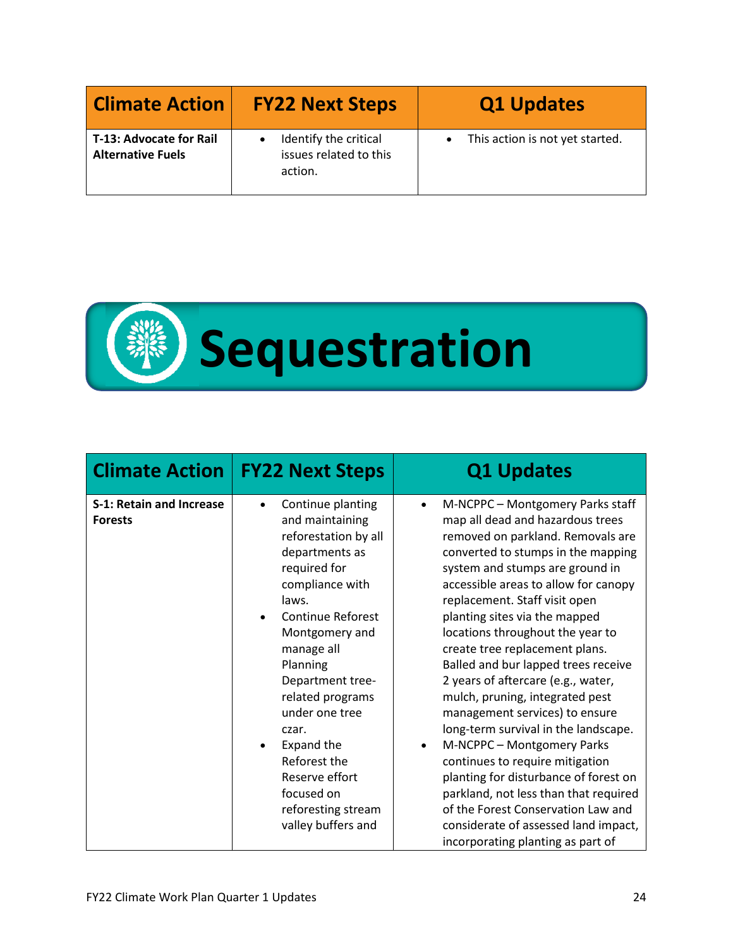| <b>Climate Action</b>                               | <b>FY22 Next Steps</b>                                     | <b>Q1 Updates</b>                            |
|-----------------------------------------------------|------------------------------------------------------------|----------------------------------------------|
| T-13: Advocate for Rail<br><b>Alternative Fuels</b> | Identify the critical<br>issues related to this<br>action. | This action is not yet started.<br>$\bullet$ |



| <b>Climate Action</b>                             | <b>FY22 Next Steps</b>                                                                                                                                                                                                                                                                                                                                                                       | <b>Q1 Updates</b>                                                                                                                                                                                                                                                                                                                                                                                                                                                                                                                                                                                                                                                                                                                                                                                                                               |
|---------------------------------------------------|----------------------------------------------------------------------------------------------------------------------------------------------------------------------------------------------------------------------------------------------------------------------------------------------------------------------------------------------------------------------------------------------|-------------------------------------------------------------------------------------------------------------------------------------------------------------------------------------------------------------------------------------------------------------------------------------------------------------------------------------------------------------------------------------------------------------------------------------------------------------------------------------------------------------------------------------------------------------------------------------------------------------------------------------------------------------------------------------------------------------------------------------------------------------------------------------------------------------------------------------------------|
| <b>S-1: Retain and Increase</b><br><b>Forests</b> | Continue planting<br>$\bullet$<br>and maintaining<br>reforestation by all<br>departments as<br>required for<br>compliance with<br>laws.<br><b>Continue Reforest</b><br>Montgomery and<br>manage all<br>Planning<br>Department tree-<br>related programs<br>under one tree<br>czar.<br>Expand the<br>Reforest the<br>Reserve effort<br>focused on<br>reforesting stream<br>valley buffers and | M-NCPPC - Montgomery Parks staff<br>$\bullet$<br>map all dead and hazardous trees<br>removed on parkland. Removals are<br>converted to stumps in the mapping<br>system and stumps are ground in<br>accessible areas to allow for canopy<br>replacement. Staff visit open<br>planting sites via the mapped<br>locations throughout the year to<br>create tree replacement plans.<br>Balled and bur lapped trees receive<br>2 years of aftercare (e.g., water,<br>mulch, pruning, integrated pest<br>management services) to ensure<br>long-term survival in the landscape.<br>M-NCPPC - Montgomery Parks<br>continues to require mitigation<br>planting for disturbance of forest on<br>parkland, not less than that required<br>of the Forest Conservation Law and<br>considerate of assessed land impact,<br>incorporating planting as part of |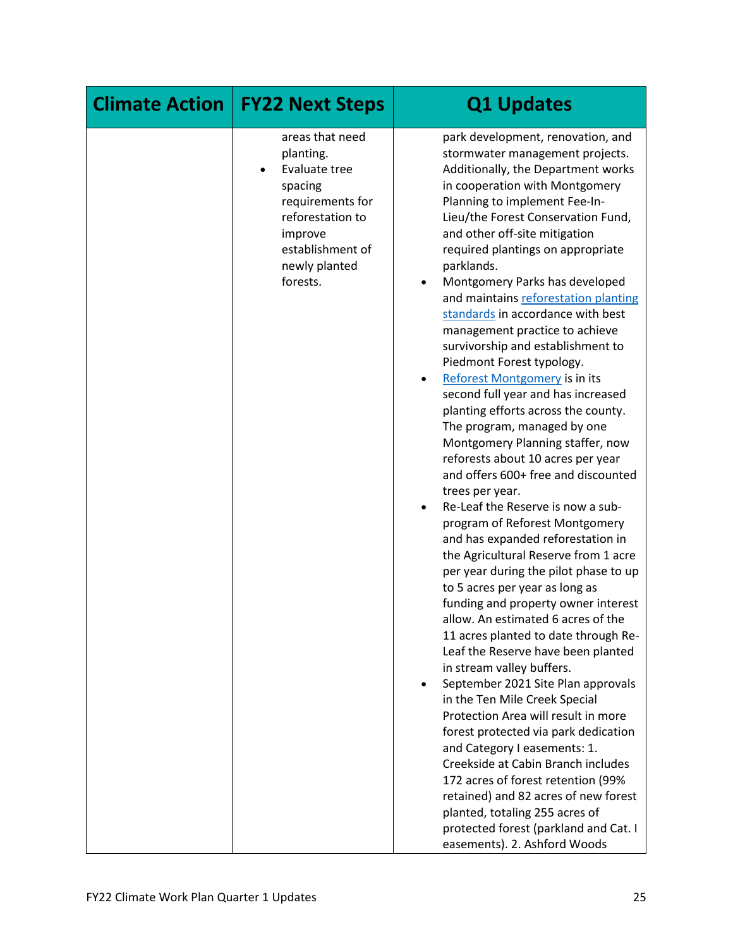| <b>Climate Action</b> | <b>FY22 Next Steps</b>                                                                                                                                       | <b>Q1 Updates</b>                                                                                                                                                                                                                                                                                                                                                                                                                                                                                                                                                                                                                                                                                                                                                                                                                                                                                                                                                                                                                                                                                                                                                                                                                                                                                                                                                                                                                                                                                                                                                                                                                                      |
|-----------------------|--------------------------------------------------------------------------------------------------------------------------------------------------------------|--------------------------------------------------------------------------------------------------------------------------------------------------------------------------------------------------------------------------------------------------------------------------------------------------------------------------------------------------------------------------------------------------------------------------------------------------------------------------------------------------------------------------------------------------------------------------------------------------------------------------------------------------------------------------------------------------------------------------------------------------------------------------------------------------------------------------------------------------------------------------------------------------------------------------------------------------------------------------------------------------------------------------------------------------------------------------------------------------------------------------------------------------------------------------------------------------------------------------------------------------------------------------------------------------------------------------------------------------------------------------------------------------------------------------------------------------------------------------------------------------------------------------------------------------------------------------------------------------------------------------------------------------------|
|                       | areas that need<br>planting.<br>Evaluate tree<br>spacing<br>requirements for<br>reforestation to<br>improve<br>establishment of<br>newly planted<br>forests. | park development, renovation, and<br>stormwater management projects.<br>Additionally, the Department works<br>in cooperation with Montgomery<br>Planning to implement Fee-In-<br>Lieu/the Forest Conservation Fund,<br>and other off-site mitigation<br>required plantings on appropriate<br>parklands.<br>Montgomery Parks has developed<br>and maintains reforestation planting<br>standards in accordance with best<br>management practice to achieve<br>survivorship and establishment to<br>Piedmont Forest typology.<br>Reforest Montgomery is in its<br>second full year and has increased<br>planting efforts across the county.<br>The program, managed by one<br>Montgomery Planning staffer, now<br>reforests about 10 acres per year<br>and offers 600+ free and discounted<br>trees per year.<br>Re-Leaf the Reserve is now a sub-<br>program of Reforest Montgomery<br>and has expanded reforestation in<br>the Agricultural Reserve from 1 acre<br>per year during the pilot phase to up<br>to 5 acres per year as long as<br>funding and property owner interest<br>allow. An estimated 6 acres of the<br>11 acres planted to date through Re-<br>Leaf the Reserve have been planted<br>in stream valley buffers.<br>September 2021 Site Plan approvals<br>in the Ten Mile Creek Special<br>Protection Area will result in more<br>forest protected via park dedication<br>and Category I easements: 1.<br>Creekside at Cabin Branch includes<br>172 acres of forest retention (99%<br>retained) and 82 acres of new forest<br>planted, totaling 255 acres of<br>protected forest (parkland and Cat. I<br>easements). 2. Ashford Woods |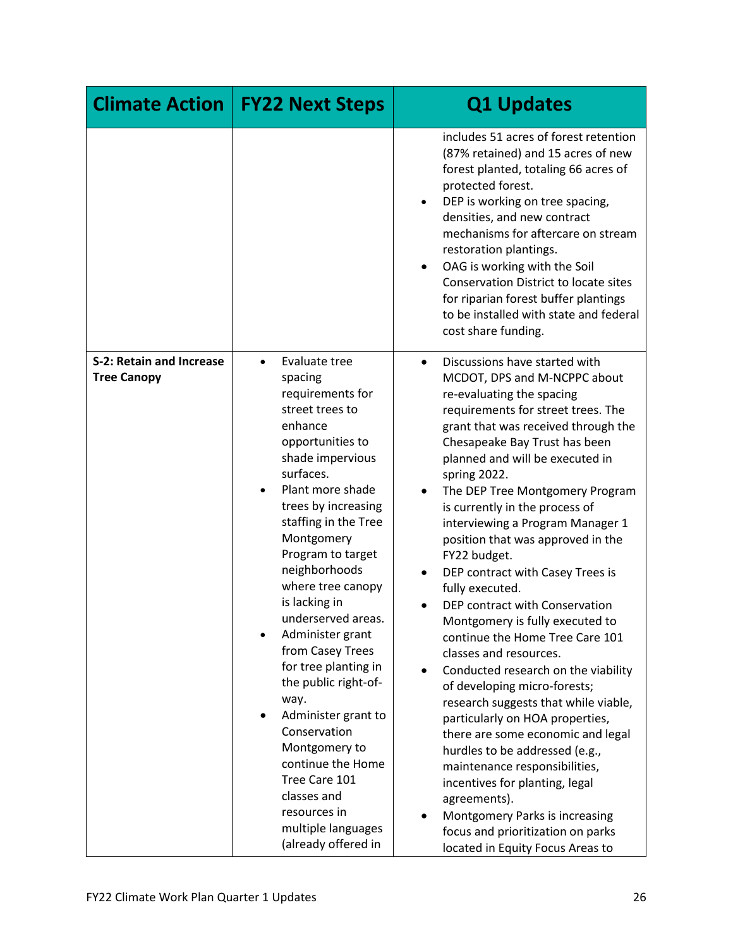| <b>Climate Action</b>                                 | <b>FY22 Next Steps</b>                                                                                                                                                                                                                                                                                                                                                                                                                                                                                                                                                                                    | <b>Q1 Updates</b>                                                                                                                                                                                                                                                                                                                                                                                                                                                                                                                                                                                                                                                                                                                                                                                                                                                                                                                                                                                                                                                   |
|-------------------------------------------------------|-----------------------------------------------------------------------------------------------------------------------------------------------------------------------------------------------------------------------------------------------------------------------------------------------------------------------------------------------------------------------------------------------------------------------------------------------------------------------------------------------------------------------------------------------------------------------------------------------------------|---------------------------------------------------------------------------------------------------------------------------------------------------------------------------------------------------------------------------------------------------------------------------------------------------------------------------------------------------------------------------------------------------------------------------------------------------------------------------------------------------------------------------------------------------------------------------------------------------------------------------------------------------------------------------------------------------------------------------------------------------------------------------------------------------------------------------------------------------------------------------------------------------------------------------------------------------------------------------------------------------------------------------------------------------------------------|
|                                                       |                                                                                                                                                                                                                                                                                                                                                                                                                                                                                                                                                                                                           | includes 51 acres of forest retention<br>(87% retained) and 15 acres of new<br>forest planted, totaling 66 acres of<br>protected forest.<br>DEP is working on tree spacing,<br>densities, and new contract<br>mechanisms for aftercare on stream<br>restoration plantings.<br>OAG is working with the Soil<br>$\bullet$<br><b>Conservation District to locate sites</b><br>for riparian forest buffer plantings<br>to be installed with state and federal<br>cost share funding.                                                                                                                                                                                                                                                                                                                                                                                                                                                                                                                                                                                    |
| <b>S-2: Retain and Increase</b><br><b>Tree Canopy</b> | Evaluate tree<br>$\bullet$<br>spacing<br>requirements for<br>street trees to<br>enhance<br>opportunities to<br>shade impervious<br>surfaces.<br>Plant more shade<br>trees by increasing<br>staffing in the Tree<br>Montgomery<br>Program to target<br>neighborhoods<br>where tree canopy<br>is lacking in<br>underserved areas.<br>Administer grant<br>from Casey Trees<br>for tree planting in<br>the public right-of-<br>way.<br>Administer grant to<br>Conservation<br>Montgomery to<br>continue the Home<br>Tree Care 101<br>classes and<br>resources in<br>multiple languages<br>(already offered in | Discussions have started with<br>$\bullet$<br>MCDOT, DPS and M-NCPPC about<br>re-evaluating the spacing<br>requirements for street trees. The<br>grant that was received through the<br>Chesapeake Bay Trust has been<br>planned and will be executed in<br>spring 2022.<br>The DEP Tree Montgomery Program<br>is currently in the process of<br>interviewing a Program Manager 1<br>position that was approved in the<br>FY22 budget.<br>DEP contract with Casey Trees is<br>fully executed.<br>DEP contract with Conservation<br>Montgomery is fully executed to<br>continue the Home Tree Care 101<br>classes and resources.<br>Conducted research on the viability<br>of developing micro-forests;<br>research suggests that while viable,<br>particularly on HOA properties,<br>there are some economic and legal<br>hurdles to be addressed (e.g.,<br>maintenance responsibilities,<br>incentives for planting, legal<br>agreements).<br>Montgomery Parks is increasing<br>$\bullet$<br>focus and prioritization on parks<br>located in Equity Focus Areas to |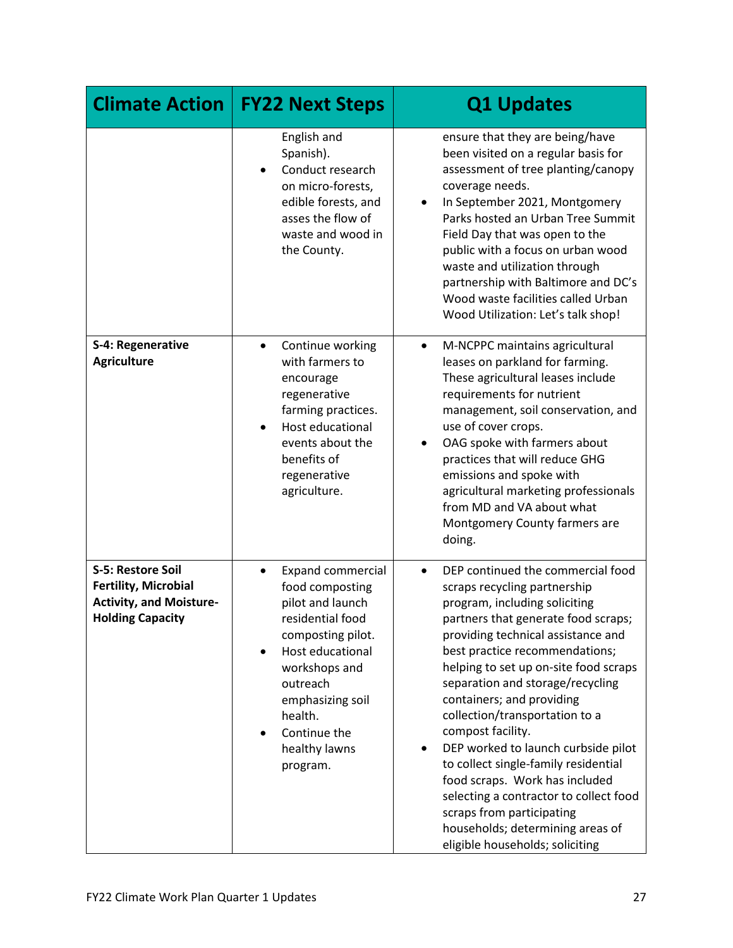| <b>Climate Action</b>                                                                                         | <b>FY22 Next Steps</b>                                                                                                                                                                                                                             | <b>Q1 Updates</b>                                                                                                                                                                                                                                                                                                                                                                                                                                                                                                                                                                                                                                              |
|---------------------------------------------------------------------------------------------------------------|----------------------------------------------------------------------------------------------------------------------------------------------------------------------------------------------------------------------------------------------------|----------------------------------------------------------------------------------------------------------------------------------------------------------------------------------------------------------------------------------------------------------------------------------------------------------------------------------------------------------------------------------------------------------------------------------------------------------------------------------------------------------------------------------------------------------------------------------------------------------------------------------------------------------------|
|                                                                                                               | English and<br>Spanish).<br>Conduct research<br>on micro-forests,<br>edible forests, and<br>asses the flow of<br>waste and wood in<br>the County.                                                                                                  | ensure that they are being/have<br>been visited on a regular basis for<br>assessment of tree planting/canopy<br>coverage needs.<br>In September 2021, Montgomery<br>Parks hosted an Urban Tree Summit<br>Field Day that was open to the<br>public with a focus on urban wood<br>waste and utilization through<br>partnership with Baltimore and DC's<br>Wood waste facilities called Urban<br>Wood Utilization: Let's talk shop!                                                                                                                                                                                                                               |
| S-4: Regenerative<br><b>Agriculture</b>                                                                       | Continue working<br>$\bullet$<br>with farmers to<br>encourage<br>regenerative<br>farming practices.<br>Host educational<br>$\bullet$<br>events about the<br>benefits of<br>regenerative<br>agriculture.                                            | M-NCPPC maintains agricultural<br>$\bullet$<br>leases on parkland for farming.<br>These agricultural leases include<br>requirements for nutrient<br>management, soil conservation, and<br>use of cover crops.<br>OAG spoke with farmers about<br>practices that will reduce GHG<br>emissions and spoke with<br>agricultural marketing professionals<br>from MD and VA about what<br>Montgomery County farmers are<br>doing.                                                                                                                                                                                                                                    |
| S-5: Restore Soil<br><b>Fertility, Microbial</b><br><b>Activity, and Moisture-</b><br><b>Holding Capacity</b> | <b>Expand commercial</b><br>$\bullet$<br>food composting<br>pilot and launch<br>residential food<br>composting pilot.<br>Host educational<br>workshops and<br>outreach<br>emphasizing soil<br>health.<br>Continue the<br>healthy lawns<br>program. | DEP continued the commercial food<br>$\bullet$<br>scraps recycling partnership<br>program, including soliciting<br>partners that generate food scraps;<br>providing technical assistance and<br>best practice recommendations;<br>helping to set up on-site food scraps<br>separation and storage/recycling<br>containers; and providing<br>collection/transportation to a<br>compost facility.<br>DEP worked to launch curbside pilot<br>to collect single-family residential<br>food scraps. Work has included<br>selecting a contractor to collect food<br>scraps from participating<br>households; determining areas of<br>eligible households; soliciting |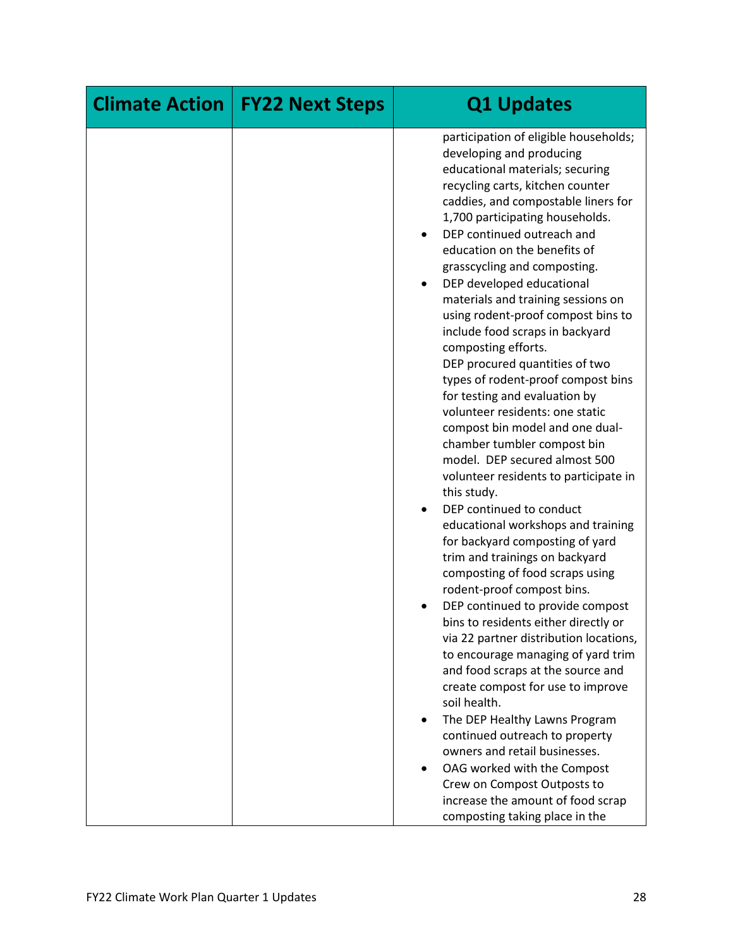| <b>Climate Action</b><br><b>FY22 Next Steps</b> | <b>Q1 Updates</b>                                                                                                                                                                                                                                                                                                                                                                                                                                                                                                                                                                                                                                                                                                                                                                                                                                                                                                                                                                                                                                                                                                                                                                                                                                                                                                                                                                                                          |
|-------------------------------------------------|----------------------------------------------------------------------------------------------------------------------------------------------------------------------------------------------------------------------------------------------------------------------------------------------------------------------------------------------------------------------------------------------------------------------------------------------------------------------------------------------------------------------------------------------------------------------------------------------------------------------------------------------------------------------------------------------------------------------------------------------------------------------------------------------------------------------------------------------------------------------------------------------------------------------------------------------------------------------------------------------------------------------------------------------------------------------------------------------------------------------------------------------------------------------------------------------------------------------------------------------------------------------------------------------------------------------------------------------------------------------------------------------------------------------------|
|                                                 | participation of eligible households;<br>developing and producing<br>educational materials; securing<br>recycling carts, kitchen counter<br>caddies, and compostable liners for<br>1,700 participating households.<br>DEP continued outreach and<br>education on the benefits of<br>grasscycling and composting.<br>DEP developed educational<br>materials and training sessions on<br>using rodent-proof compost bins to<br>include food scraps in backyard<br>composting efforts.<br>DEP procured quantities of two<br>types of rodent-proof compost bins<br>for testing and evaluation by<br>volunteer residents: one static<br>compost bin model and one dual-<br>chamber tumbler compost bin<br>model. DEP secured almost 500<br>volunteer residents to participate in<br>this study.<br>DEP continued to conduct<br>educational workshops and training<br>for backyard composting of yard<br>trim and trainings on backyard<br>composting of food scraps using<br>rodent-proof compost bins.<br>DEP continued to provide compost<br>bins to residents either directly or<br>via 22 partner distribution locations,<br>to encourage managing of yard trim<br>and food scraps at the source and<br>create compost for use to improve<br>soil health.<br>The DEP Healthy Lawns Program<br>continued outreach to property<br>owners and retail businesses.<br>OAG worked with the Compost<br>Crew on Compost Outposts to |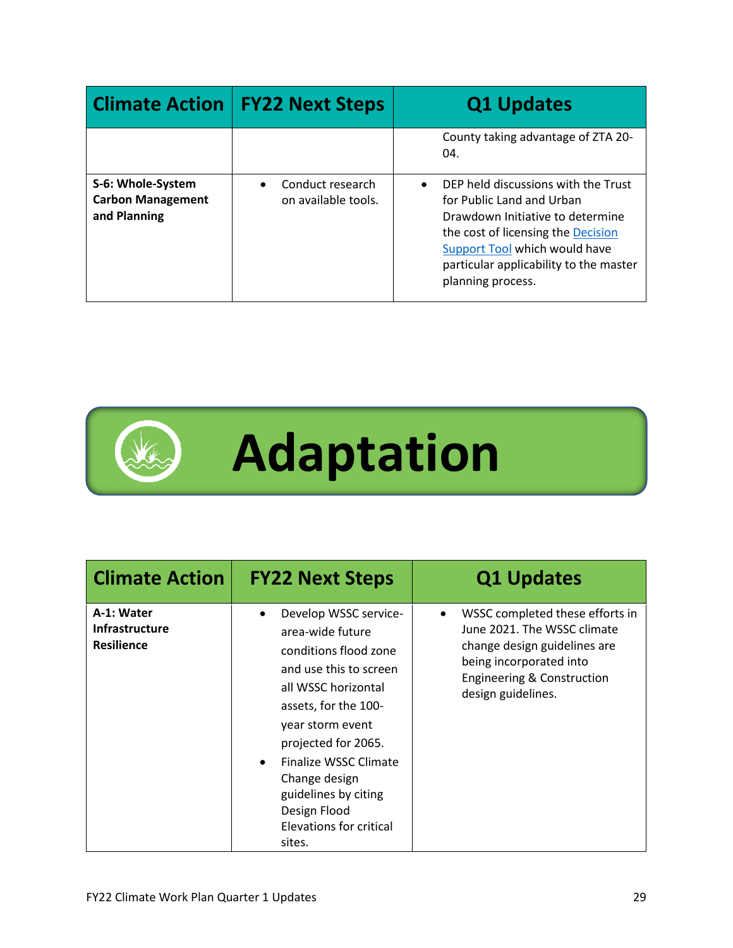| <b>Climate Action</b>                                         | <b>FY22 Next Steps</b>                               | <b>Q1 Updates</b>                                                                                                                                                                                                                                       |
|---------------------------------------------------------------|------------------------------------------------------|---------------------------------------------------------------------------------------------------------------------------------------------------------------------------------------------------------------------------------------------------------|
|                                                               |                                                      | County taking advantage of ZTA 20-<br>04.                                                                                                                                                                                                               |
| S-6: Whole-System<br><b>Carbon Management</b><br>and Planning | Conduct research<br>$\bullet$<br>on available tools. | DEP held discussions with the Trust<br>$\bullet$<br>for Public Land and Urban<br>Drawdown Initiative to determine<br>the cost of licensing the Decision<br>Support Tool which would have<br>particular applicability to the master<br>planning process. |



| <b>Climate Action</b>                                    | <b>FY22 Next Steps</b>                                                                                                                                                                                                                                                                                                                  | <b>Q1 Updates</b>                                                                                                                                                                        |
|----------------------------------------------------------|-----------------------------------------------------------------------------------------------------------------------------------------------------------------------------------------------------------------------------------------------------------------------------------------------------------------------------------------|------------------------------------------------------------------------------------------------------------------------------------------------------------------------------------------|
| A-1: Water<br><b>Infrastructure</b><br><b>Resilience</b> | Develop WSSC service-<br>$\bullet$<br>area-wide future<br>conditions flood zone<br>and use this to screen<br>all WSSC horizontal<br>assets, for the 100-<br>year storm event<br>projected for 2065.<br>Finalize WSSC Climate<br>$\bullet$<br>Change design<br>guidelines by citing<br>Design Flood<br>Elevations for critical<br>sites. | WSSC completed these efforts in<br>June 2021. The WSSC climate<br>change design guidelines are<br>being incorporated into<br><b>Engineering &amp; Construction</b><br>design guidelines. |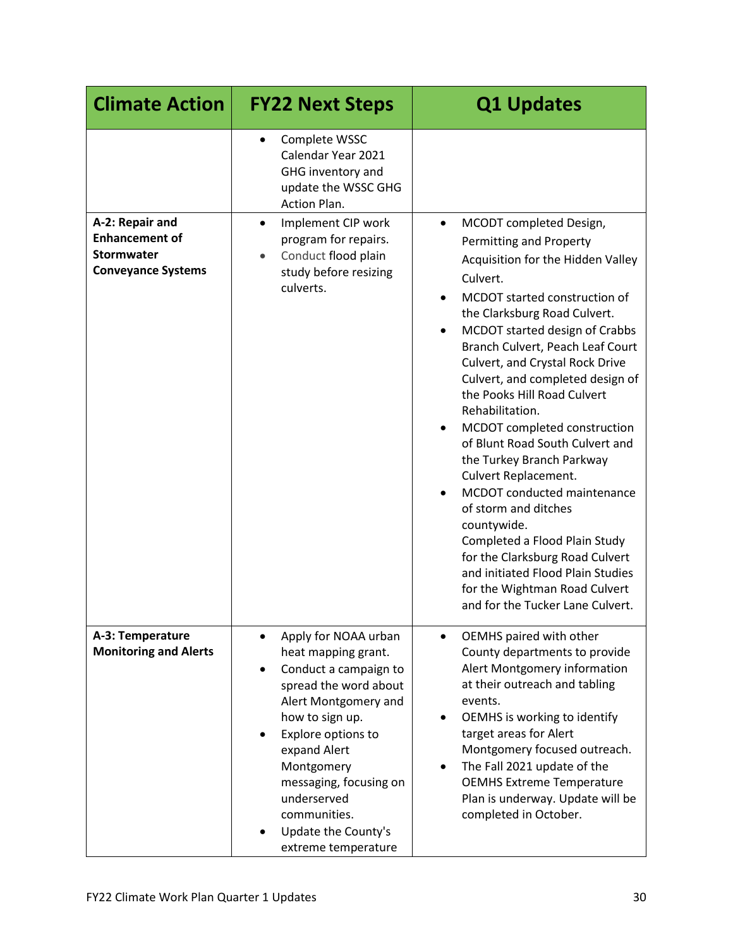| <b>Climate Action</b>                                                               | <b>FY22 Next Steps</b>                                                                                                                                                                                                                                                                                                                     | <b>Q1 Updates</b>                                                                                                                                                                                                                                                                                                                                                                                                                                                   |
|-------------------------------------------------------------------------------------|--------------------------------------------------------------------------------------------------------------------------------------------------------------------------------------------------------------------------------------------------------------------------------------------------------------------------------------------|---------------------------------------------------------------------------------------------------------------------------------------------------------------------------------------------------------------------------------------------------------------------------------------------------------------------------------------------------------------------------------------------------------------------------------------------------------------------|
| A-2: Repair and<br><b>Enhancement of</b><br>Stormwater<br><b>Conveyance Systems</b> | Complete WSSC<br>$\bullet$<br>Calendar Year 2021<br>GHG inventory and<br>update the WSSC GHG<br>Action Plan.<br>Implement CIP work<br>٠<br>program for repairs.<br>Conduct flood plain<br>study before resizing<br>culverts.                                                                                                               | MCODT completed Design,<br>Permitting and Property<br>Acquisition for the Hidden Valley<br>Culvert.<br>MCDOT started construction of<br>the Clarksburg Road Culvert.<br>MCDOT started design of Crabbs<br>Branch Culvert, Peach Leaf Court<br>Culvert, and Crystal Rock Drive<br>Culvert, and completed design of<br>the Pooks Hill Road Culvert<br>Rehabilitation.<br>MCDOT completed construction<br>of Blunt Road South Culvert and<br>the Turkey Branch Parkway |
|                                                                                     |                                                                                                                                                                                                                                                                                                                                            | Culvert Replacement.<br>MCDOT conducted maintenance<br>of storm and ditches<br>countywide.<br>Completed a Flood Plain Study<br>for the Clarksburg Road Culvert<br>and initiated Flood Plain Studies<br>for the Wightman Road Culvert<br>and for the Tucker Lane Culvert.                                                                                                                                                                                            |
| A-3: Temperature<br><b>Monitoring and Alerts</b>                                    | Apply for NOAA urban<br>$\bullet$<br>heat mapping grant.<br>Conduct a campaign to<br>$\bullet$<br>spread the word about<br>Alert Montgomery and<br>how to sign up.<br>Explore options to<br>$\bullet$<br>expand Alert<br>Montgomery<br>messaging, focusing on<br>underserved<br>communities.<br>Update the County's<br>extreme temperature | OEMHS paired with other<br>$\bullet$<br>County departments to provide<br>Alert Montgomery information<br>at their outreach and tabling<br>events.<br>OEMHS is working to identify<br>target areas for Alert<br>Montgomery focused outreach.<br>The Fall 2021 update of the<br><b>OEMHS Extreme Temperature</b><br>Plan is underway. Update will be<br>completed in October.                                                                                         |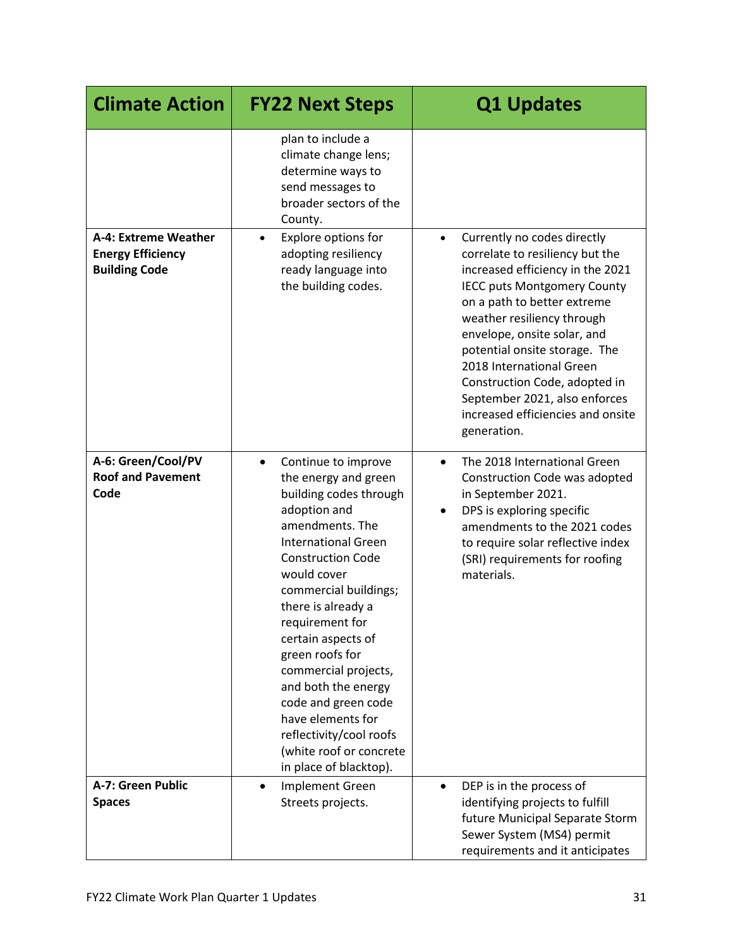| <b>Climate Action</b>                                                    | <b>FY22 Next Steps</b>                                                                                                                                                                                                                                                                                                                                                                                                                                                               | <b>Q1 Updates</b>                                                                                                                                                                                                                                                                                                                                                                                                                    |
|--------------------------------------------------------------------------|--------------------------------------------------------------------------------------------------------------------------------------------------------------------------------------------------------------------------------------------------------------------------------------------------------------------------------------------------------------------------------------------------------------------------------------------------------------------------------------|--------------------------------------------------------------------------------------------------------------------------------------------------------------------------------------------------------------------------------------------------------------------------------------------------------------------------------------------------------------------------------------------------------------------------------------|
|                                                                          | plan to include a<br>climate change lens;<br>determine ways to<br>send messages to<br>broader sectors of the<br>County.                                                                                                                                                                                                                                                                                                                                                              |                                                                                                                                                                                                                                                                                                                                                                                                                                      |
| A-4: Extreme Weather<br><b>Energy Efficiency</b><br><b>Building Code</b> | Explore options for<br>$\bullet$<br>adopting resiliency<br>ready language into<br>the building codes.                                                                                                                                                                                                                                                                                                                                                                                | Currently no codes directly<br>$\bullet$<br>correlate to resiliency but the<br>increased efficiency in the 2021<br><b>IECC puts Montgomery County</b><br>on a path to better extreme<br>weather resiliency through<br>envelope, onsite solar, and<br>potential onsite storage. The<br>2018 International Green<br>Construction Code, adopted in<br>September 2021, also enforces<br>increased efficiencies and onsite<br>generation. |
| A-6: Green/Cool/PV<br><b>Roof and Pavement</b><br>Code                   | Continue to improve<br>$\bullet$<br>the energy and green<br>building codes through<br>adoption and<br>amendments. The<br><b>International Green</b><br><b>Construction Code</b><br>would cover<br>commercial buildings;<br>there is already a<br>requirement for<br>certain aspects of<br>green roofs for<br>commercial projects,<br>and both the energy<br>code and green code<br>have elements for<br>reflectivity/cool roofs<br>(white roof or concrete<br>in place of blacktop). | The 2018 International Green<br>$\bullet$<br>Construction Code was adopted<br>in September 2021.<br>DPS is exploring specific<br>amendments to the 2021 codes<br>to require solar reflective index<br>(SRI) requirements for roofing<br>materials.                                                                                                                                                                                   |
| A-7: Green Public<br><b>Spaces</b>                                       | <b>Implement Green</b><br>$\bullet$<br>Streets projects.                                                                                                                                                                                                                                                                                                                                                                                                                             | DEP is in the process of<br>$\bullet$<br>identifying projects to fulfill<br>future Municipal Separate Storm<br>Sewer System (MS4) permit<br>requirements and it anticipates                                                                                                                                                                                                                                                          |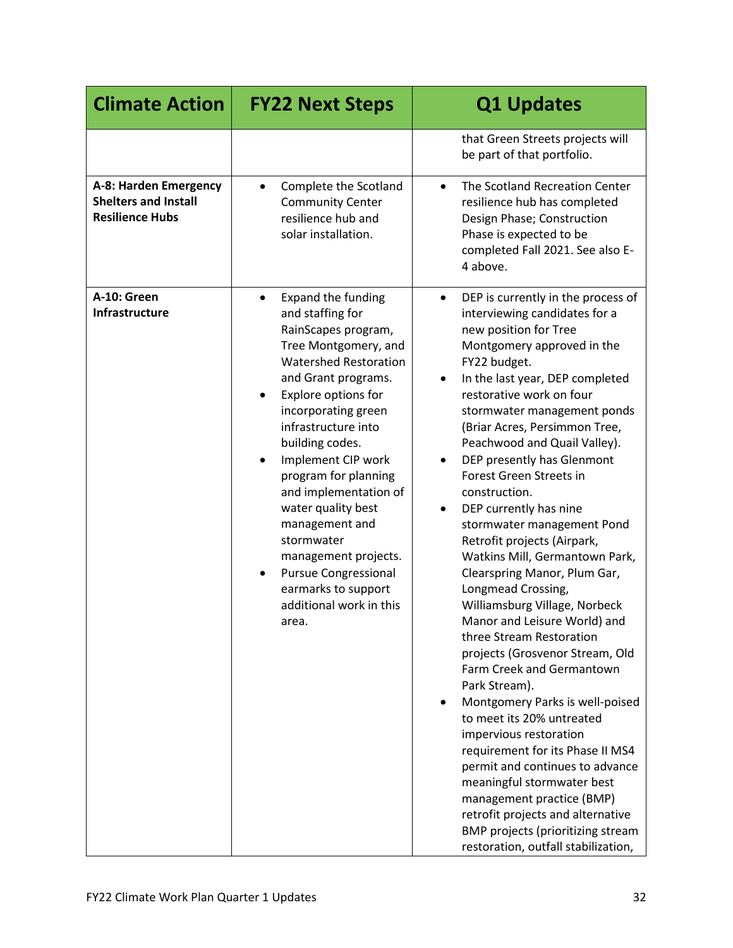| <b>Climate Action</b>                                                          | <b>FY22 Next Steps</b>                                                                                                                                                                                                                                                                                                                                                                                                                                                                                               | <b>Q1 Updates</b>                                                                                                                                                                                                                                                                                                                                                                                                                                                                                                                                                                                                                                                                                                                                                                                                                                                                                                                                                                                                                                                                                          |
|--------------------------------------------------------------------------------|----------------------------------------------------------------------------------------------------------------------------------------------------------------------------------------------------------------------------------------------------------------------------------------------------------------------------------------------------------------------------------------------------------------------------------------------------------------------------------------------------------------------|------------------------------------------------------------------------------------------------------------------------------------------------------------------------------------------------------------------------------------------------------------------------------------------------------------------------------------------------------------------------------------------------------------------------------------------------------------------------------------------------------------------------------------------------------------------------------------------------------------------------------------------------------------------------------------------------------------------------------------------------------------------------------------------------------------------------------------------------------------------------------------------------------------------------------------------------------------------------------------------------------------------------------------------------------------------------------------------------------------|
|                                                                                |                                                                                                                                                                                                                                                                                                                                                                                                                                                                                                                      | that Green Streets projects will<br>be part of that portfolio.                                                                                                                                                                                                                                                                                                                                                                                                                                                                                                                                                                                                                                                                                                                                                                                                                                                                                                                                                                                                                                             |
| A-8: Harden Emergency<br><b>Shelters and Install</b><br><b>Resilience Hubs</b> | Complete the Scotland<br>$\bullet$<br><b>Community Center</b><br>resilience hub and<br>solar installation.                                                                                                                                                                                                                                                                                                                                                                                                           | The Scotland Recreation Center<br>resilience hub has completed<br>Design Phase; Construction<br>Phase is expected to be<br>completed Fall 2021. See also E-<br>4 above.                                                                                                                                                                                                                                                                                                                                                                                                                                                                                                                                                                                                                                                                                                                                                                                                                                                                                                                                    |
| A-10: Green<br>Infrastructure                                                  | <b>Expand the funding</b><br>$\bullet$<br>and staffing for<br>RainScapes program,<br>Tree Montgomery, and<br><b>Watershed Restoration</b><br>and Grant programs.<br>Explore options for<br>incorporating green<br>infrastructure into<br>building codes.<br>Implement CIP work<br>program for planning<br>and implementation of<br>water quality best<br>management and<br>stormwater<br>management projects.<br><b>Pursue Congressional</b><br>$\bullet$<br>earmarks to support<br>additional work in this<br>area. | DEP is currently in the process of<br>$\bullet$<br>interviewing candidates for a<br>new position for Tree<br>Montgomery approved in the<br>FY22 budget.<br>In the last year, DEP completed<br>restorative work on four<br>stormwater management ponds<br>(Briar Acres, Persimmon Tree,<br>Peachwood and Quail Valley).<br>DEP presently has Glenmont<br>Forest Green Streets in<br>construction.<br>DEP currently has nine<br>stormwater management Pond<br>Retrofit projects (Airpark,<br>Watkins Mill, Germantown Park,<br>Clearspring Manor, Plum Gar,<br>Longmead Crossing,<br>Williamsburg Village, Norbeck<br>Manor and Leisure World) and<br>three Stream Restoration<br>projects (Grosvenor Stream, Old<br>Farm Creek and Germantown<br>Park Stream).<br>Montgomery Parks is well-poised<br>to meet its 20% untreated<br>impervious restoration<br>requirement for its Phase II MS4<br>permit and continues to advance<br>meaningful stormwater best<br>management practice (BMP)<br>retrofit projects and alternative<br>BMP projects (prioritizing stream<br>restoration, outfall stabilization, |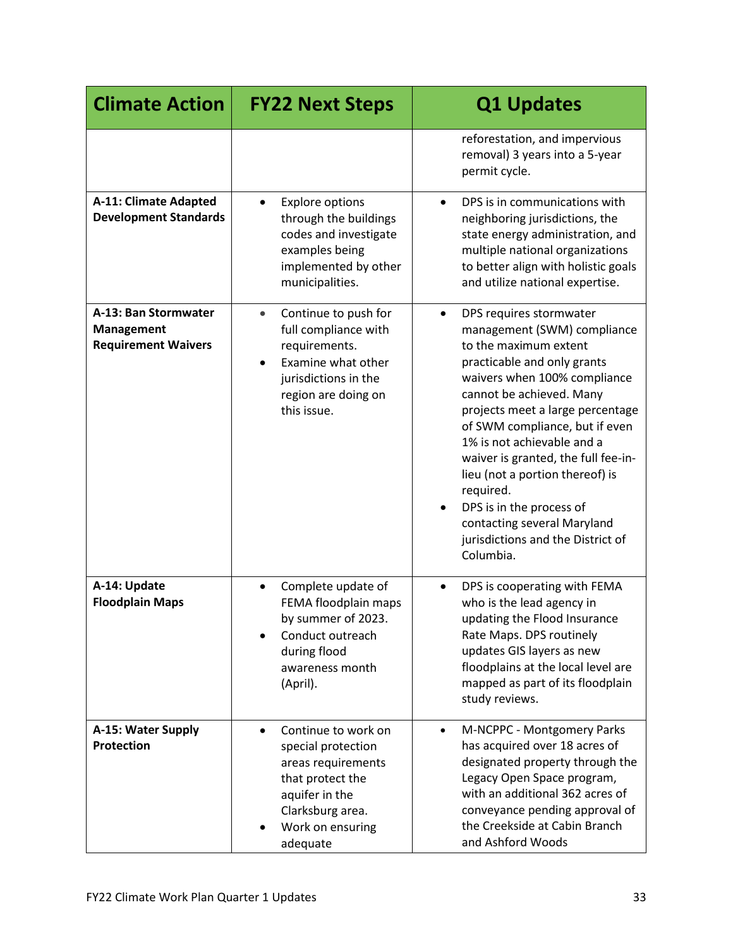| <b>Climate Action</b>                                                   | <b>FY22 Next Steps</b>                                                                                                                                                      | <b>Q1 Updates</b>                                                                                                                                                                                                                                                                                                                                                                                                                                                                               |
|-------------------------------------------------------------------------|-----------------------------------------------------------------------------------------------------------------------------------------------------------------------------|-------------------------------------------------------------------------------------------------------------------------------------------------------------------------------------------------------------------------------------------------------------------------------------------------------------------------------------------------------------------------------------------------------------------------------------------------------------------------------------------------|
|                                                                         |                                                                                                                                                                             | reforestation, and impervious<br>removal) 3 years into a 5-year<br>permit cycle.                                                                                                                                                                                                                                                                                                                                                                                                                |
| A-11: Climate Adapted<br><b>Development Standards</b>                   | <b>Explore options</b><br>$\bullet$<br>through the buildings<br>codes and investigate<br>examples being<br>implemented by other<br>municipalities.                          | DPS is in communications with<br>$\bullet$<br>neighboring jurisdictions, the<br>state energy administration, and<br>multiple national organizations<br>to better align with holistic goals<br>and utilize national expertise.                                                                                                                                                                                                                                                                   |
| A-13: Ban Stormwater<br><b>Management</b><br><b>Requirement Waivers</b> | Continue to push for<br>$\bullet$<br>full compliance with<br>requirements.<br>Examine what other<br>$\bullet$<br>jurisdictions in the<br>region are doing on<br>this issue. | DPS requires stormwater<br>$\bullet$<br>management (SWM) compliance<br>to the maximum extent<br>practicable and only grants<br>waivers when 100% compliance<br>cannot be achieved. Many<br>projects meet a large percentage<br>of SWM compliance, but if even<br>1% is not achievable and a<br>waiver is granted, the full fee-in-<br>lieu (not a portion thereof) is<br>required.<br>DPS is in the process of<br>contacting several Maryland<br>jurisdictions and the District of<br>Columbia. |
| A-14: Update<br><b>Floodplain Maps</b>                                  | Complete update of<br>$\bullet$<br>FEMA floodplain maps<br>by summer of 2023.<br>Conduct outreach<br>during flood<br>awareness month<br>(April).                            | DPS is cooperating with FEMA<br>who is the lead agency in<br>updating the Flood Insurance<br>Rate Maps. DPS routinely<br>updates GIS layers as new<br>floodplains at the local level are<br>mapped as part of its floodplain<br>study reviews.                                                                                                                                                                                                                                                  |
| A-15: Water Supply<br><b>Protection</b>                                 | Continue to work on<br>$\bullet$<br>special protection<br>areas requirements<br>that protect the<br>aquifer in the<br>Clarksburg area.<br>Work on ensuring<br>adequate      | M-NCPPC - Montgomery Parks<br>$\bullet$<br>has acquired over 18 acres of<br>designated property through the<br>Legacy Open Space program,<br>with an additional 362 acres of<br>conveyance pending approval of<br>the Creekside at Cabin Branch<br>and Ashford Woods                                                                                                                                                                                                                            |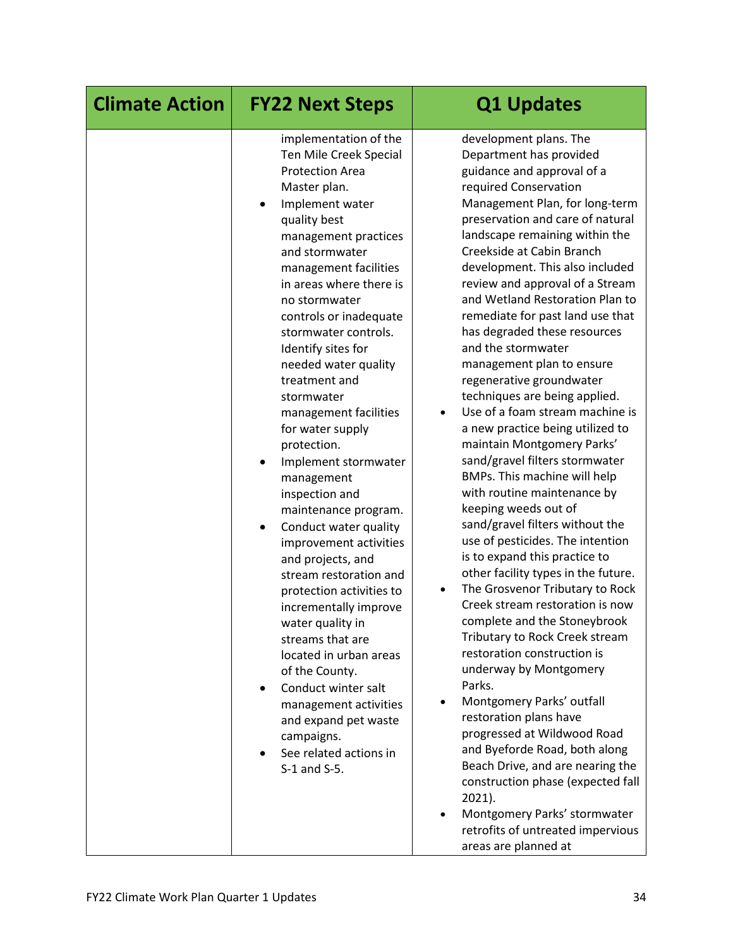| <b>Climate Action</b> | <b>FY22 Next Steps</b>                                                                                                                                                                                                                                                                                                                                                                                                                                                                                                                                                                                                                                                                                                                                                                                                                                                                                                                                | <b>Q1 Updates</b>                                                                                                                                                                                                                                                                                                                                                                                                                                                                                                                                                                                                                                                                                                                                                                                                                                                                                                                                                                                                                                                                                                                                                                                                                                                                                                                                                                                                                                                                |
|-----------------------|-------------------------------------------------------------------------------------------------------------------------------------------------------------------------------------------------------------------------------------------------------------------------------------------------------------------------------------------------------------------------------------------------------------------------------------------------------------------------------------------------------------------------------------------------------------------------------------------------------------------------------------------------------------------------------------------------------------------------------------------------------------------------------------------------------------------------------------------------------------------------------------------------------------------------------------------------------|----------------------------------------------------------------------------------------------------------------------------------------------------------------------------------------------------------------------------------------------------------------------------------------------------------------------------------------------------------------------------------------------------------------------------------------------------------------------------------------------------------------------------------------------------------------------------------------------------------------------------------------------------------------------------------------------------------------------------------------------------------------------------------------------------------------------------------------------------------------------------------------------------------------------------------------------------------------------------------------------------------------------------------------------------------------------------------------------------------------------------------------------------------------------------------------------------------------------------------------------------------------------------------------------------------------------------------------------------------------------------------------------------------------------------------------------------------------------------------|
|                       | implementation of the<br>Ten Mile Creek Special<br><b>Protection Area</b><br>Master plan.<br>Implement water<br>$\bullet$<br>quality best<br>management practices<br>and stormwater<br>management facilities<br>in areas where there is<br>no stormwater<br>controls or inadequate<br>stormwater controls.<br>Identify sites for<br>needed water quality<br>treatment and<br>stormwater<br>management facilities<br>for water supply<br>protection.<br>Implement stormwater<br>$\bullet$<br>management<br>inspection and<br>maintenance program.<br>Conduct water quality<br>$\bullet$<br>improvement activities<br>and projects, and<br>stream restoration and<br>protection activities to<br>incrementally improve<br>water quality in<br>streams that are<br>located in urban areas<br>of the County.<br>Conduct winter salt<br>$\bullet$<br>management activities<br>and expand pet waste<br>campaigns.<br>See related actions in<br>S-1 and S-5. | development plans. The<br>Department has provided<br>guidance and approval of a<br>required Conservation<br>Management Plan, for long-term<br>preservation and care of natural<br>landscape remaining within the<br>Creekside at Cabin Branch<br>development. This also included<br>review and approval of a Stream<br>and Wetland Restoration Plan to<br>remediate for past land use that<br>has degraded these resources<br>and the stormwater<br>management plan to ensure<br>regenerative groundwater<br>techniques are being applied.<br>Use of a foam stream machine is<br>$\bullet$<br>a new practice being utilized to<br>maintain Montgomery Parks'<br>sand/gravel filters stormwater<br>BMPs. This machine will help<br>with routine maintenance by<br>keeping weeds out of<br>sand/gravel filters without the<br>use of pesticides. The intention<br>is to expand this practice to<br>other facility types in the future.<br>The Grosvenor Tributary to Rock<br>Creek stream restoration is now<br>complete and the Stoneybrook<br>Tributary to Rock Creek stream<br>restoration construction is<br>underway by Montgomery<br>Parks.<br>Montgomery Parks' outfall<br>$\bullet$<br>restoration plans have<br>progressed at Wildwood Road<br>and Byeforde Road, both along<br>Beach Drive, and are nearing the<br>construction phase (expected fall<br>2021).<br>Montgomery Parks' stormwater<br>$\bullet$<br>retrofits of untreated impervious<br>areas are planned at |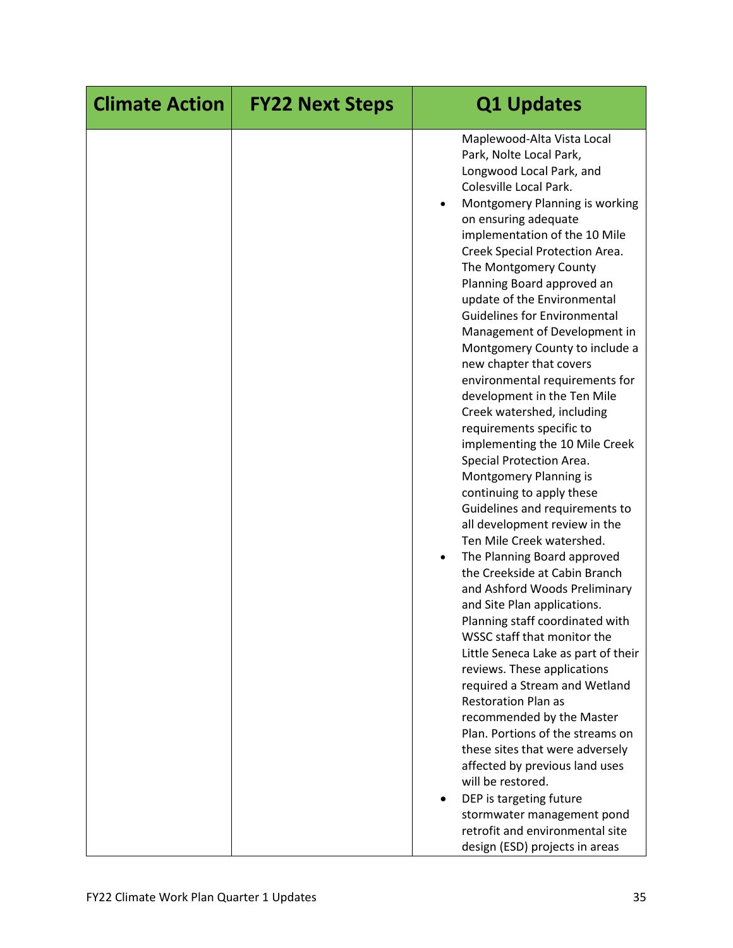| <b>Climate Action</b> | <b>FY22 Next Steps</b> | <b>Q1 Updates</b>                                                                                                                                                                                                                                                                                                                                                                                                                                                                                                                                                                                                                                                                                                                                                                                                                                                                                                                                                                                                                                                                                                                                                                                                                                                                                                                                                                                                                                               |
|-----------------------|------------------------|-----------------------------------------------------------------------------------------------------------------------------------------------------------------------------------------------------------------------------------------------------------------------------------------------------------------------------------------------------------------------------------------------------------------------------------------------------------------------------------------------------------------------------------------------------------------------------------------------------------------------------------------------------------------------------------------------------------------------------------------------------------------------------------------------------------------------------------------------------------------------------------------------------------------------------------------------------------------------------------------------------------------------------------------------------------------------------------------------------------------------------------------------------------------------------------------------------------------------------------------------------------------------------------------------------------------------------------------------------------------------------------------------------------------------------------------------------------------|
|                       |                        | Maplewood-Alta Vista Local<br>Park, Nolte Local Park,<br>Longwood Local Park, and<br>Colesville Local Park.<br>Montgomery Planning is working<br>on ensuring adequate<br>implementation of the 10 Mile<br>Creek Special Protection Area.<br>The Montgomery County<br>Planning Board approved an<br>update of the Environmental<br><b>Guidelines for Environmental</b><br>Management of Development in<br>Montgomery County to include a<br>new chapter that covers<br>environmental requirements for<br>development in the Ten Mile<br>Creek watershed, including<br>requirements specific to<br>implementing the 10 Mile Creek<br>Special Protection Area.<br>Montgomery Planning is<br>continuing to apply these<br>Guidelines and requirements to<br>all development review in the<br>Ten Mile Creek watershed.<br>The Planning Board approved<br>$\bullet$<br>the Creekside at Cabin Branch<br>and Ashford Woods Preliminary<br>and Site Plan applications.<br>Planning staff coordinated with<br>WSSC staff that monitor the<br>Little Seneca Lake as part of their<br>reviews. These applications<br>required a Stream and Wetland<br><b>Restoration Plan as</b><br>recommended by the Master<br>Plan. Portions of the streams on<br>these sites that were adversely<br>affected by previous land uses<br>will be restored.<br>DEP is targeting future<br>stormwater management pond<br>retrofit and environmental site<br>design (ESD) projects in areas |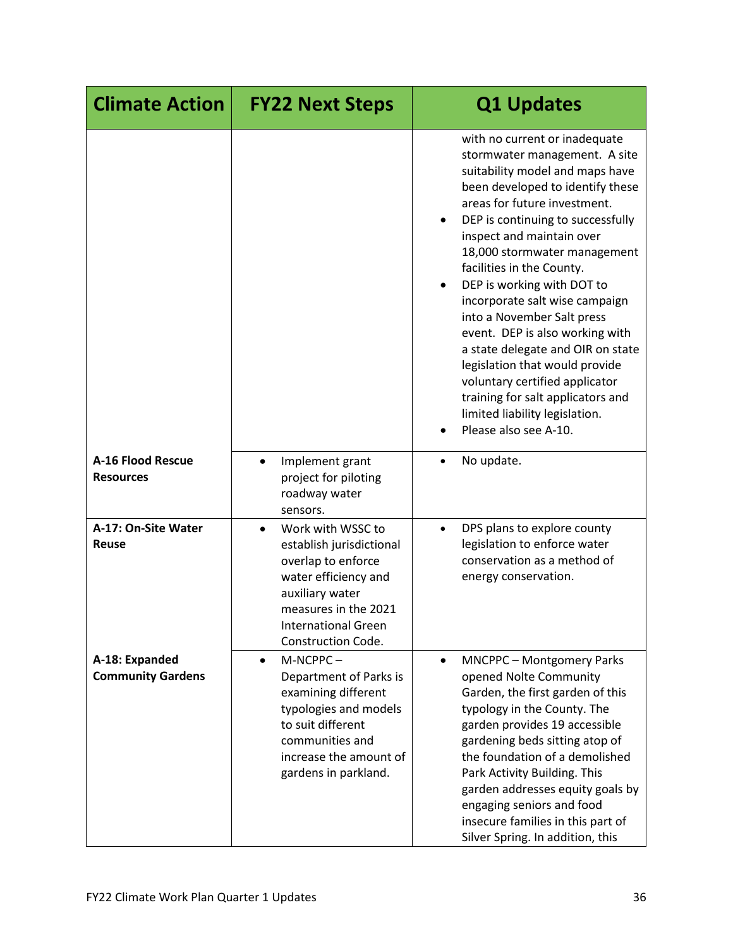| <b>Climate Action</b>                        | <b>FY22 Next Steps</b>                                                                                                                                                                                  | <b>Q1 Updates</b>                                                                                                                                                                                                                                                                                                                                                                                                                                                                                                                                                                                                                                           |
|----------------------------------------------|---------------------------------------------------------------------------------------------------------------------------------------------------------------------------------------------------------|-------------------------------------------------------------------------------------------------------------------------------------------------------------------------------------------------------------------------------------------------------------------------------------------------------------------------------------------------------------------------------------------------------------------------------------------------------------------------------------------------------------------------------------------------------------------------------------------------------------------------------------------------------------|
|                                              |                                                                                                                                                                                                         | with no current or inadequate<br>stormwater management. A site<br>suitability model and maps have<br>been developed to identify these<br>areas for future investment.<br>DEP is continuing to successfully<br>inspect and maintain over<br>18,000 stormwater management<br>facilities in the County.<br>DEP is working with DOT to<br>$\bullet$<br>incorporate salt wise campaign<br>into a November Salt press<br>event. DEP is also working with<br>a state delegate and OIR on state<br>legislation that would provide<br>voluntary certified applicator<br>training for salt applicators and<br>limited liability legislation.<br>Please also see A-10. |
| <b>A-16 Flood Rescue</b><br><b>Resources</b> | Implement grant<br>$\bullet$<br>project for piloting<br>roadway water<br>sensors.                                                                                                                       | No update.                                                                                                                                                                                                                                                                                                                                                                                                                                                                                                                                                                                                                                                  |
| A-17: On-Site Water<br><b>Reuse</b>          | Work with WSSC to<br>$\bullet$<br>establish jurisdictional<br>overlap to enforce<br>water efficiency and<br>auxiliary water<br>measures in the 2021<br><b>International Green</b><br>Construction Code. | DPS plans to explore county<br>legislation to enforce water<br>conservation as a method of<br>energy conservation.                                                                                                                                                                                                                                                                                                                                                                                                                                                                                                                                          |
| A-18: Expanded<br><b>Community Gardens</b>   | M-NCPPC-<br>$\bullet$<br>Department of Parks is<br>examining different<br>typologies and models<br>to suit different<br>communities and<br>increase the amount of<br>gardens in parkland.               | <b>MNCPPC - Montgomery Parks</b><br>$\bullet$<br>opened Nolte Community<br>Garden, the first garden of this<br>typology in the County. The<br>garden provides 19 accessible<br>gardening beds sitting atop of<br>the foundation of a demolished<br>Park Activity Building. This<br>garden addresses equity goals by<br>engaging seniors and food<br>insecure families in this part of<br>Silver Spring. In addition, this                                                                                                                                                                                                                                   |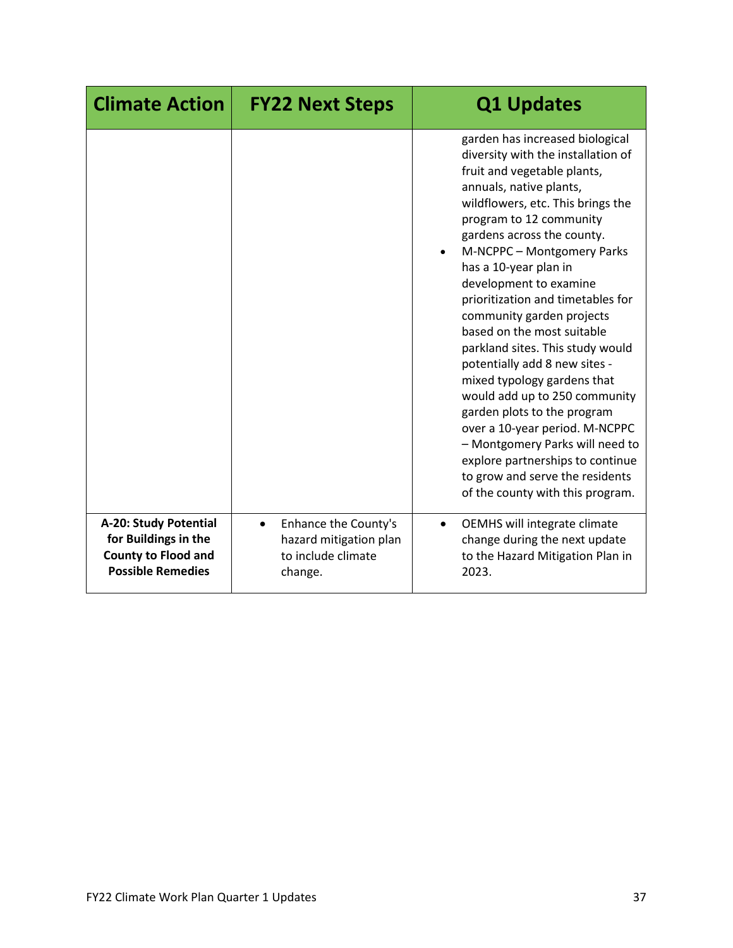| <b>Climate Action</b>                                                                                   | <b>FY22 Next Steps</b>                                                                       | <b>Q1 Updates</b>                                                                                                                                                                                                                                                                                                                                                                                                                                                                                                                                                                                                                                                                                                                                                  |
|---------------------------------------------------------------------------------------------------------|----------------------------------------------------------------------------------------------|--------------------------------------------------------------------------------------------------------------------------------------------------------------------------------------------------------------------------------------------------------------------------------------------------------------------------------------------------------------------------------------------------------------------------------------------------------------------------------------------------------------------------------------------------------------------------------------------------------------------------------------------------------------------------------------------------------------------------------------------------------------------|
|                                                                                                         |                                                                                              | garden has increased biological<br>diversity with the installation of<br>fruit and vegetable plants,<br>annuals, native plants,<br>wildflowers, etc. This brings the<br>program to 12 community<br>gardens across the county.<br>M-NCPPC - Montgomery Parks<br>has a 10-year plan in<br>development to examine<br>prioritization and timetables for<br>community garden projects<br>based on the most suitable<br>parkland sites. This study would<br>potentially add 8 new sites -<br>mixed typology gardens that<br>would add up to 250 community<br>garden plots to the program<br>over a 10-year period. M-NCPPC<br>- Montgomery Parks will need to<br>explore partnerships to continue<br>to grow and serve the residents<br>of the county with this program. |
| A-20: Study Potential<br>for Buildings in the<br><b>County to Flood and</b><br><b>Possible Remedies</b> | Enhance the County's<br>$\bullet$<br>hazard mitigation plan<br>to include climate<br>change. | OEMHS will integrate climate<br>change during the next update<br>to the Hazard Mitigation Plan in<br>2023.                                                                                                                                                                                                                                                                                                                                                                                                                                                                                                                                                                                                                                                         |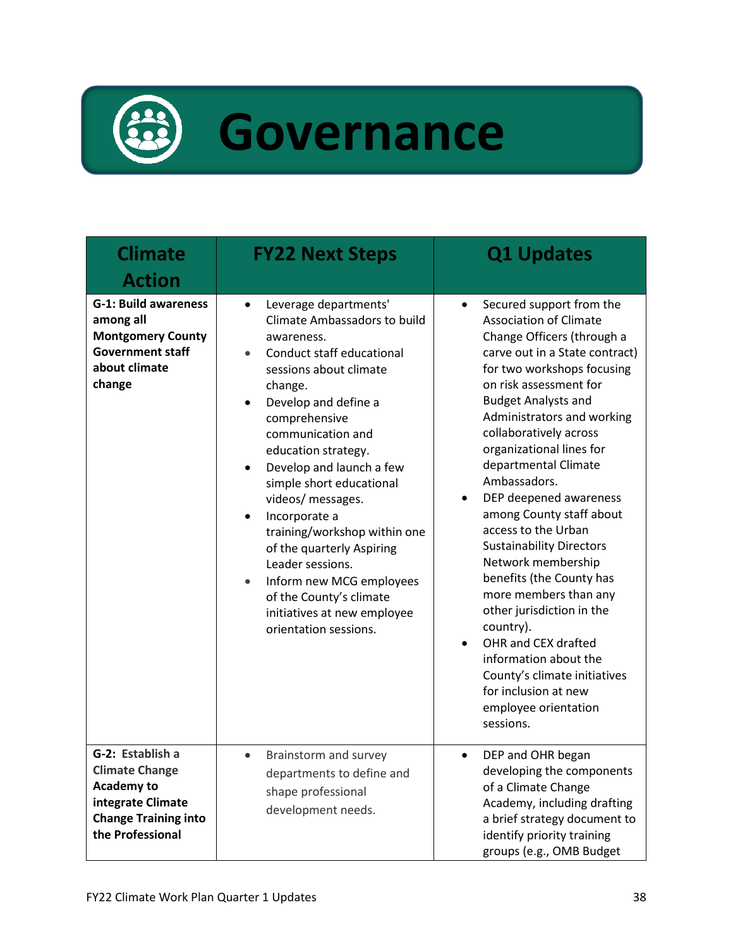

## **Governance**

| <b>Climate</b><br><b>Action</b>                                                                                                        | <b>FY22 Next Steps</b>                                                                                                                                                                                                                                                                                                                                                                                                                                                                                                                                                                                 | <b>Q1 Updates</b>                                                                                                                                                                                                                                                                                                                                                                                                                                                                                                                                                                                                                                                                                                                                                    |
|----------------------------------------------------------------------------------------------------------------------------------------|--------------------------------------------------------------------------------------------------------------------------------------------------------------------------------------------------------------------------------------------------------------------------------------------------------------------------------------------------------------------------------------------------------------------------------------------------------------------------------------------------------------------------------------------------------------------------------------------------------|----------------------------------------------------------------------------------------------------------------------------------------------------------------------------------------------------------------------------------------------------------------------------------------------------------------------------------------------------------------------------------------------------------------------------------------------------------------------------------------------------------------------------------------------------------------------------------------------------------------------------------------------------------------------------------------------------------------------------------------------------------------------|
| <b>G-1: Build awareness</b><br>among all<br><b>Montgomery County</b><br><b>Government staff</b><br>about climate<br>change             | Leverage departments'<br>$\bullet$<br>Climate Ambassadors to build<br>awareness.<br>Conduct staff educational<br>$\bullet$<br>sessions about climate<br>change.<br>Develop and define a<br>$\bullet$<br>comprehensive<br>communication and<br>education strategy.<br>Develop and launch a few<br>$\bullet$<br>simple short educational<br>videos/ messages.<br>Incorporate a<br>$\bullet$<br>training/workshop within one<br>of the quarterly Aspiring<br>Leader sessions.<br>Inform new MCG employees<br>$\bullet$<br>of the County's climate<br>initiatives at new employee<br>orientation sessions. | Secured support from the<br>$\bullet$<br><b>Association of Climate</b><br>Change Officers (through a<br>carve out in a State contract)<br>for two workshops focusing<br>on risk assessment for<br><b>Budget Analysts and</b><br>Administrators and working<br>collaboratively across<br>organizational lines for<br>departmental Climate<br>Ambassadors.<br>DEP deepened awareness<br>$\bullet$<br>among County staff about<br>access to the Urban<br><b>Sustainability Directors</b><br>Network membership<br>benefits (the County has<br>more members than any<br>other jurisdiction in the<br>country).<br>OHR and CEX drafted<br>$\bullet$<br>information about the<br>County's climate initiatives<br>for inclusion at new<br>employee orientation<br>sessions. |
| G-2: Establish a<br><b>Climate Change</b><br><b>Academy to</b><br>integrate Climate<br><b>Change Training into</b><br>the Professional | Brainstorm and survey<br>$\bullet$<br>departments to define and<br>shape professional<br>development needs.                                                                                                                                                                                                                                                                                                                                                                                                                                                                                            | DEP and OHR began<br>$\bullet$<br>developing the components<br>of a Climate Change<br>Academy, including drafting<br>a brief strategy document to<br>identify priority training<br>groups (e.g., OMB Budget                                                                                                                                                                                                                                                                                                                                                                                                                                                                                                                                                          |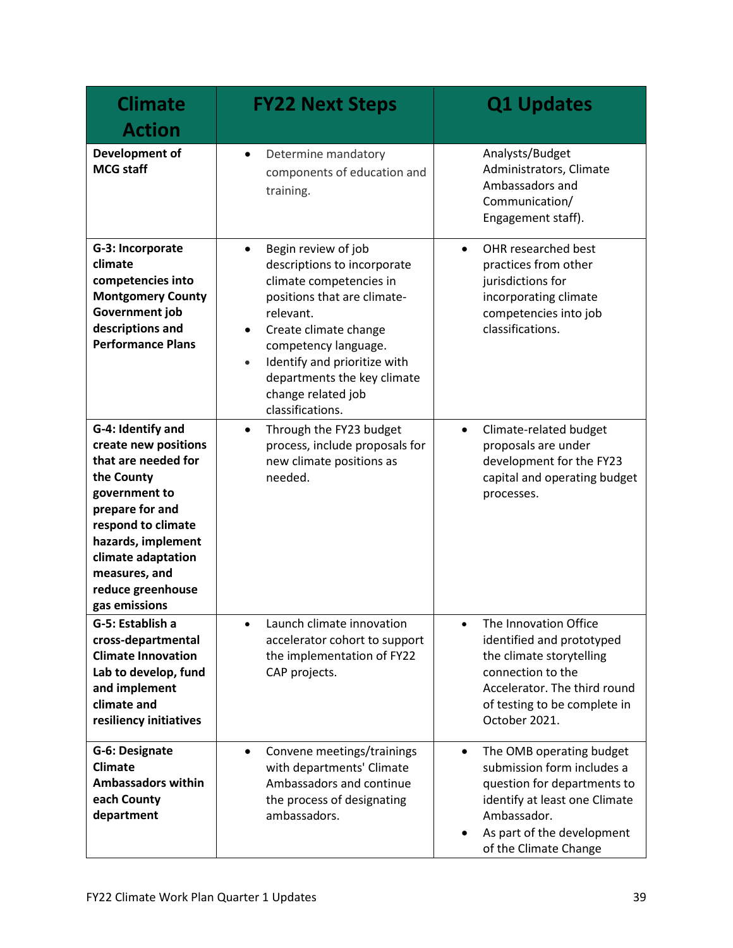| <b>Climate</b><br><b>Action</b>                                                                                                                                                                                                             | <b>FY22 Next Steps</b>                                                                                                                                                                                                                                                                                        | <b>Q1 Updates</b>                                                                                                                                                                                         |
|---------------------------------------------------------------------------------------------------------------------------------------------------------------------------------------------------------------------------------------------|---------------------------------------------------------------------------------------------------------------------------------------------------------------------------------------------------------------------------------------------------------------------------------------------------------------|-----------------------------------------------------------------------------------------------------------------------------------------------------------------------------------------------------------|
| Development of<br><b>MCG staff</b>                                                                                                                                                                                                          | Determine mandatory<br>$\bullet$<br>components of education and<br>training.                                                                                                                                                                                                                                  | Analysts/Budget<br>Administrators, Climate<br>Ambassadors and<br>Communication/<br>Engagement staff).                                                                                                     |
| G-3: Incorporate<br>climate<br>competencies into<br><b>Montgomery County</b><br>Government job<br>descriptions and<br><b>Performance Plans</b>                                                                                              | Begin review of job<br>$\bullet$<br>descriptions to incorporate<br>climate competencies in<br>positions that are climate-<br>relevant.<br>Create climate change<br>competency language.<br>Identify and prioritize with<br>$\bullet$<br>departments the key climate<br>change related job<br>classifications. | OHR researched best<br>$\bullet$<br>practices from other<br>jurisdictions for<br>incorporating climate<br>competencies into job<br>classifications.                                                       |
| G-4: Identify and<br>create new positions<br>that are needed for<br>the County<br>government to<br>prepare for and<br>respond to climate<br>hazards, implement<br>climate adaptation<br>measures, and<br>reduce greenhouse<br>gas emissions | Through the FY23 budget<br>$\bullet$<br>process, include proposals for<br>new climate positions as<br>needed.                                                                                                                                                                                                 | Climate-related budget<br>$\bullet$<br>proposals are under<br>development for the FY23<br>capital and operating budget<br>processes.                                                                      |
| G-5: Establish a<br>cross-departmental<br><b>Climate Innovation</b><br>Lab to develop, fund<br>and implement<br>climate and<br>resiliency initiatives                                                                                       | Launch climate innovation<br>accelerator cohort to support<br>the implementation of FY22<br>CAP projects.                                                                                                                                                                                                     | The Innovation Office<br>identified and prototyped<br>the climate storytelling<br>connection to the<br>Accelerator. The third round<br>of testing to be complete in<br>October 2021.                      |
| G-6: Designate<br><b>Climate</b><br><b>Ambassadors within</b><br>each County<br>department                                                                                                                                                  | Convene meetings/trainings<br>$\bullet$<br>with departments' Climate<br>Ambassadors and continue<br>the process of designating<br>ambassadors.                                                                                                                                                                | The OMB operating budget<br>$\bullet$<br>submission form includes a<br>question for departments to<br>identify at least one Climate<br>Ambassador.<br>As part of the development<br>of the Climate Change |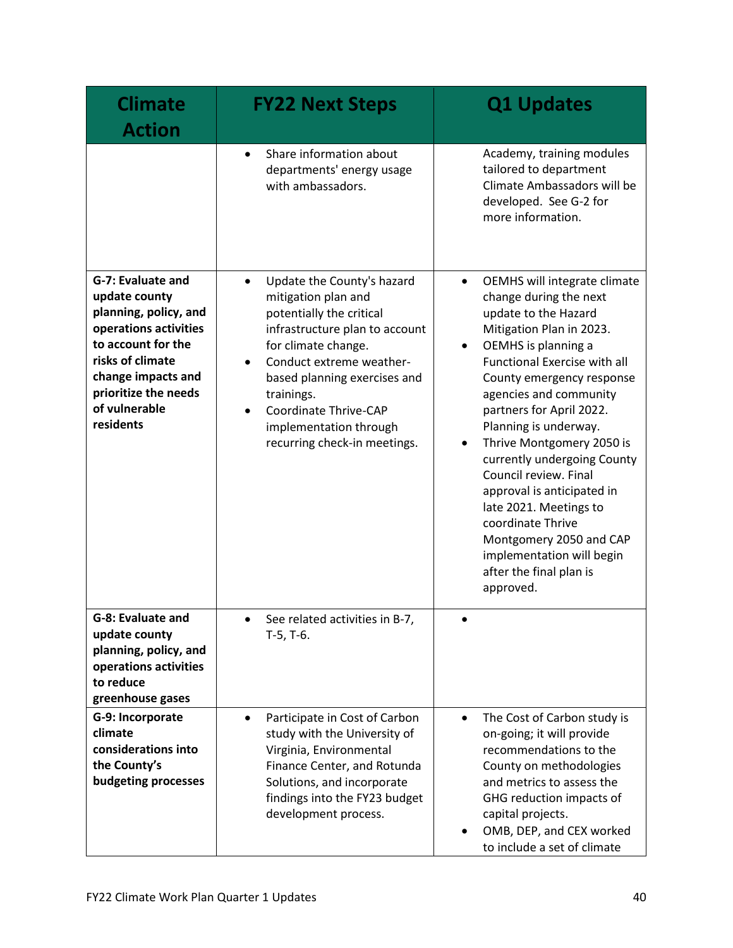| <b>Climate</b><br><b>Action</b>                                                                                                                                                                            | <b>FY22 Next Steps</b>                                                                                                                                                                                                                                                                                                                     | <b>Q1 Updates</b>                                                                                                                                                                                                                                                                                                                                                                                                                                                                                                                                                              |
|------------------------------------------------------------------------------------------------------------------------------------------------------------------------------------------------------------|--------------------------------------------------------------------------------------------------------------------------------------------------------------------------------------------------------------------------------------------------------------------------------------------------------------------------------------------|--------------------------------------------------------------------------------------------------------------------------------------------------------------------------------------------------------------------------------------------------------------------------------------------------------------------------------------------------------------------------------------------------------------------------------------------------------------------------------------------------------------------------------------------------------------------------------|
|                                                                                                                                                                                                            | Share information about<br>$\bullet$<br>departments' energy usage<br>with ambassadors.                                                                                                                                                                                                                                                     | Academy, training modules<br>tailored to department<br>Climate Ambassadors will be<br>developed. See G-2 for<br>more information.                                                                                                                                                                                                                                                                                                                                                                                                                                              |
| G-7: Evaluate and<br>update county<br>planning, policy, and<br>operations activities<br>to account for the<br>risks of climate<br>change impacts and<br>prioritize the needs<br>of vulnerable<br>residents | Update the County's hazard<br>$\bullet$<br>mitigation plan and<br>potentially the critical<br>infrastructure plan to account<br>for climate change.<br>Conduct extreme weather-<br>$\bullet$<br>based planning exercises and<br>trainings.<br>Coordinate Thrive-CAP<br>$\bullet$<br>implementation through<br>recurring check-in meetings. | OEMHS will integrate climate<br>$\bullet$<br>change during the next<br>update to the Hazard<br>Mitigation Plan in 2023.<br>OEMHS is planning a<br>٠<br>Functional Exercise with all<br>County emergency response<br>agencies and community<br>partners for April 2022.<br>Planning is underway.<br>Thrive Montgomery 2050 is<br>$\bullet$<br>currently undergoing County<br>Council review. Final<br>approval is anticipated in<br>late 2021. Meetings to<br>coordinate Thrive<br>Montgomery 2050 and CAP<br>implementation will begin<br>after the final plan is<br>approved. |
| G-8: Evaluate and<br>update county<br>planning, policy, and<br>operations activities<br>to reduce<br>greenhouse gases                                                                                      | See related activities in B-7,<br>$T-5, T-6.$                                                                                                                                                                                                                                                                                              |                                                                                                                                                                                                                                                                                                                                                                                                                                                                                                                                                                                |
| G-9: Incorporate<br>climate<br>considerations into<br>the County's<br>budgeting processes                                                                                                                  | Participate in Cost of Carbon<br>$\bullet$<br>study with the University of<br>Virginia, Environmental<br>Finance Center, and Rotunda<br>Solutions, and incorporate<br>findings into the FY23 budget<br>development process.                                                                                                                | The Cost of Carbon study is<br>$\bullet$<br>on-going; it will provide<br>recommendations to the<br>County on methodologies<br>and metrics to assess the<br>GHG reduction impacts of<br>capital projects.<br>OMB, DEP, and CEX worked<br>to include a set of climate                                                                                                                                                                                                                                                                                                            |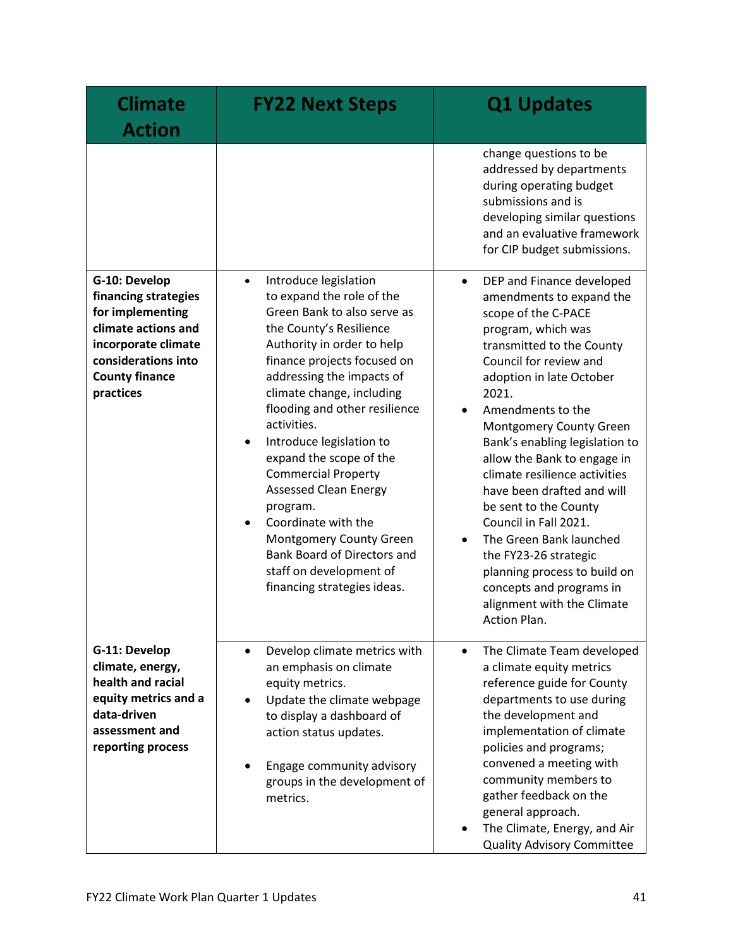| <b>Climate</b><br><b>Action</b>                                                                                                                                      | <b>FY22 Next Steps</b>                                                                                                                                                                                                                                                                                                                                                                                                                                                                                                                                                                                 | <b>Q1 Updates</b>                                                                                                                                                                                                                                                                                                                                                                                                                                                                                                                                                                                                        |
|----------------------------------------------------------------------------------------------------------------------------------------------------------------------|--------------------------------------------------------------------------------------------------------------------------------------------------------------------------------------------------------------------------------------------------------------------------------------------------------------------------------------------------------------------------------------------------------------------------------------------------------------------------------------------------------------------------------------------------------------------------------------------------------|--------------------------------------------------------------------------------------------------------------------------------------------------------------------------------------------------------------------------------------------------------------------------------------------------------------------------------------------------------------------------------------------------------------------------------------------------------------------------------------------------------------------------------------------------------------------------------------------------------------------------|
|                                                                                                                                                                      |                                                                                                                                                                                                                                                                                                                                                                                                                                                                                                                                                                                                        | change questions to be<br>addressed by departments<br>during operating budget<br>submissions and is<br>developing similar questions<br>and an evaluative framework<br>for CIP budget submissions.                                                                                                                                                                                                                                                                                                                                                                                                                        |
| G-10: Develop<br>financing strategies<br>for implementing<br>climate actions and<br>incorporate climate<br>considerations into<br><b>County finance</b><br>practices | Introduce legislation<br>$\bullet$<br>to expand the role of the<br>Green Bank to also serve as<br>the County's Resilience<br>Authority in order to help<br>finance projects focused on<br>addressing the impacts of<br>climate change, including<br>flooding and other resilience<br>activities.<br>Introduce legislation to<br>$\bullet$<br>expand the scope of the<br><b>Commercial Property</b><br><b>Assessed Clean Energy</b><br>program.<br>Coordinate with the<br>$\bullet$<br>Montgomery County Green<br>Bank Board of Directors and<br>staff on development of<br>financing strategies ideas. | DEP and Finance developed<br>$\bullet$<br>amendments to expand the<br>scope of the C-PACE<br>program, which was<br>transmitted to the County<br>Council for review and<br>adoption in late October<br>2021.<br>Amendments to the<br>Montgomery County Green<br>Bank's enabling legislation to<br>allow the Bank to engage in<br>climate resilience activities<br>have been drafted and will<br>be sent to the County<br>Council in Fall 2021.<br>The Green Bank launched<br>$\bullet$<br>the FY23-26 strategic<br>planning process to build on<br>concepts and programs in<br>alignment with the Climate<br>Action Plan. |
| G-11: Develop<br>climate, energy,<br>health and racial<br>equity metrics and a<br>data-driven<br>assessment and<br>reporting process                                 | Develop climate metrics with<br>$\bullet$<br>an emphasis on climate<br>equity metrics.<br>Update the climate webpage<br>$\bullet$<br>to display a dashboard of<br>action status updates.<br>Engage community advisory<br>groups in the development of<br>metrics.                                                                                                                                                                                                                                                                                                                                      | The Climate Team developed<br>$\bullet$<br>a climate equity metrics<br>reference guide for County<br>departments to use during<br>the development and<br>implementation of climate<br>policies and programs;<br>convened a meeting with<br>community members to<br>gather feedback on the<br>general approach.<br>The Climate, Energy, and Air<br>٠<br><b>Quality Advisory Committee</b>                                                                                                                                                                                                                                 |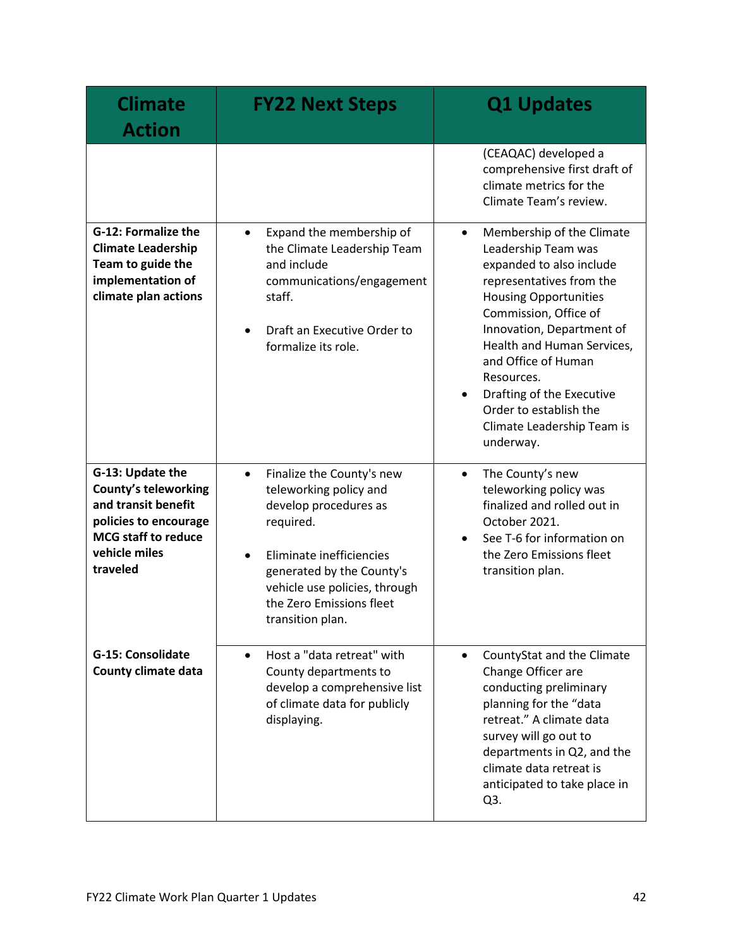| <b>Climate</b><br><b>Action</b>                                                                                                                            | <b>FY22 Next Steps</b>                                                                                                                                                                                                                                        | <b>Q1 Updates</b>                                                                                                                                                                                                                                                                                                                                                                             |
|------------------------------------------------------------------------------------------------------------------------------------------------------------|---------------------------------------------------------------------------------------------------------------------------------------------------------------------------------------------------------------------------------------------------------------|-----------------------------------------------------------------------------------------------------------------------------------------------------------------------------------------------------------------------------------------------------------------------------------------------------------------------------------------------------------------------------------------------|
|                                                                                                                                                            |                                                                                                                                                                                                                                                               | (CEAQAC) developed a<br>comprehensive first draft of<br>climate metrics for the<br>Climate Team's review.                                                                                                                                                                                                                                                                                     |
| <b>G-12: Formalize the</b><br><b>Climate Leadership</b><br>Team to guide the<br>implementation of<br>climate plan actions                                  | Expand the membership of<br>$\bullet$<br>the Climate Leadership Team<br>and include<br>communications/engagement<br>staff.<br>Draft an Executive Order to<br>$\bullet$<br>formalize its role.                                                                 | Membership of the Climate<br>$\bullet$<br>Leadership Team was<br>expanded to also include<br>representatives from the<br><b>Housing Opportunities</b><br>Commission, Office of<br>Innovation, Department of<br>Health and Human Services,<br>and Office of Human<br>Resources.<br>Drafting of the Executive<br>$\bullet$<br>Order to establish the<br>Climate Leadership Team is<br>underway. |
| G-13: Update the<br><b>County's teleworking</b><br>and transit benefit<br>policies to encourage<br><b>MCG staff to reduce</b><br>vehicle miles<br>traveled | Finalize the County's new<br>$\bullet$<br>teleworking policy and<br>develop procedures as<br>required.<br>Eliminate inefficiencies<br>$\bullet$<br>generated by the County's<br>vehicle use policies, through<br>the Zero Emissions fleet<br>transition plan. | The County's new<br>$\bullet$<br>teleworking policy was<br>finalized and rolled out in<br>October 2021.<br>See T-6 for information on<br>$\bullet$<br>the Zero Emissions fleet<br>transition plan.                                                                                                                                                                                            |
| <b>G-15: Consolidate</b><br>County climate data                                                                                                            | Host a "data retreat" with<br>$\bullet$<br>County departments to<br>develop a comprehensive list<br>of climate data for publicly<br>displaying.                                                                                                               | CountyStat and the Climate<br>$\bullet$<br>Change Officer are<br>conducting preliminary<br>planning for the "data<br>retreat." A climate data<br>survey will go out to<br>departments in Q2, and the<br>climate data retreat is<br>anticipated to take place in<br>Q3.                                                                                                                        |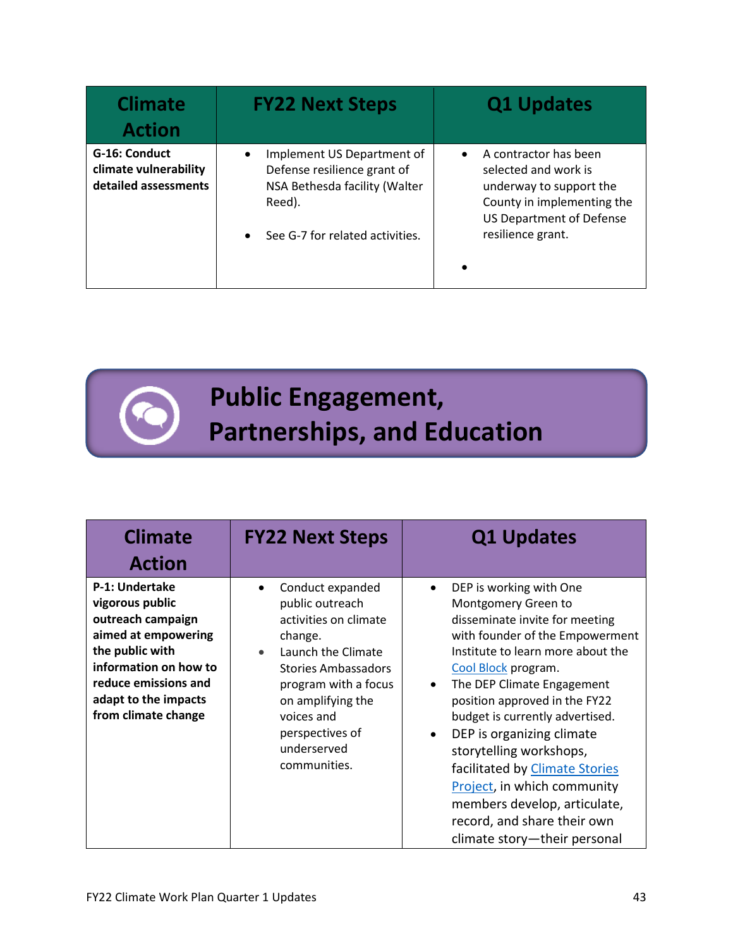| <b>Climate</b><br><b>Action</b>                                | <b>FY22 Next Steps</b>                                                                                    | <b>Q1 Updates</b>                                                                                                                                      |
|----------------------------------------------------------------|-----------------------------------------------------------------------------------------------------------|--------------------------------------------------------------------------------------------------------------------------------------------------------|
| G-16: Conduct<br>climate vulnerability<br>detailed assessments | Implement US Department of<br>٠<br>Defense resilience grant of<br>NSA Bethesda facility (Walter<br>Reed). | A contractor has been<br>$\bullet$<br>selected and work is<br>underway to support the<br>County in implementing the<br><b>US Department of Defense</b> |
|                                                                | See G-7 for related activities.<br>$\bullet$                                                              | resilience grant.<br>$\bullet$                                                                                                                         |

 **Public Engagement, Partnerships, and Education**

| <b>Climate</b><br><b>Action</b>                                                                                                                                                                  | <b>FY22 Next Steps</b>                                                                                                                                                                                                                                     | <b>Q1 Updates</b>                                                                                                                                                                                                                                                                                                                                                                                                                                                                                                                                |
|--------------------------------------------------------------------------------------------------------------------------------------------------------------------------------------------------|------------------------------------------------------------------------------------------------------------------------------------------------------------------------------------------------------------------------------------------------------------|--------------------------------------------------------------------------------------------------------------------------------------------------------------------------------------------------------------------------------------------------------------------------------------------------------------------------------------------------------------------------------------------------------------------------------------------------------------------------------------------------------------------------------------------------|
| P-1: Undertake<br>vigorous public<br>outreach campaign<br>aimed at empowering<br>the public with<br>information on how to<br>reduce emissions and<br>adapt to the impacts<br>from climate change | Conduct expanded<br>٠<br>public outreach<br>activities on climate<br>change.<br>Launch the Climate<br>$\bullet$<br><b>Stories Ambassadors</b><br>program with a focus<br>on amplifying the<br>voices and<br>perspectives of<br>underserved<br>communities. | DEP is working with One<br>$\bullet$<br>Montgomery Green to<br>disseminate invite for meeting<br>with founder of the Empowerment<br>Institute to learn more about the<br>Cool Block program.<br>The DEP Climate Engagement<br>$\bullet$<br>position approved in the FY22<br>budget is currently advertised.<br>DEP is organizing climate<br>$\bullet$<br>storytelling workshops,<br>facilitated by Climate Stories<br>Project, in which community<br>members develop, articulate,<br>record, and share their own<br>climate story-their personal |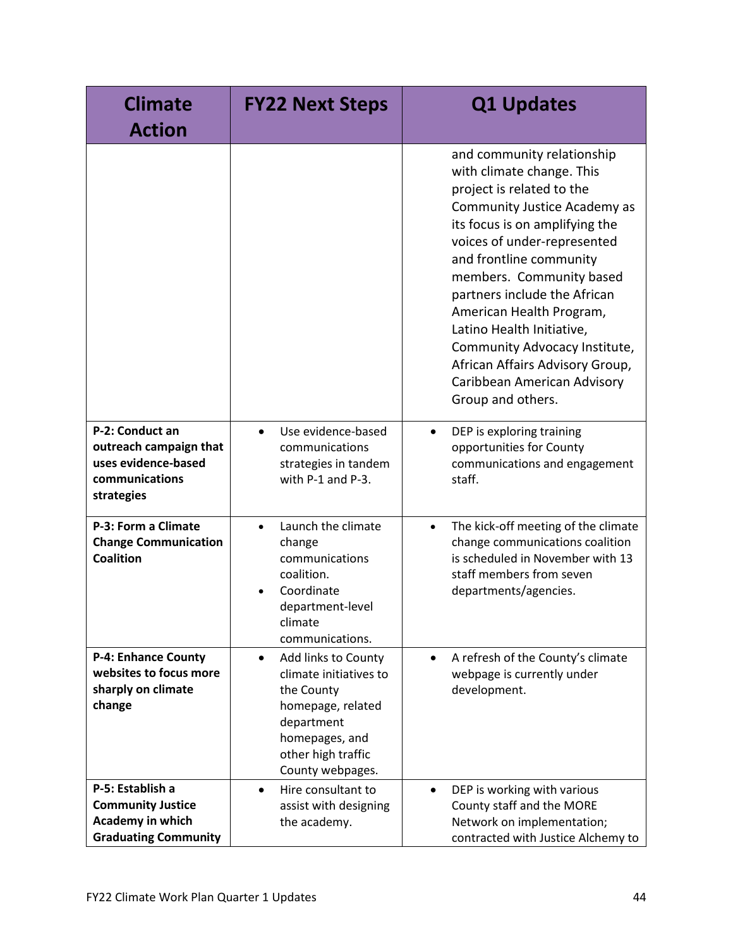| <b>Climate</b><br><b>Action</b>                                                                  | <b>FY22 Next Steps</b>                                                                                                                                                  | <b>Q1 Updates</b>                                                                                                                                                                                                                                                                                                                                                                                                                                             |
|--------------------------------------------------------------------------------------------------|-------------------------------------------------------------------------------------------------------------------------------------------------------------------------|---------------------------------------------------------------------------------------------------------------------------------------------------------------------------------------------------------------------------------------------------------------------------------------------------------------------------------------------------------------------------------------------------------------------------------------------------------------|
|                                                                                                  |                                                                                                                                                                         | and community relationship<br>with climate change. This<br>project is related to the<br>Community Justice Academy as<br>its focus is on amplifying the<br>voices of under-represented<br>and frontline community<br>members. Community based<br>partners include the African<br>American Health Program,<br>Latino Health Initiative,<br>Community Advocacy Institute,<br>African Affairs Advisory Group,<br>Caribbean American Advisory<br>Group and others. |
| P-2: Conduct an<br>outreach campaign that<br>uses evidence-based<br>communications<br>strategies | Use evidence-based<br>$\bullet$<br>communications<br>strategies in tandem<br>with P-1 and P-3.                                                                          | DEP is exploring training<br>$\bullet$<br>opportunities for County<br>communications and engagement<br>staff.                                                                                                                                                                                                                                                                                                                                                 |
| P-3: Form a Climate<br><b>Change Communication</b><br><b>Coalition</b>                           | Launch the climate<br>$\bullet$<br>change<br>communications<br>coalition.<br>Coordinate<br>department-level<br>climate<br>communications.                               | The kick-off meeting of the climate<br>$\bullet$<br>change communications coalition<br>is scheduled in November with 13<br>staff members from seven<br>departments/agencies.                                                                                                                                                                                                                                                                                  |
| <b>P-4: Enhance County</b><br>websites to focus more<br>sharply on climate<br>change             | Add links to County<br>$\bullet$<br>climate initiatives to<br>the County<br>homepage, related<br>department<br>homepages, and<br>other high traffic<br>County webpages. | A refresh of the County's climate<br>$\bullet$<br>webpage is currently under<br>development.                                                                                                                                                                                                                                                                                                                                                                  |
| P-5: Establish a<br><b>Community Justice</b><br>Academy in which<br><b>Graduating Community</b>  | Hire consultant to<br>$\bullet$<br>assist with designing<br>the academy.                                                                                                | DEP is working with various<br>$\bullet$<br>County staff and the MORE<br>Network on implementation;<br>contracted with Justice Alchemy to                                                                                                                                                                                                                                                                                                                     |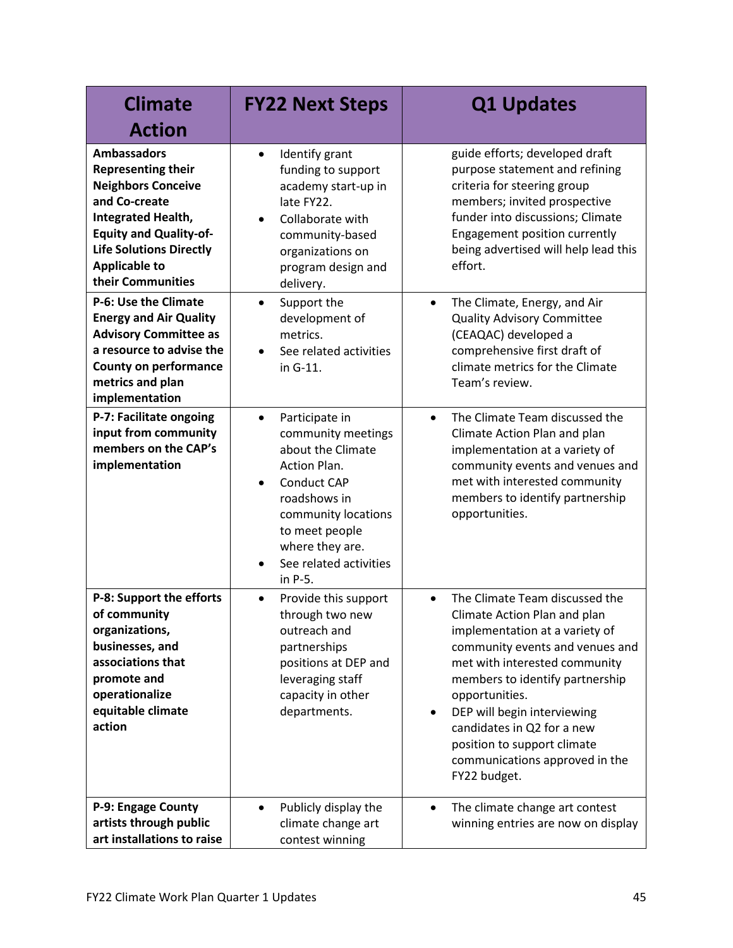| <b>Climate</b>                                                                                                                                                                                                                      | <b>FY22 Next Steps</b>                                                                                                                                                                                                                                  | <b>Q1 Updates</b>                                                                                                                                                                                                                                                                                                                                                                    |
|-------------------------------------------------------------------------------------------------------------------------------------------------------------------------------------------------------------------------------------|---------------------------------------------------------------------------------------------------------------------------------------------------------------------------------------------------------------------------------------------------------|--------------------------------------------------------------------------------------------------------------------------------------------------------------------------------------------------------------------------------------------------------------------------------------------------------------------------------------------------------------------------------------|
| <b>Action</b>                                                                                                                                                                                                                       |                                                                                                                                                                                                                                                         |                                                                                                                                                                                                                                                                                                                                                                                      |
| <b>Ambassadors</b><br><b>Representing their</b><br><b>Neighbors Conceive</b><br>and Co-create<br>Integrated Health,<br><b>Equity and Quality-of-</b><br><b>Life Solutions Directly</b><br><b>Applicable to</b><br>their Communities | Identify grant<br>$\bullet$<br>funding to support<br>academy start-up in<br>late FY22.<br>Collaborate with<br>$\bullet$<br>community-based<br>organizations on<br>program design and<br>delivery.                                                       | guide efforts; developed draft<br>purpose statement and refining<br>criteria for steering group<br>members; invited prospective<br>funder into discussions; Climate<br>Engagement position currently<br>being advertised will help lead this<br>effort.                                                                                                                              |
| P-6: Use the Climate<br><b>Energy and Air Quality</b><br><b>Advisory Committee as</b><br>a resource to advise the<br><b>County on performance</b><br>metrics and plan<br>implementation                                             | Support the<br>$\bullet$<br>development of<br>metrics.<br>See related activities<br>in G-11.                                                                                                                                                            | The Climate, Energy, and Air<br>$\bullet$<br><b>Quality Advisory Committee</b><br>(CEAQAC) developed a<br>comprehensive first draft of<br>climate metrics for the Climate<br>Team's review.                                                                                                                                                                                          |
| P-7: Facilitate ongoing<br>input from community<br>members on the CAP's<br>implementation                                                                                                                                           | Participate in<br>$\bullet$<br>community meetings<br>about the Climate<br>Action Plan.<br><b>Conduct CAP</b><br>$\bullet$<br>roadshows in<br>community locations<br>to meet people<br>where they are.<br>See related activities<br>$\bullet$<br>in P-5. | The Climate Team discussed the<br>$\bullet$<br>Climate Action Plan and plan<br>implementation at a variety of<br>community events and venues and<br>met with interested community<br>members to identify partnership<br>opportunities.                                                                                                                                               |
| P-8: Support the efforts<br>of community<br>organizations,<br>businesses, and<br>associations that<br>promote and<br>operationalize<br>equitable climate<br>action                                                                  | Provide this support<br>$\bullet$<br>through two new<br>outreach and<br>partnerships<br>positions at DEP and<br>leveraging staff<br>capacity in other<br>departments.                                                                                   | The Climate Team discussed the<br>$\bullet$<br>Climate Action Plan and plan<br>implementation at a variety of<br>community events and venues and<br>met with interested community<br>members to identify partnership<br>opportunities.<br>DEP will begin interviewing<br>candidates in Q2 for a new<br>position to support climate<br>communications approved in the<br>FY22 budget. |
| P-9: Engage County<br>artists through public<br>art installations to raise                                                                                                                                                          | Publicly display the<br>$\bullet$<br>climate change art<br>contest winning                                                                                                                                                                              | The climate change art contest<br>$\bullet$<br>winning entries are now on display                                                                                                                                                                                                                                                                                                    |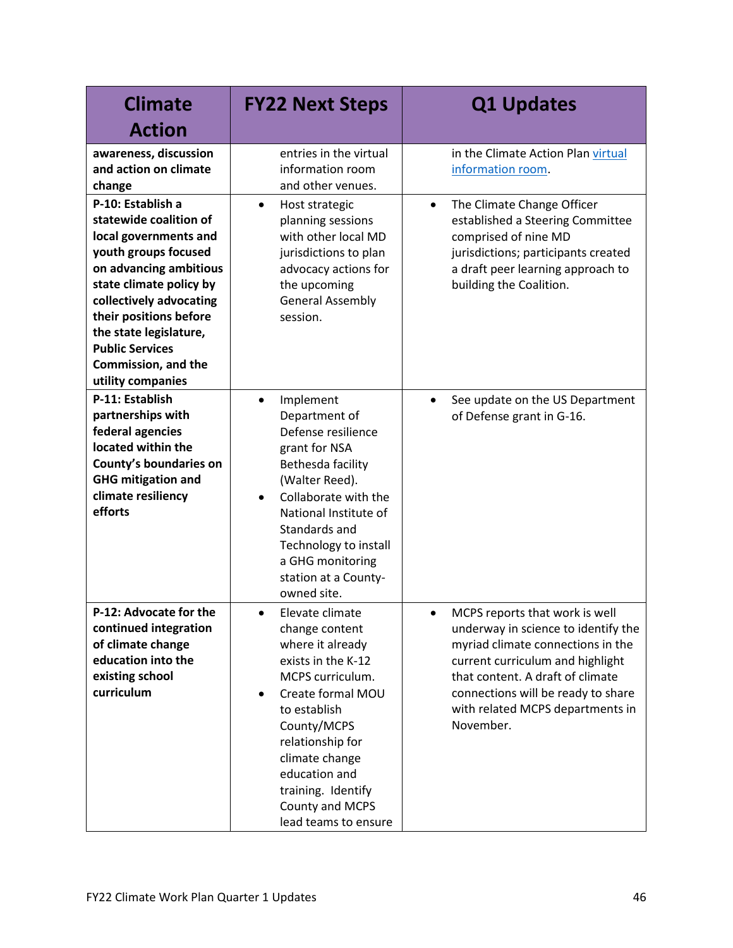| <b>Climate</b>                                                                                                                                                                                                                                                                                         | <b>FY22 Next Steps</b>                                                                                                                                                                                                                                                                                | <b>Q1 Updates</b>                                                                                                                                                                                                                                                                      |
|--------------------------------------------------------------------------------------------------------------------------------------------------------------------------------------------------------------------------------------------------------------------------------------------------------|-------------------------------------------------------------------------------------------------------------------------------------------------------------------------------------------------------------------------------------------------------------------------------------------------------|----------------------------------------------------------------------------------------------------------------------------------------------------------------------------------------------------------------------------------------------------------------------------------------|
| <b>Action</b>                                                                                                                                                                                                                                                                                          |                                                                                                                                                                                                                                                                                                       |                                                                                                                                                                                                                                                                                        |
| awareness, discussion<br>and action on climate<br>change                                                                                                                                                                                                                                               | entries in the virtual<br>information room<br>and other venues.                                                                                                                                                                                                                                       | in the Climate Action Plan virtual<br>information room.                                                                                                                                                                                                                                |
| P-10: Establish a<br>statewide coalition of<br>local governments and<br>youth groups focused<br>on advancing ambitious<br>state climate policy by<br>collectively advocating<br>their positions before<br>the state legislature,<br><b>Public Services</b><br>Commission, and the<br>utility companies | Host strategic<br>$\bullet$<br>planning sessions<br>with other local MD<br>jurisdictions to plan<br>advocacy actions for<br>the upcoming<br><b>General Assembly</b><br>session.                                                                                                                       | The Climate Change Officer<br>$\bullet$<br>established a Steering Committee<br>comprised of nine MD<br>jurisdictions; participants created<br>a draft peer learning approach to<br>building the Coalition.                                                                             |
| P-11: Establish<br>partnerships with<br>federal agencies<br>located within the<br>County's boundaries on<br><b>GHG mitigation and</b><br>climate resiliency<br>efforts                                                                                                                                 | Implement<br>$\bullet$<br>Department of<br>Defense resilience<br>grant for NSA<br>Bethesda facility<br>(Walter Reed).<br>Collaborate with the<br>$\bullet$<br>National Institute of<br>Standards and<br>Technology to install<br>a GHG monitoring<br>station at a County-<br>owned site.              | See update on the US Department<br>$\bullet$<br>of Defense grant in G-16.                                                                                                                                                                                                              |
| P-12: Advocate for the<br>continued integration<br>of climate change<br>education into the<br>existing school<br>curriculum                                                                                                                                                                            | Elevate climate<br>$\bullet$<br>change content<br>where it already<br>exists in the K-12<br>MCPS curriculum.<br>Create formal MOU<br>$\bullet$<br>to establish<br>County/MCPS<br>relationship for<br>climate change<br>education and<br>training. Identify<br>County and MCPS<br>lead teams to ensure | MCPS reports that work is well<br>$\bullet$<br>underway in science to identify the<br>myriad climate connections in the<br>current curriculum and highlight<br>that content. A draft of climate<br>connections will be ready to share<br>with related MCPS departments in<br>November. |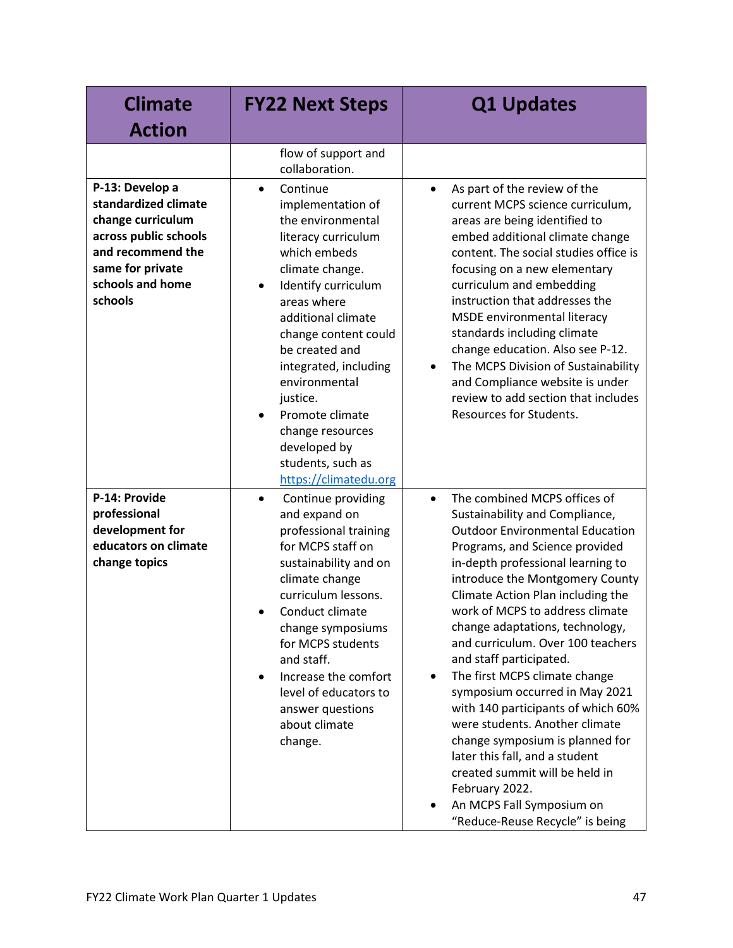| <b>Climate</b><br><b>Action</b>                                                                                                                               | <b>FY22 Next Steps</b>                                                                                                                                                                                                                                                                                                                                                                     | <b>Q1 Updates</b>                                                                                                                                                                                                                                                                                                                                                                                                                                                                                                                                                                                                                                                                                                                                           |
|---------------------------------------------------------------------------------------------------------------------------------------------------------------|--------------------------------------------------------------------------------------------------------------------------------------------------------------------------------------------------------------------------------------------------------------------------------------------------------------------------------------------------------------------------------------------|-------------------------------------------------------------------------------------------------------------------------------------------------------------------------------------------------------------------------------------------------------------------------------------------------------------------------------------------------------------------------------------------------------------------------------------------------------------------------------------------------------------------------------------------------------------------------------------------------------------------------------------------------------------------------------------------------------------------------------------------------------------|
|                                                                                                                                                               | flow of support and<br>collaboration.                                                                                                                                                                                                                                                                                                                                                      |                                                                                                                                                                                                                                                                                                                                                                                                                                                                                                                                                                                                                                                                                                                                                             |
| P-13: Develop a<br>standardized climate<br>change curriculum<br>across public schools<br>and recommend the<br>same for private<br>schools and home<br>schools | Continue<br>$\bullet$<br>implementation of<br>the environmental<br>literacy curriculum<br>which embeds<br>climate change.<br>Identify curriculum<br>areas where<br>additional climate<br>change content could<br>be created and<br>integrated, including<br>environmental<br>justice.<br>Promote climate<br>change resources<br>developed by<br>students, such as<br>https://climatedu.org | As part of the review of the<br>$\bullet$<br>current MCPS science curriculum,<br>areas are being identified to<br>embed additional climate change<br>content. The social studies office is<br>focusing on a new elementary<br>curriculum and embedding<br>instruction that addresses the<br>MSDE environmental literacy<br>standards including climate<br>change education. Also see P-12.<br>The MCPS Division of Sustainability<br>$\bullet$<br>and Compliance website is under<br>review to add section that includes<br><b>Resources for Students.</b>                                                                                                                                                                                                  |
| P-14: Provide<br>professional<br>development for<br>educators on climate<br>change topics                                                                     | Continue providing<br>$\bullet$<br>and expand on<br>professional training<br>for MCPS staff on<br>sustainability and on<br>climate change<br>curriculum lessons.<br>Conduct climate<br>$\bullet$<br>change symposiums<br>for MCPS students<br>and staff.<br>Increase the comfort<br>$\bullet$<br>level of educators to<br>answer questions<br>about climate<br>change.                     | The combined MCPS offices of<br>$\bullet$<br>Sustainability and Compliance,<br><b>Outdoor Environmental Education</b><br>Programs, and Science provided<br>in-depth professional learning to<br>introduce the Montgomery County<br>Climate Action Plan including the<br>work of MCPS to address climate<br>change adaptations, technology,<br>and curriculum. Over 100 teachers<br>and staff participated.<br>The first MCPS climate change<br>$\bullet$<br>symposium occurred in May 2021<br>with 140 participants of which 60%<br>were students. Another climate<br>change symposium is planned for<br>later this fall, and a student<br>created summit will be held in<br>February 2022.<br>An MCPS Fall Symposium on<br>"Reduce-Reuse Recycle" is being |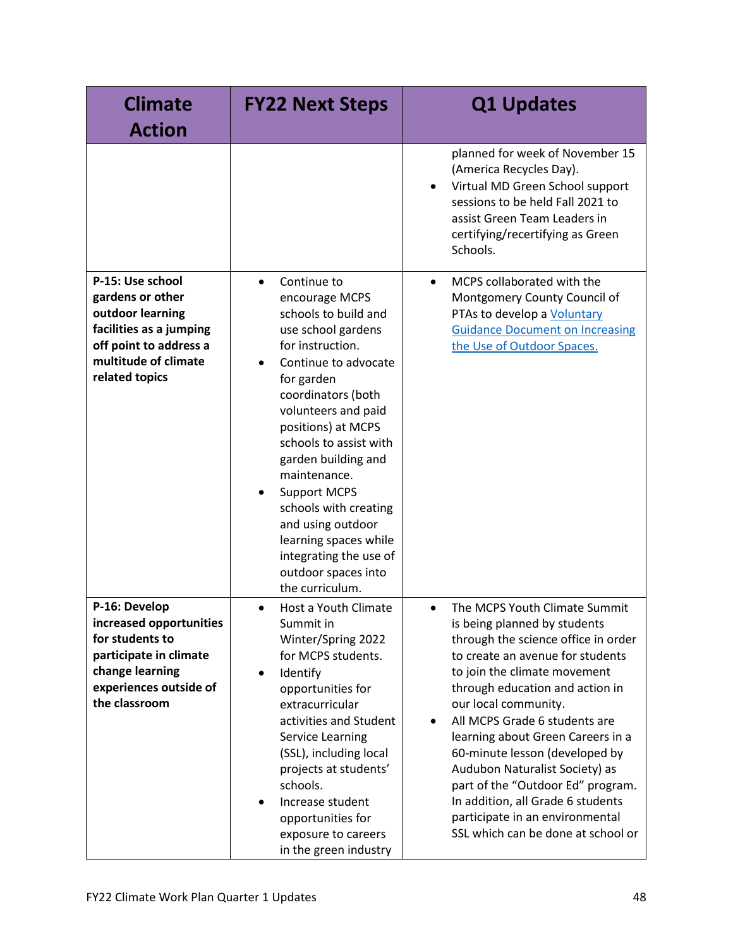| <b>Climate</b><br><b>Action</b>                                                                                                                         | <b>FY22 Next Steps</b>                                                                                                                                                                                                                                                                                                                                                                                                                                   | <b>Q1 Updates</b>                                                                                                                                                                                                                                                                                                                                                                                                                                                                                                                                          |
|---------------------------------------------------------------------------------------------------------------------------------------------------------|----------------------------------------------------------------------------------------------------------------------------------------------------------------------------------------------------------------------------------------------------------------------------------------------------------------------------------------------------------------------------------------------------------------------------------------------------------|------------------------------------------------------------------------------------------------------------------------------------------------------------------------------------------------------------------------------------------------------------------------------------------------------------------------------------------------------------------------------------------------------------------------------------------------------------------------------------------------------------------------------------------------------------|
|                                                                                                                                                         |                                                                                                                                                                                                                                                                                                                                                                                                                                                          | planned for week of November 15<br>(America Recycles Day).<br>Virtual MD Green School support<br>sessions to be held Fall 2021 to<br>assist Green Team Leaders in<br>certifying/recertifying as Green<br>Schools.                                                                                                                                                                                                                                                                                                                                          |
| P-15: Use school<br>gardens or other<br>outdoor learning<br>facilities as a jumping<br>off point to address a<br>multitude of climate<br>related topics | Continue to<br>$\bullet$<br>encourage MCPS<br>schools to build and<br>use school gardens<br>for instruction.<br>Continue to advocate<br>for garden<br>coordinators (both<br>volunteers and paid<br>positions) at MCPS<br>schools to assist with<br>garden building and<br>maintenance.<br><b>Support MCPS</b><br>schools with creating<br>and using outdoor<br>learning spaces while<br>integrating the use of<br>outdoor spaces into<br>the curriculum. | MCPS collaborated with the<br>$\bullet$<br>Montgomery County Council of<br>PTAs to develop a Voluntary<br><b>Guidance Document on Increasing</b><br>the Use of Outdoor Spaces.                                                                                                                                                                                                                                                                                                                                                                             |
| P-16: Develop<br>increased opportunities<br>for students to<br>participate in climate<br>change learning<br>experiences outside of<br>the classroom     | Host a Youth Climate<br>$\bullet$<br>Summit in<br>Winter/Spring 2022<br>for MCPS students.<br>Identify<br>$\bullet$<br>opportunities for<br>extracurricular<br>activities and Student<br>Service Learning<br>(SSL), including local<br>projects at students'<br>schools.<br>Increase student<br>$\bullet$<br>opportunities for<br>exposure to careers<br>in the green industry                                                                           | The MCPS Youth Climate Summit<br>$\bullet$<br>is being planned by students<br>through the science office in order<br>to create an avenue for students<br>to join the climate movement<br>through education and action in<br>our local community.<br>All MCPS Grade 6 students are<br>$\bullet$<br>learning about Green Careers in a<br>60-minute lesson (developed by<br>Audubon Naturalist Society) as<br>part of the "Outdoor Ed" program.<br>In addition, all Grade 6 students<br>participate in an environmental<br>SSL which can be done at school or |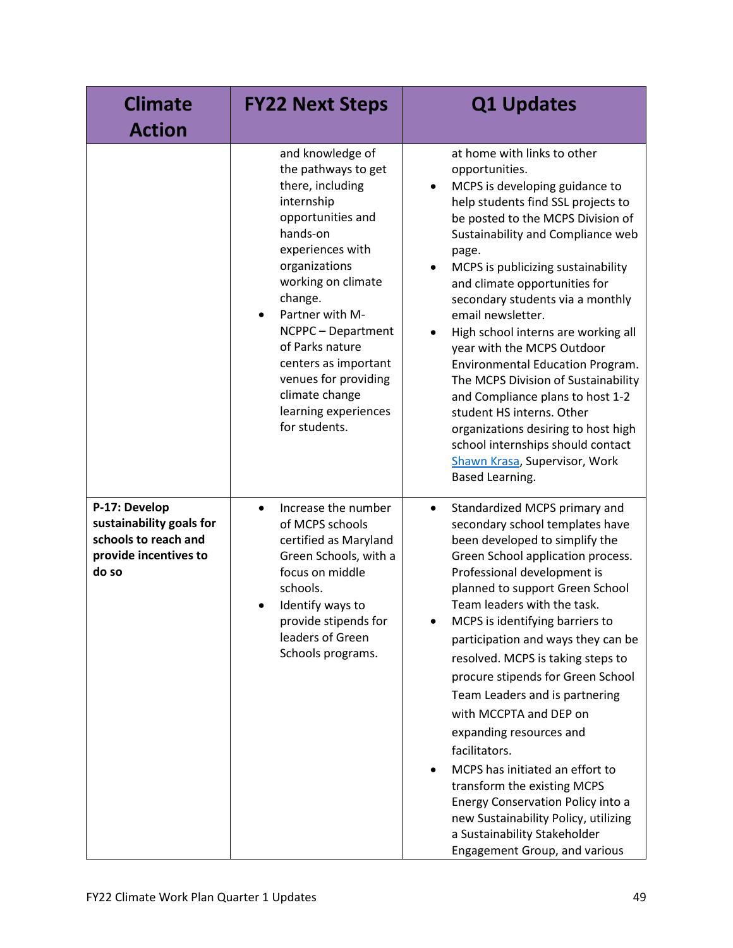| <b>Climate</b><br><b>Action</b>                                                                     | <b>FY22 Next Steps</b>                                                                                                                                                                                                                                                                                                                                               | <b>Q1 Updates</b>                                                                                                                                                                                                                                                                                                                                                                                                                                                                                                                                                                                                                                                                                                                             |
|-----------------------------------------------------------------------------------------------------|----------------------------------------------------------------------------------------------------------------------------------------------------------------------------------------------------------------------------------------------------------------------------------------------------------------------------------------------------------------------|-----------------------------------------------------------------------------------------------------------------------------------------------------------------------------------------------------------------------------------------------------------------------------------------------------------------------------------------------------------------------------------------------------------------------------------------------------------------------------------------------------------------------------------------------------------------------------------------------------------------------------------------------------------------------------------------------------------------------------------------------|
|                                                                                                     | and knowledge of<br>the pathways to get<br>there, including<br>internship<br>opportunities and<br>hands-on<br>experiences with<br>organizations<br>working on climate<br>change.<br>Partner with M-<br>$\bullet$<br>NCPPC - Department<br>of Parks nature<br>centers as important<br>venues for providing<br>climate change<br>learning experiences<br>for students. | at home with links to other<br>opportunities.<br>MCPS is developing guidance to<br>help students find SSL projects to<br>be posted to the MCPS Division of<br>Sustainability and Compliance web<br>page.<br>MCPS is publicizing sustainability<br>$\bullet$<br>and climate opportunities for<br>secondary students via a monthly<br>email newsletter.<br>High school interns are working all<br>$\bullet$<br>year with the MCPS Outdoor<br>Environmental Education Program.<br>The MCPS Division of Sustainability<br>and Compliance plans to host 1-2<br>student HS interns. Other<br>organizations desiring to host high<br>school internships should contact<br>Shawn Krasa, Supervisor, Work<br>Based Learning.                           |
| P-17: Develop<br>sustainability goals for<br>schools to reach and<br>provide incentives to<br>do so | Increase the number<br>$\bullet$<br>of MCPS schools<br>certified as Maryland<br>Green Schools, with a<br>focus on middle<br>schools.<br>Identify ways to<br>provide stipends for<br>leaders of Green<br>Schools programs.                                                                                                                                            | Standardized MCPS primary and<br>$\bullet$<br>secondary school templates have<br>been developed to simplify the<br>Green School application process.<br>Professional development is<br>planned to support Green School<br>Team leaders with the task.<br>MCPS is identifying barriers to<br>participation and ways they can be<br>resolved. MCPS is taking steps to<br>procure stipends for Green School<br>Team Leaders and is partnering<br>with MCCPTA and DEP on<br>expanding resources and<br>facilitators.<br>MCPS has initiated an effort to<br>$\bullet$<br>transform the existing MCPS<br>Energy Conservation Policy into a<br>new Sustainability Policy, utilizing<br>a Sustainability Stakeholder<br>Engagement Group, and various |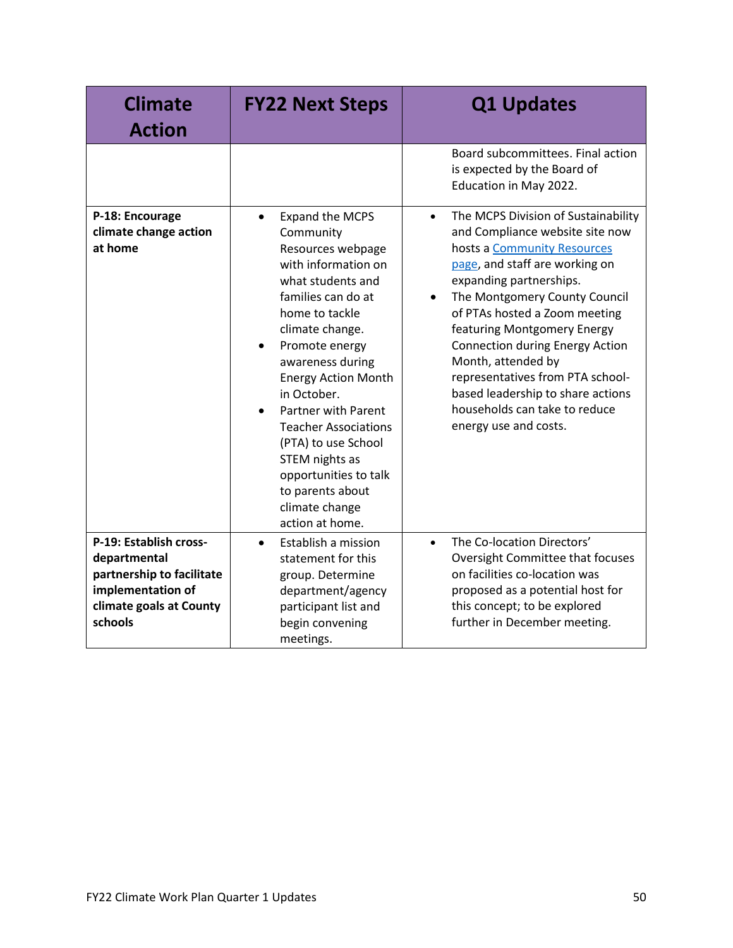| <b>Climate</b><br><b>Action</b>                                                                                                | <b>FY22 Next Steps</b>                                                                                                                                                                                                                                                                                                                                                                                                                                        | <b>Q1 Updates</b>                                                                                                                                                                                                                                                                                                                                                                                                                                                                                |
|--------------------------------------------------------------------------------------------------------------------------------|---------------------------------------------------------------------------------------------------------------------------------------------------------------------------------------------------------------------------------------------------------------------------------------------------------------------------------------------------------------------------------------------------------------------------------------------------------------|--------------------------------------------------------------------------------------------------------------------------------------------------------------------------------------------------------------------------------------------------------------------------------------------------------------------------------------------------------------------------------------------------------------------------------------------------------------------------------------------------|
|                                                                                                                                |                                                                                                                                                                                                                                                                                                                                                                                                                                                               | Board subcommittees. Final action<br>is expected by the Board of<br>Education in May 2022.                                                                                                                                                                                                                                                                                                                                                                                                       |
| P-18: Encourage<br>climate change action<br>at home                                                                            | Expand the MCPS<br>$\bullet$<br>Community<br>Resources webpage<br>with information on<br>what students and<br>families can do at<br>home to tackle<br>climate change.<br>Promote energy<br>$\bullet$<br>awareness during<br><b>Energy Action Month</b><br>in October.<br><b>Partner with Parent</b><br><b>Teacher Associations</b><br>(PTA) to use School<br>STEM nights as<br>opportunities to talk<br>to parents about<br>climate change<br>action at home. | The MCPS Division of Sustainability<br>$\bullet$<br>and Compliance website site now<br>hosts a Community Resources<br>page, and staff are working on<br>expanding partnerships.<br>The Montgomery County Council<br>$\bullet$<br>of PTAs hosted a Zoom meeting<br>featuring Montgomery Energy<br><b>Connection during Energy Action</b><br>Month, attended by<br>representatives from PTA school-<br>based leadership to share actions<br>households can take to reduce<br>energy use and costs. |
| P-19: Establish cross-<br>departmental<br>partnership to facilitate<br>implementation of<br>climate goals at County<br>schools | Establish a mission<br>$\bullet$<br>statement for this<br>group. Determine<br>department/agency<br>participant list and<br>begin convening<br>meetings.                                                                                                                                                                                                                                                                                                       | The Co-location Directors'<br>$\bullet$<br>Oversight Committee that focuses<br>on facilities co-location was<br>proposed as a potential host for<br>this concept; to be explored<br>further in December meeting.                                                                                                                                                                                                                                                                                 |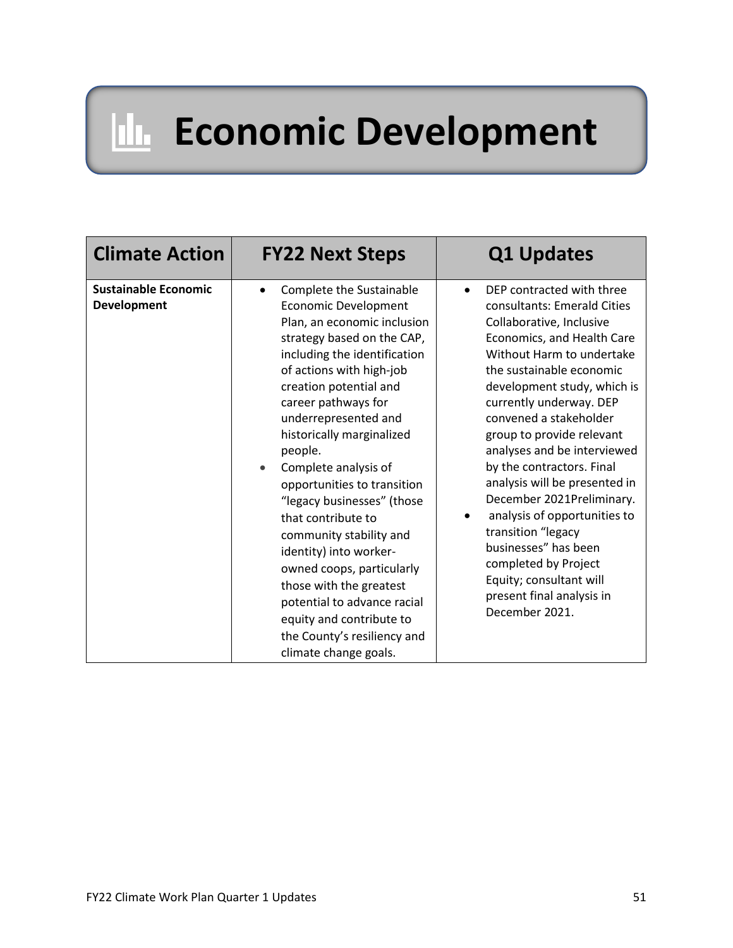### **Internal Economic Development**

| <b>Climate Action</b>                             | <b>FY22 Next Steps</b>                                                                                                                                                                                                                                                                                                                                                                                                                                                                                                                                                                                                                                    | <b>Q1 Updates</b>                                                                                                                                                                                                                                                                                                                                                                                                                                                                                                                                                                                      |
|---------------------------------------------------|-----------------------------------------------------------------------------------------------------------------------------------------------------------------------------------------------------------------------------------------------------------------------------------------------------------------------------------------------------------------------------------------------------------------------------------------------------------------------------------------------------------------------------------------------------------------------------------------------------------------------------------------------------------|--------------------------------------------------------------------------------------------------------------------------------------------------------------------------------------------------------------------------------------------------------------------------------------------------------------------------------------------------------------------------------------------------------------------------------------------------------------------------------------------------------------------------------------------------------------------------------------------------------|
| <b>Sustainable Economic</b><br><b>Development</b> | Complete the Sustainable<br>$\bullet$<br><b>Economic Development</b><br>Plan, an economic inclusion<br>strategy based on the CAP,<br>including the identification<br>of actions with high-job<br>creation potential and<br>career pathways for<br>underrepresented and<br>historically marginalized<br>people.<br>Complete analysis of<br>opportunities to transition<br>"legacy businesses" (those<br>that contribute to<br>community stability and<br>identity) into worker-<br>owned coops, particularly<br>those with the greatest<br>potential to advance racial<br>equity and contribute to<br>the County's resiliency and<br>climate change goals. | DEP contracted with three<br>consultants: Emerald Cities<br>Collaborative, Inclusive<br>Economics, and Health Care<br>Without Harm to undertake<br>the sustainable economic<br>development study, which is<br>currently underway. DEP<br>convened a stakeholder<br>group to provide relevant<br>analyses and be interviewed<br>by the contractors. Final<br>analysis will be presented in<br>December 2021Preliminary.<br>analysis of opportunities to<br>transition "legacy<br>businesses" has been<br>completed by Project<br>Equity; consultant will<br>present final analysis in<br>December 2021. |